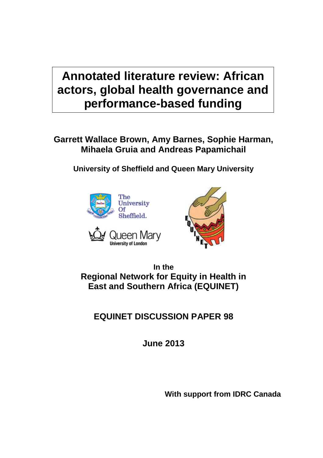# **Annotated literature review: African actors, global health governance and performance-based funding**

# **Garrett Wallace Brown, Amy Barnes, Sophie Harman, Mihaela Gruia and Andreas Papamichail**

**University of Sheffield and Queen Mary University**



**University of London** 

ueen Mary



**In the Regional Network for Equity in Health in East and Southern Africa (EQUINET)**

**EQUINET DISCUSSION PAPER 98**

**June 2013**

**With support from IDRC Canada**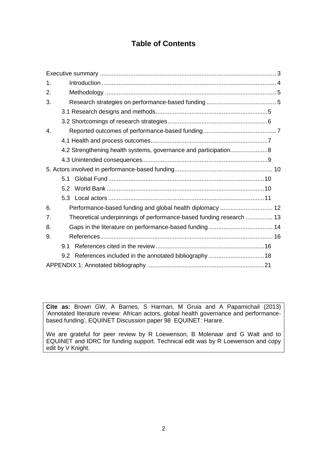# **Table of Contents**

| 1.             |     |                                                                     |
|----------------|-----|---------------------------------------------------------------------|
| 2.             |     |                                                                     |
| 3.             |     |                                                                     |
|                |     |                                                                     |
|                |     |                                                                     |
| $\mathbf{4}$ . |     |                                                                     |
|                |     |                                                                     |
|                |     |                                                                     |
|                |     |                                                                     |
|                |     |                                                                     |
|                | 5.1 |                                                                     |
|                |     |                                                                     |
|                |     |                                                                     |
| 6.             |     |                                                                     |
| 7.             |     | Theoretical underpinnings of performance-based funding research  13 |
| 8.             |     |                                                                     |
| 9.             |     |                                                                     |
|                | 9.1 |                                                                     |
|                | 9.2 |                                                                     |
|                |     |                                                                     |

**Cite as:** Brown GW, A Barnes, S Harman, M Gruia and A Papamichail (2013) 'Annotated literature review: African actors, global health governance and performancebased funding', EQUINET Discussion paper 98 EQUINET: Harare.

We are grateful for peer review by R Loewenson, B Molenaar and G Walt and to EQUINET and IDRC for funding support. Technical edit was by R Loewenson and copy edit by V Knight.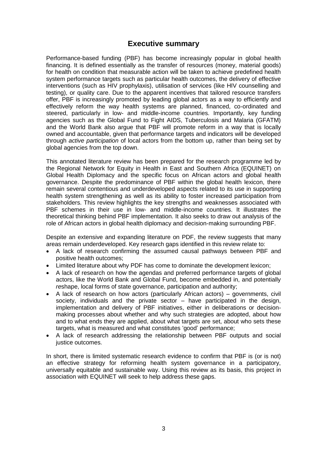# **Executive summary**

<span id="page-2-0"></span>Performance-based funding (PBF) has become increasingly popular in global health financing. It is defined essentially as the transfer of resources (money, material goods) for health on condition that measurable action will be taken to achieve predefined health system performance targets such as particular health outcomes, the delivery of effective interventions (such as HIV prophylaxis), utilisation of services (like HIV counselling and testing), or quality care. Due to the apparent incentives that tailored resource transfers offer, PBF is increasingly promoted by leading global actors as a way to efficiently and effectively reform the way health systems are planned, financed, co-ordinated and steered, particularly in low- and middle-income countries. Importantly, key funding agencies such as the Global Fund to Fight AIDS, Tuberculosis and Malaria (GFATM) and the World Bank also argue that PBF will promote reform in a way that is locally owned and accountable, given that performance targets and indicators will be developed through *active participation* of local actors from the bottom up, rather than being set by global agencies from the top down.

This annotated literature review has been prepared for the research programme led by the Regional Network for Equity in Health in East and Southern Africa (EQUINET) on Global Health Diplomacy and the specific focus on African actors and global health governance. Despite the predominance of PBF within the global health lexicon, there remain several contentious and underdeveloped aspects related to its use in supporting health system strengthening as well as its ability to foster increased participation from stakeholders. This review highlights the key strengths and weaknesses associated with PBF schemes in their use in low- and middle-income countries. It illustrates the theoretical thinking behind PBF implementation. It also seeks to draw out analysis of the role of African actors in global health diplomacy and decision-making surrounding PBF.

Despite an extensive and expanding literature on PDF, the review suggests that many areas remain underdeveloped. Key research gaps identified in this review relate to:

- A lack of research confirming the assumed causal pathways between PBF and positive health outcomes;
- Limited literature about why PDF has come to dominate the development lexicon;
- A lack of research on how the agendas and preferred performance targets of global actors, like the World Bank and Global Fund, become embedded in, and potentially *re*shape, local forms of state governance, participation and authority;
- A lack of research on how actors (particularly African actors) governments, civil society, individuals and the private sector – have participated in the design, implementation and delivery of PBF initiatives, either in deliberations or decisionmaking processes about whether and why such strategies are adopted, about how and to what ends they are applied, about what targets are set, about who sets these targets, what is measured and what constitutes 'good' performance;
- A lack of research addressing the relationship between PBF outputs and social justice outcomes.

<span id="page-2-1"></span>In short, there is limited systematic research evidence to confirm that PBF is (or is not) an effective strategy for reforming health system governance in a participatory, universally equitable and sustainable way. Using this review as its basis, this project in association with EQUINET will seek to help address these gaps.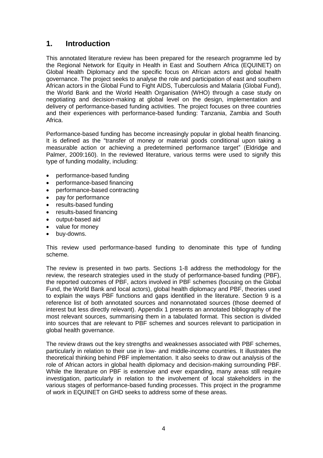# **1. Introduction**

This annotated literature review has been prepared for the research programme led by the Regional Network for Equity in Health in East and Southern Africa (EQUINET) on Global Health Diplomacy and the specific focus on African actors and global health governance. The project seeks to analyse the role and participation of east and southern African actors in the Global Fund to Fight AIDS, Tuberculosis and Malaria (Global Fund), the World Bank and the World Health Organisation (WHO) through a case study on negotiating and decision-making at global level on the design, implementation and delivery of performance-based funding activities. The project focuses on three countries and their experiences with performance-based funding: Tanzania, Zambia and South Africa.

Performance-based funding has become increasingly popular in global health financing. It is defined as the "transfer of money or material goods conditional upon taking a measurable action or achieving a predetermined performance target" (Eldridge and Palmer, 2009:160). In the reviewed literature, various terms were used to signify this type of funding modality, including:

- performance-based funding
- performance-based financing
- performance-based contracting
- pay for performance
- results-based funding
- results-based financing
- output-based aid
- value for money
- buy-downs.

This review used performance-based funding to denominate this type of funding scheme.

The review is presented in two parts. Sections 1-8 address the methodology for the review, the research strategies used in the study of performance-based funding (PBF), the reported outcomes of PBF, actors involved in PBF schemes (focusing on the Global Fund, the World Bank and local actors), global health diplomacy and PBF, theories used to explain the ways PBF functions and gaps identified in the literature. Section 9 is a reference list of both annotated sources and nonannotated sources (those deemed of interest but less directly relevant). Appendix 1 presents an annotated bibliography of the most relevant sources, summarising them in a tabulated format. This section is divided into sources that are relevant to PBF schemes and sources relevant to participation in global health governance.

The review draws out the key strengths and weaknesses associated with PBF schemes, particularly in relation to their use in low- and middle-income countries. It illustrates the theoretical thinking behind PBF implementation. It also seeks to draw out analysis of the role of African actors in global health diplomacy and decision-making surrounding PBF. While the literature on PBF is extensive and ever expanding, many areas still require investigation, particularly in relation to the involvement of local stakeholders in the various stages of performance-based funding processes. This project in the programme of work in EQUINET on GHD seeks to address some of these areas.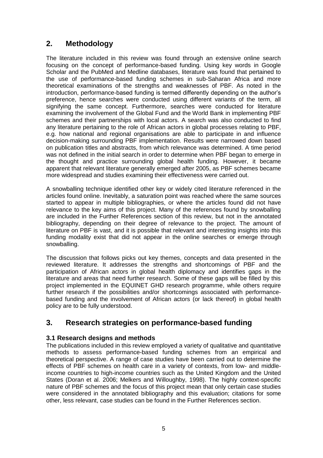# <span id="page-4-0"></span>**2. Methodology**

The literature included in this review was found through an extensive online search focusing on the concept of performance-based funding. Using key words in Google Scholar and the PubMed and Medline databases, literature was found that pertained to the use of performance-based funding schemes in sub-Saharan Africa and more theoretical examinations of the strengths and weaknesses of PBF. As noted in the introduction, performance-based funding is termed differently depending on the author's preference, hence searches were conducted using different variants of the term, all signifying the same concept. Furthermore, searches were conducted for literature examining the involvement of the Global Fund and the World Bank in implementing PBF schemes and their partnerships with local actors. A search was also conducted to find any literature pertaining to the role of African actors in global processes relating to PBF, e.g. how national and regional organisations are able to participate in and influence decision-making surrounding PBF implementation. Results were narrowed down based on publication titles and abstracts, from which relevance was determined. A time period was not defined in the initial search in order to determine when PBF began to emerge in the thought and practice surrounding global health funding. However, it became apparent that relevant literature generally emerged after 2005, as PBF schemes became more widespread and studies examining their effectiveness were carried out.

A snowballing technique identified other key or widely cited literature referenced in the articles found online. Inevitably, a saturation point was reached where the same sources started to appear in multiple bibliographies, or where the articles found did not have relevance to the key aims of this project. Many of the references found by snowballing are included in the Further References section of this review, but not in the annotated bibliography, depending on their degree of relevance to the project. The amount of literature on PBF is vast, and it is possible that relevant and interesting insights into this funding modality exist that did not appear in the online searches or emerge through snowballing.

The discussion that follows picks out key themes, concepts and data presented in the reviewed literature. It addresses the strengths and shortcomings of PBF and the participation of African actors in global health diplomacy and identifies gaps in the literature and areas that need further research. Some of these gaps will be filled by this project implemented in the EQUINET GHD research programme, while others require further research if the possibilities and/or shortcomings associated with performancebased funding and the involvement of African actors (or lack thereof) in global health policy are to be fully understood.

# <span id="page-4-1"></span>**3. Research strategies on performance-based funding**

### <span id="page-4-2"></span>**3.1 Research designs and methods**

The publications included in this review employed a variety of qualitative and quantitative methods to assess performance-based funding schemes from an empirical and theoretical perspective. A range of case studies have been carried out to determine the effects of PBF schemes on health care in a variety of contexts, from low- and middleincome countries to high-income countries such as the United Kingdom and the United States (Doran et al. 2006; Melkers and Willoughby, 1998). The highly context-specific nature of PBF schemes and the focus of this project mean that only certain case studies were considered in the annotated bibliography and this evaluation; citations for some other, less relevant, case studies can be found in the Further References section.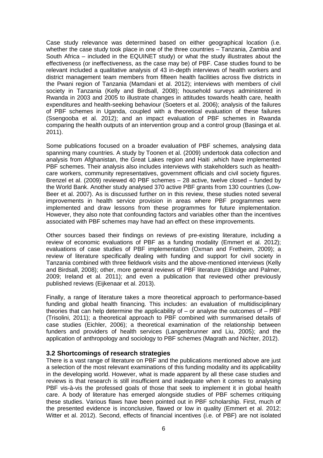Case study relevance was determined based on either geographical location (i.e. whether the case study took place in one of the three countries – Tanzania, Zambia and South Africa – included in the EQUINET study) or what the study illustrates about the effectiveness (or ineffectiveness, as the case may be) of PBF. Case studies found to be relevant included a qualitative analysis of 43 in-depth interviews of health workers and district management team members from fifteen health facilities across five districts in the Pwani region of Tanzania (Mamdani et al. 2012); interviews with members of civil society in Tanzania (Kelly and Birdsall, 2008); household surveys administered in Rwanda in 2003 and 2005 to illustrate changes in attitudes towards health care, health expenditures and health-seeking behaviour (Soeters et al. 2006); analysis of the failures of PBF schemes in Uganda, coupled with a theoretical evaluation of these failures (Ssengooba et al. 2012); and an impact evaluation of PBF schemes in Rwanda comparing the health outputs of an intervention group and a control group (Basinga et al. 2011).

Some publications focused on a broader evaluation of PBF schemes, analysing data spanning many countries. A study by Toonen et al. (2009) undertook data collection and analysis from Afghanistan, the Great Lakes region and Haiti ,which have implemented PBF schemes. Their analysis also includes interviews with stakeholders such as healthcare workers, community representatives, government officials and civil society figures. Brenzel et al. (2009) reviewed 40 PBF schemes – 28 active, twelve closed – funded by the World Bank. Another study analysed 370 active PBF grants from 130 countries (Low-Beer et al. 2007). As is discussed further on in this review, these studies noted several improvements in health service provision in areas where PBF programmes were implemented and draw lessons from these programmes for future implementation. However, they also note that confounding factors and variables other than the incentives associated with PBF schemes may have had an effect on these improvements.

Other sources based their findings on reviews of pre-existing literature, including a review of economic evaluations of PBF as a funding modality (Emmert et al. 2012); evaluations of case studies of PBF implementation (Oxman and Fretheim, 2009); a review of literature specifically dealing with funding and support for civil society in Tanzania combined with three fieldwork visits and the above-mentioned interviews (Kelly and Birdsall, 2008); other, more general reviews of PBF literature (Eldridge and Palmer, 2009; Ireland et al. 2011); and even a publication that reviewed other previously published reviews (Eijkenaar et al. 2013).

Finally, a range of literature takes a more theoretical approach to performance-based funding and global health financing. This includes: an evaluation of multidisciplinary theories that can help determine the applicability of – or analyse the outcomes of – PBF (Trisolini, 2011); a theoretical approach to PBF combined with summarised details of case studies (Eichler, 2006); a theoretical examination of the relationship between funders and providers of health services (Langenbrunner and Liu, 2005); and the application of anthropology and sociology to PBF schemes (Magrath and Nichter, 2012).

#### <span id="page-5-0"></span>**3.2 Shortcomings of research strategies**

There is a vast range of literature on PBF and the publications mentioned above are just a selection of the most relevant examinations of this funding modality and its applicability in the developing world. However, what is made apparent by all these case studies and reviews is that research is still insufficient and inadequate when it comes to analysing PBF vis-à-vis the professed goals of those that seek to implement it in global health care. A body of literature has emerged alongside studies of PBF schemes critiquing these studies. Various flaws have been pointed out in PBF scholarship. First, much of the presented evidence is inconclusive, flawed or low in quality (Emmert et al. 2012; Witter et al. 2012). Second, effects of financial incentives (i.e. of PBF) are not isolated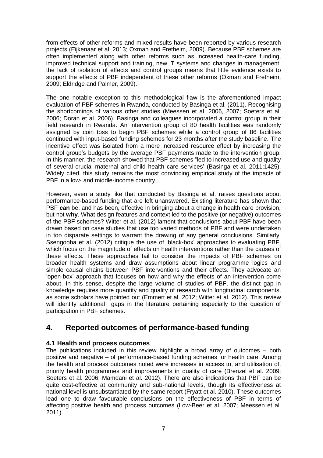from effects of other reforms and mixed results have been reported by various research projects (Eijkenaar et al. 2013; Oxman and Fretheim, 2009). Because PBF schemes are often implemented along with other reforms such as increased health-care funding, improved technical support and training, new IT systems and changes in management, the lack of isolation of effects and control groups means that little evidence exists to support the effects of PBF independent of these other reforms (Oxman and Fretheim, 2009; Eldridge and Palmer, 2009).

The one notable exception to this methodological flaw is the aforementioned impact evaluation of PBF schemes in Rwanda, conducted by Basinga et al. (2011). Recognising the shortcomings of various other studies (Meessen et al. 2006, 2007; Soeters et al. 2006; Doran et al. 2006), Basinga and colleagues incorporated a control group in their field research in Rwanda. An intervention group of 80 health facilities was randomly assigned by coin toss to begin PBF schemes while a control group of 86 facilities continued with input-based funding schemes for 23 months after the study baseline. The incentive effect was isolated from a mere increased resource effect by increasing the control group's budgets by the average PBF payments made to the intervention group. In this manner, the research showed that PBF schemes "led to increased use and quality of several crucial maternal and child health care services' (Basinga et al. 2011:1425). Widely cited, this study remains the most convincing empirical study of the impacts of PBF in a low- and middle-income country.

However, even a study like that conducted by Basinga et al. raises questions about performance-based funding that are left unanswered. Existing literature has shown that PBF **can** be, and has been, effective in bringing about a change in health care provision, but not **why**. What design features and context led to the positive (or negative) outcomes of the PBF schemes? Witter et al. (2012) lament that conclusions about PBF have been drawn based on case studies that use too varied methods of PBF and were undertaken in too disparate settings to warrant the drawing of any general conclusions. Similarly, Ssengooba et al. (2012) critique the use of 'black-box' approaches to evaluating PBF, which focus on the magnitude of effects on health interventions rather than the causes of these effects. These approaches fail to consider the impacts of PBF schemes on broader health systems and draw assumptions about linear programme logics and simple causal chains between PBF interventions and their effects. They advocate an 'open-box' approach that focuses on how and why the effects of an intervention come about. In this sense, despite the large volume of studies of PBF, the distinct gap in knowledge requires more quantity and quality of research with longitudinal components, as some scholars have pointed out (Emmert et al. 2012; Witter et al. 2012). This review will identify additional gaps in the literature pertaining especially to the question of participation in PBF schemes.

# <span id="page-6-0"></span>**4. Reported outcomes of performance-based funding**

### <span id="page-6-1"></span>**4.1 Health and process outcomes**

The publications included in this review highlight a broad array of outcomes – both positive and negative – of performance-based funding schemes for health care. Among the health and process outcomes noted were increases in access to, and utilisation of, priority health programmes and improvements in quality of care (Brenzel et al. 2009; Soeters et al. 2006; Mamdani et al. 2012). There are also indications that PBF can be quite cost-effective at community and sub-national levels, though its effectiveness at national level is unsubstantiated by the same report (Fryatt et al. 2010). These outcomes lead one to draw favourable conclusions on the effectiveness of PBF in terms of affecting positive health and process outcomes (Low-Beer et al. 2007; Meessen et al. 2011).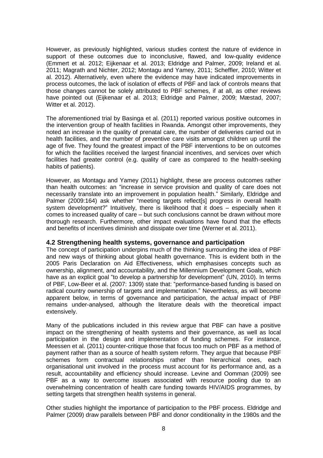However, as previously highlighted, various studies contest the nature of evidence in support of these outcomes due to inconclusive, flawed, and low-quality evidence (Emmert et al. 2012; Eijkenaar et al. 2013; Eldridge and Palmer, 2009; Ireland et al. 2011; Magrath and Nichter, 2012; Montagu and Yamey, 2011; Scheffler, 2010; Witter et al. 2012). Alternatively, even where the evidence may have indicated improvements in process outcomes, the lack of isolation of effects of PBF and lack of controls means that those changes cannot be solely attributed to PBF schemes, if at all, as other reviews have pointed out (Eijkenaar et al. 2013; Eldridge and Palmer, 2009; Mæstad, 2007; Witter et al. 2012).

The aforementioned trial by Basinga et al. (2011) reported various positive outcomes in the intervention group of health facilities in Rwanda. Amongst other improvements, they noted an increase in the quality of prenatal care, the number of deliveries carried out in health facilities, and the number of preventive care visits amongst children up until the age of five. They found the greatest impact of the PBF interventions to be on outcomes for which the facilities received the largest financial incentives, and services over which facilities had greater control (e.g. quality of care as compared to the health-seeking habits of patients).

However, as Montagu and Yamey (2011) highlight, these are process outcomes rather than health outcomes: an "increase in service provision and quality of care does not necessarily translate into an improvement in population health." Similarly, Eldridge and Palmer (2009:164) ask whether "meeting targets reflect[s] progress in overall health system development?" Intuitively, there is likelihood that it does – especially when it comes to increased quality of care – but such conclusions cannot be drawn without more thorough research. Furthermore, other impact evaluations have found that the effects and benefits of incentives diminish and dissipate over time (Werner et al. 2011).

#### <span id="page-7-0"></span>**4.2 Strengthening health systems, governance and participation**

The concept of participation underpins much of the thinking surrounding the idea of PBF and new ways of thinking about global health governance. This is evident both in the 2005 Paris Declaration on Aid Effectiveness, which emphasises concepts such as ownership, alignment, and accountability, and the Millennium Development Goals, which have as an explicit goal "to develop a partnership for development" (UN, 2010). In terms of PBF, Low-Beer et al. (2007: 1309) state that: "performance-based funding is based on radical country ownership of targets and implementation." Nevertheless, as will become apparent below, in terms of governance and participation, the *actual* impact of PBF remains under-analysed, although the literature deals with the theoretical impact extensively.

Many of the publications included in this review argue that PBF can have a positive impact on the strengthening of health systems and their governance, as well as local participation in the design and implementation of funding schemes. For instance, Meessen et al. (2011) counter-critique those that focus too much on PBF as a method of payment rather than as a source of health system reform. They argue that because PBF schemes form contractual relationships rather than hierarchical ones, each organisational unit involved in the process must account for its performance and, as a result, accountability and efficiency should increase. Levine and Oomman (2009) see PBF as a way to overcome issues associated with resource pooling due to an overwhelming concentration of health care funding towards HIV/AIDS programmes, by setting targets that strengthen health systems in general.

Other studies highlight the importance of participation to the PBF process. Eldridge and Palmer (2009) draw parallels between PBF and donor conditionality in the 1980s and the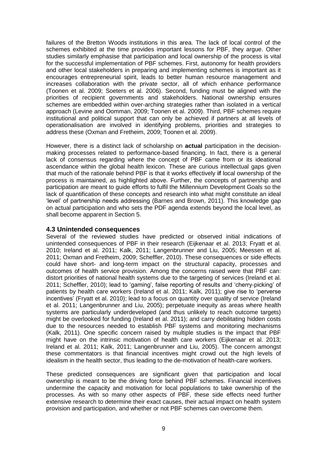failures of the Bretton Woods institutions in this area. The lack of local control of the schemes exhibited at the time provides important lessons for PBF, they argue. Other studies similarly emphasise that participation and local ownership of the process is vital for the successful implementation of PBF schemes. First, autonomy for health providers and other local stakeholders in preparing and implementing schemes is important as it encourages entrepreneurial spirit, leads to better human resource management and increases collaboration with the private sector, all of which enhance performance (Toonen et al. 2009; Soeters et al. 2006). Second, funding must be aligned with the priorities of recipient governments and stakeholders. National ownership ensures schemes are embedded within over-arching strategies rather than isolated in a vertical approach (Levine and Oomman, 2009; Toonen et al. 2009). Third, PBF schemes require institutional and political support that can only be achieved if partners at all levels of operationalisation are involved in identifying problems, priorities and strategies to address these (Oxman and Fretheim, 2009; Toonen et al. 2009).

However, there is a distinct lack of scholarship on **actual** participation in the decisionmaking processes related to performance-based financing. In fact, there is a general lack of consensus regarding where the concept of PBF came from or its ideational ascendance within the global health lexicon. These are curious intellectual gaps given that much of the rationale behind PBF is that it works effectively **if** local ownership of the process is maintained, as highlighted above. Further, the concepts of partnership and participation are meant to guide efforts to fulfil the Millennium Development Goals so the lack of quantification of these concepts and research into what might constitute an ideal 'level' of partnership needs addressing (Barnes and Brown, 2011). This knowledge gap on actual participation and who sets the PDF agenda extends beyond the local level, as shall become apparent in Section 5.

#### <span id="page-8-0"></span>**4.3 Unintended consequences**

Several of the reviewed studies have predicted or observed initial indications of unintended consequences of PBF in their research (Eijkenaar et al. 2013; Fryatt et al. 2010; Ireland et al. 2011; Kalk, 2011; Langenbrunner and Liu, 2005; Meessen et al. 2011; Oxman and Fretheim, 2009; Scheffler, 2010). These consequences or side effects could have short- and long-term impact on the structural capacity, processes and outcomes of health service provision. Among the concerns raised were that PBF can: distort priorities of national health systems due to the targeting of services (Ireland et al. 2011; Scheffler, 2010); lead to 'gaming', false reporting of results and 'cherry-picking' of patients by health care workers (Ireland et al. 2011; Kalk, 2011); give rise to 'perverse incentives' (Fryatt et al. 2010); lead to a focus on quantity over quality of service (Ireland et al. 2011; Langenbrunner and Liu, 2005); perpetuate inequity as areas where health systems are particularly underdeveloped (and thus unlikely to reach outcome targets) might be overlooked for funding (Ireland et al. 2011); and carry debilitating hidden costs due to the resources needed to establish PBF systems and monitoring mechanisms (Kalk, 2011). One specific concern raised by multiple studies is the impact that PBF might have on the intrinsic motivation of health care workers (Eijkenaar et al. 2013; Ireland et al. 2011; Kalk, 2011; Langenbrunner and Liu, 2005). The concern amongst these commentators is that financial incentives might crowd out the high levels of idealism in the health sector, thus leading to the de-motivation of health-care workers.

These predicted consequences are significant given that participation and local ownership is meant to be the driving force behind PBF schemes. Financial incentives undermine the capacity and motivation for local populations to take ownership of the processes. As with so many other aspects of PBF, these side effects need further extensive research to determine their exact causes, their actual impact on health system provision and participation, and whether or not PBF schemes can overcome them.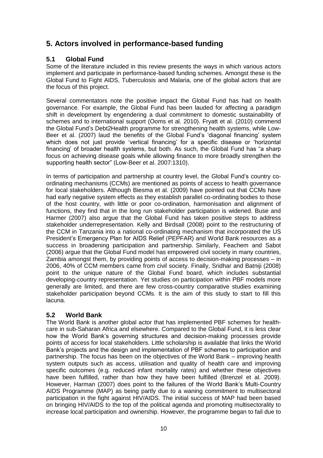# <span id="page-9-0"></span>**5. Actors involved in performance-based funding**

### <span id="page-9-1"></span>**5.1 Global Fund**

Some of the literature included in this review presents the ways in which various actors implement and participate in performance-based funding schemes. Amongst these is the Global Fund to Fight AIDS, Tuberculosis and Malaria, one of the global actors that are the focus of this project.

Several commentators note the positive impact the Global Fund has had on health governance. For example, the Global Fund has been lauded for affecting a paradigm shift in development by engendering a dual commitment to domestic sustainability of schemes and to international support (Ooms et al. 2010). Fryatt et al. (2010) commend the Global Fund's Debt2Health programme for strengthening health systems, while Low-Beer et al. (2007) laud the benefits of the Global Fund's 'diagonal financing' system which does not just provide 'vertical financing' for a specific disease or 'horizontal financing' of broader health systems, but both. As such, the Global Fund has "a sharp focus on achieving disease goals while allowing finance to more broadly strengthen the supporting health sector" (Low-Beer et al. 2007:1310).

In terms of participation and partnership at country level, the Global Fund's country coordinating mechanisms (CCMs) are mentioned as points of access to health governance for local stakeholders. Although Biesma et al. (2009) have pointed out that CCMs have had early negative system effects as they establish parallel co-ordinating bodies to those of the host country, with little or poor co-ordination, harmonisation and alignment of functions, they find that in the long run stakeholder participation is widened. Buse and Harmer (2007) also argue that the Global Fund has taken positive steps to address stakeholder underrepresentation. Kelly and Birdsall (2008) point to the restructuring of the CCM in Tanzania into a national co-ordinating mechanism that incorporated the US President's Emergency Plan for AIDS Relief (PEPFAR) and World Bank resources as a success in broadening participation and partnership. Similarly, Feachem and Sabot (2006) argue that the Global Fund model has empowered civil society in many countries, Zambia amongst them, by providing points of access to decision-making processes – in 2006, 40% of CCM members came from civil society. Finally, Sridhar and Batniji (2008) point to the unique nature of the Global Fund board, which includes substantial developing-country representation. Yet studies on participation within PBF models more generally are limited, and there are few cross-country comparative studies examining stakeholder participation beyond CCMs. It is the aim of this study to start to fill this lacuna.

### <span id="page-9-2"></span>**5.2 World Bank**

The World Bank is another global actor that has implemented PBF schemes for healthcare in sub-Saharan Africa and elsewhere. Compared to the Global Fund, it is less clear how the World Bank's governing structures and decision-making processes provide points of access for local stakeholders. Little scholarship is available that links the World Bank's projects and the design and implementation of PBF schemes to participation and partnership. The focus has been on the objectives of the World Bank – improving health system outputs such as access, utilisation and quality of health care and improving specific outcomes (e.g. reduced infant mortality rates) and whether these objectives have been fulfilled, rather than how they have been fulfilled (Brenzel et al. 2009). However, Harman (2007) does point to the failures of the World Bank's Multi-Country AIDS Programme (MAP) as being partly due to a waning commitment to multisectoral participation in the fight against HIV/AIDS. The initial success of MAP had been based on bringing HIV/AIDS to the top of the political agenda and promoting multisectorality to increase local participation and ownership. However, the programme began to fail due to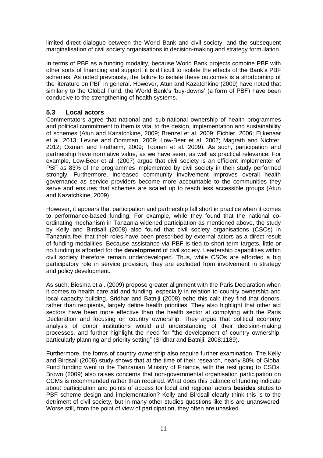limited direct dialogue between the World Bank and civil society, and the subsequent marginalisation of civil society organisations in decision-making and strategy formulation.

In terms of PBF as a funding modality, because World Bank projects combine PBF with other sorts of financing and support, it is difficult to isolate the effects of the Bank's PBF schemes. As noted previously, the failure to isolate these outcomes is a shortcoming of the literature on PBF in general. However, Atun and Kazatchkine (2009) have noted that similarly to the Global Fund, the World Bank's 'buy-downs' (a form of PBF) have been conducive to the strengthening of health systems.

### <span id="page-10-0"></span>**5.3 Local actors**

Commentators agree that national and sub-national ownership of health programmes and political commitment to them is vital to the design, implementation and sustainability of schemes (Atun and Kazatchkine, 2009; Brenzel et al. 2009; Eichler, 2006; Eijkenaar et al. 2013; Levine and Oomman, 2009; Low-Beer et al. 2007; Magrath and Nichter, 2012; Oxman and Fretheim, 2009; Toonen et al. 2009). As such, participation and partnership have normative value, as we have seen, as well as practical relevance. For example, Low-Beer et al. (2007) argue that civil society is an efficient implementer of PBF as 83% of the programmes implemented by civil society in their study performed strongly. Furthermore, increased community involvement improves overall health governance as service providers become more accountable to the communities they serve and ensures that schemes are scaled up to reach less accessible groups (Atun and Kazatchkine, 2009).

However, it appears that participation and partnership fall short in practice when it comes to performance-based funding. For example, while they found that the national coordinating mechanism in Tanzania widened participation as mentioned above, the study by Kelly and Birdsall (2008) also found that civil society organisations (CSOs) in Tanzania feel that their roles have been prescribed by external actors as a direct result of funding modalities. Because assistance via PBF is tied to short-term targets, little or no funding is afforded for the **development** of civil society. Leadership capabilities within civil society therefore remain underdeveloped. Thus, while CSOs are afforded a big participatory role in service provision, they are excluded from involvement in strategy and policy development.

As such, Biesma et al. (2009) propose greater alignment with the Paris Declaration when it comes to health care aid and funding, especially in relation to country ownership and local capacity building. Sridhar and Batniji (2008) echo this call: they find that donors, rather than recipients, largely define health priorities. They also highlight that other aid sectors have been more effective than the health sector at complying with the Paris Declaration and focusing on country ownership. They argue that political economy analysis of donor institutions would aid understanding of their decision-making processes, and further highlight the need for "the development of country ownership, particularly planning and priority setting" (Sridhar and Batniji, 2008:1189).

Furthermore, the forms of country ownership also require further examination. The Kelly and Birdsall (2008) study shows that at the time of their research, nearly 80% of Global Fund funding went to the Tanzanian Ministry of Finance, with the rest going to CSOs. Brown (2009) also raises concerns that non-governmental organisation participation on CCMs is recommended rather than required. What does this balance of funding indicate about participation and points of access for local and regional actors **besides** states to PBF scheme design and implementation? Kelly and Birdsall clearly think this is to the detriment of civil society, but in many other studies questions like this are unanswered. Worse still, from the point of view of participation, they often are unasked.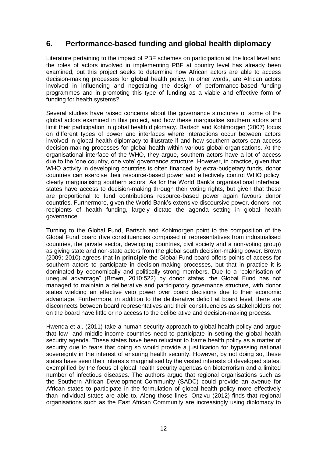# <span id="page-11-0"></span>**6. Performance-based funding and global health diplomacy**

Literature pertaining to the impact of PBF schemes on participation at the local level and the roles of actors involved in implementing PBF at country level has already been examined, but this project seeks to determine how African actors are able to access decision-making processes for **global** health policy. In other words, are African actors involved in influencing and negotiating the design of performance-based funding programmes and in promoting this type of funding as a viable and effective form of funding for health systems?

Several studies have raised concerns about the governance structures of some of the global actors examined in this project, and how these marginalise southern actors and limit their participation in global health diplomacy. Bartsch and Kohlmorgen (2007) focus on different types of power and interfaces where interactions occur between actors involved in global health diplomacy to illustrate if and how southern actors can access decision-making processes for global health within various global organisations. At the organisational interface of the WHO, they argue, southern actors have a lot of access due to the 'one country, one vote' governance structure. However, in practice, given that WHO activity in developing countries is often financed by extra-budgetary funds, donor countries can exercise their resource-based power and effectively control WHO policy, clearly marginalising southern actors. As for the World Bank's organisational interface, states have access to decision-making through their voting rights, but given that these are proportional to fund contributions resource-based power again favours donor countries. Furthermore, given the World Bank's extensive discoursive power, donors, not recipients of health funding, largely dictate the agenda setting in global health governance.

Turning to the Global Fund, Bartsch and Kohlmorgen point to the composition of the Global Fund board (five constituencies comprised of representatives from industrialised countries, the private sector, developing countries, civil society and a non-voting group) as giving state and non-state actors from the global south decision-making power. Brown (2009; 2010) agrees that **in principle** the Global Fund board offers points of access for southern actors to participate in decision-making processes, but that in practice it is dominated by economically and politically strong members. Due to a "colonisation of unequal advantage" (Brown, 2010:522) by donor states, the Global Fund has not managed to maintain a deliberative and participatory governance structure, with donor states wielding an effective veto power over board decisions due to their economic advantage. Furthermore, in addition to the deliberative deficit at board level, there are disconnects between board representatives and their constituencies as stakeholders not on the board have little or no access to the deliberative and decision-making process.

Hwenda et al. (2011) take a human security approach to global health policy and argue that low- and middle-income countries need to participate in setting the global health security agenda. These states have been reluctant to frame health policy as a matter of security due to fears that doing so would provide a justification for bypassing national sovereignty in the interest of ensuring health security. However, by not doing so, these states have seen their interests marginalised by the vested interests of developed states, exemplified by the focus of global health security agendas on bioterrorism and a limited number of infectious diseases. The authors argue that regional organisations such as the Southern African Development Community (SADC) could provide an avenue for African states to participate in the formulation of global health policy more effectively than individual states are able to. Along those lines, Onzivu (2012) finds that regional organisations such as the East African Community are increasingly using diplomacy to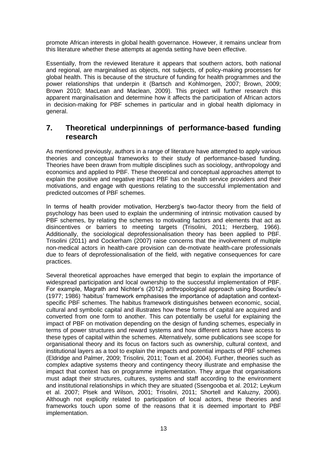promote African interests in global health governance. However, it remains unclear from this literature whether these attempts at agenda setting have been effective.

Essentially, from the reviewed literature it appears that southern actors, both national and regional, are marginalised as objects, not subjects, of policy-making processes for global health. This is because of the structure of funding for health programmes and the power relationships that underpin it (Bartsch and Kohlmorgen, 2007; Brown, 2009; Brown 2010; MacLean and Maclean, 2009). This project will further research this apparent marginalisation and determine how it affects the participation of African actors in decision-making for PBF schemes in particular and in global health diplomacy in general.

# <span id="page-12-0"></span>**7. Theoretical underpinnings of performance-based funding research**

As mentioned previously, authors in a range of literature have attempted to apply various theories and conceptual frameworks to their study of performance-based funding. Theories have been drawn from multiple disciplines such as sociology, anthropology and economics and applied to PBF. These theoretical and conceptual approaches attempt to explain the positive and negative impact PBF has on health service providers and their motivations, and engage with questions relating to the successful implementation and predicted outcomes of PBF schemes.

In terms of health provider motivation, Herzberg's two-factor theory from the field of psychology has been used to explain the undermining of intrinsic motivation caused by PBF schemes, by relating the schemes to motivating factors and elements that act as disincentives or barriers to meeting targets (Trisolini, 2011; Herzberg, 1966). Additionally, the sociological deprofessionalisation theory has been applied to PBF. Trisolini (2011) and Cockerham (2007) raise concerns that the involvement of multiple non-medical actors in health-care provision can de-motivate health-care professionals due to fears of deprofessionalisation of the field, with negative consequences for care practices.

Several theoretical approaches have emerged that begin to explain the importance of widespread participation and local ownership to the successful implementation of PBF. For example, Magrath and Nichter's (2012) anthropological approach using Bourdieu's (1977; 1986) 'habitus' framework emphasises the importance of adaptation and contextspecific PBF schemes. The habitus framework distinguishes between economic, social, cultural and symbolic capital and illustrates how these forms of capital are acquired and converted from one form to another. This can potentially be useful for explaining the impact of PBF on motivation depending on the design of funding schemes, especially in terms of power structures and reward systems and how different actors have access to these types of capital within the schemes. Alternatively, some publications see scope for organisational theory and its focus on factors such as ownership, cultural context, and institutional layers as a tool to explain the impacts and potential impacts of PBF schemes (Eldridge and Palmer, 2009; Trisolini, 2011; Town et al. 2004). Further, theories such as complex adaptive systems theory and contingency theory illustrate and emphasise the impact that context has on programme implementation. They argue that organisations must adapt their structures, cultures, systems and staff according to the environment and institutional relationships in which they are situated (Ssengooba et al. 2012; Leykum et al. 2007; Plsek and Wilson, 2001; Trisolini, 2011; Shortell and Kaluzny, 2006). Although not explicitly related to participation of local actors, these theories and frameworks touch upon some of the reasons that it is deemed important to PBF implementation.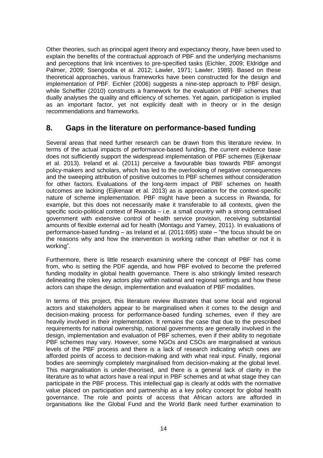Other theories, such as principal agent theory and expectancy theory, have been used to explain the benefits of the contractual approach of PBF and the underlying mechanisms and perceptions that link incentives to pre-specified tasks (Eichler, 2009; Eldridge and Palmer, 2009; Ssengooba et al. 2012; Lawler, 1971; Lawler, 1989). Based on these theoretical approaches, various frameworks have been constructed for the design and implementation of PBF. Eichler (2006) suggests a nine-step approach to PBF design, while Scheffler (2010) constructs a framework for the evaluation of PBF schemes that dually analyses the quality and efficiency of schemes. Yet again, participation is implied as an important factor, yet not explicitly dealt with in theory or in the design recommendations and frameworks.

# <span id="page-13-0"></span>**8. Gaps in the literature on performance-based funding**

Several areas that need further research can be drawn from this literature review. In terms of the actual impacts of performance-based funding, the current evidence base does not sufficiently support the widespread implementation of PBF schemes (Eijkenaar et al. 2013). Ireland et al. (2011) perceive a favourable bias towards PBF amongst policy-makers and scholars, which has led to the overlooking of negative consequences and the sweeping attribution of positive outcomes to PBF schemes without consideration for other factors. Evaluations of the long-term impact of PBF schemes on health outcomes are lacking (Eijkenaar et al. 2013) as is appreciation for the context-specific nature of scheme implementation. PBF might have been a success in Rwanda, for example, but this does not necessarily make it transferable to all contexts, given the specific socio-political context of Rwanda – i.e. a small country with a strong centralised government with extensive control of health service provision, receiving substantial amounts of flexible external aid for health (Montagu and Yamey, 2011). In evaluations of performance-based funding – as Ireland et al. (2011:695) state – "the focus should be on the reasons why and how the intervention is working rather than whether or not it is working".

Furthermore, there is little research examining where the concept of PBF has come from, who is setting the PDF agenda, and how PBF evolved to become the preferred funding modality in global health governance. There is also strikingly limited research delineating the roles key actors play within national and regional settings and how these actors can shape the design, implementation and evaluation of PBF modalities.

In terms of this project, this literature review illustrates that some local and regional actors and stakeholders appear to be marginalised when it comes to the design and decision-making process for performance-based funding schemes, even if they are heavily involved in their implementation. It remains the case that due to the prescribed requirements for national ownership, national governments are generally involved in the design, implementation and evaluation of PBF schemes, even if their ability to negotiate PBF schemes may vary. However, some NGOs and CSOs are marginalised at various levels of the PBF process and there is a lack of research indicating which ones are afforded points of access to decision-making and with what real input. Finally, regional bodies are seemingly completely marginalised from decision-making at the global level. This marginalisation is under-theorised, and there is a general lack of clarity in the literature as to what actors have a real input in PBF schemes and at what stage they can participate in the PBF process. This intellectual gap is clearly at odds with the normative value placed on participation and partnership as a key policy concept for global health governance. The role and points of access that African actors are afforded in organisations like the Global Fund and the World Bank need further examination to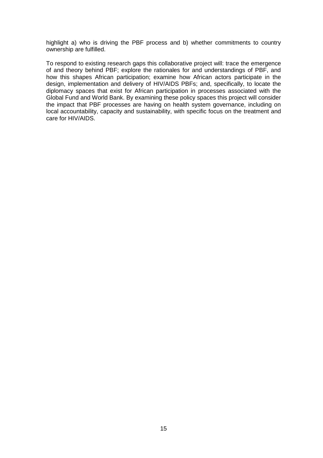highlight a) who is driving the PBF process and b) whether commitments to country ownership are fulfilled.

To respond to existing research gaps this collaborative project will: trace the emergence of and theory behind PBF; explore the rationales for and understandings of PBF, and how this shapes African participation; examine how African actors participate in the design, implementation and delivery of HIV/AIDS PBFs; and, specifically, to locate the diplomacy spaces that exist for African participation in processes associated with the Global Fund and World Bank. By examining these policy spaces this project will consider the impact that PBF processes are having on health system governance, including on local accountability, capacity and sustainability, with specific focus on the treatment and care for HIV/AIDS.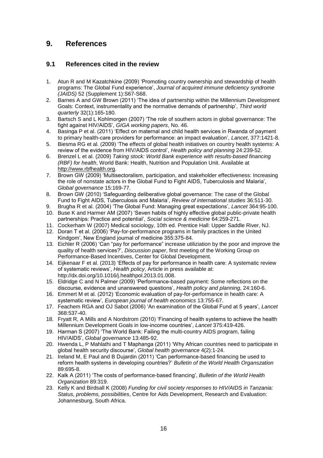# <span id="page-15-0"></span>**9. References**

### <span id="page-15-1"></span>**9.1 References cited in the review**

- 1. Atun R and M Kazatchkine (2009) 'Promoting country ownership and stewardship of health programs: The Global Fund experience', *Journal of acquired immune deficiency syndrome (JAIDS)* 52 (Supplement 1):S67-S68.
- 2. Barnes A and GW Brown (2011) 'The idea of partnership within the Millennium Development Goals: Context, instrumentality and the normative demands of partnership', *Third world quarterly* 32(1):165-180.
- 3. Bartsch S and L Kohlmorgen (2007) 'The role of southern actors in global governance: The fight against HIV/AIDS', *GIGA working papers*, No. 46.
- 4. Basinga P et al. (2011) 'Effect on maternal and child health services in Rwanda of payment to primary health-care providers for performance: an impact evaluation', *Lancet*, 377:1421-8.
- 5. Biesma RG et al. (2009) 'The effects of global health initiatives on country health systems: A review of the evidence from HIV/AIDS control', *Health policy and planning* 24:239-52.
- 6. Brenzel L et al. (2009) *Taking stock: World Bank experience with results-based financing (RBF) for health*, World Bank: Health, Nutrition and Population Unit. Available at [http://www.rbfhealth.org.](http://www.rbfhealth.org/)
- 7. Brown GW (2009) 'Multisectoralism, participation, and stakeholder effectiveness: Increasing the role of nonstate actors in the Global Fund to Fight AIDS, Tuberculosis and Malaria', *Global governance* 15:169-77.
- 8. Brown GW (2010) 'Safeguarding deliberative global governance: The case of the Global Fund to Fight AIDS, Tuberculosis and Malaria', *Review of international studies* 36:511-30.
- 9. Brugha R et al. (2004) 'The Global Fund: Managing great expectations', *Lancet* 364:95-100.
- 10. Buse K and Harmer AM (2007) 'Seven habits of highly effective global public-private health partnerships: Practice and potential', *Social science & medicine* 64:259-271.
- 11. Cockerham W (2007) Medical sociology, 10th ed. Prentice Hall: Upper Saddle River, NJ.
- 12. Doran T et al. (2006) 'Pay-for-performance programs in family practices in the United Kindgom', New England journal of medicine 355:375-84.
- 13. Eichler R (2006) 'Can "pay for performance" increase utiliziation by the poor and improve the quality of health services?', *Discussion paper*, first meeting of the Working Group on Performance-Based Incentives, Center for Global Development.
- 14. Eijkenaar F et al. (2013) 'Effects of pay for performance in health care: A systematic review of systematic reviews', *Health policy*, Article in press available at: http://dx.doi.org/10.1016/j.healthpol.2013.01.008.
- 15. Eldridge C and N Palmer (2009) 'Performance-based payment: Some reflections on the discourse, evidence and unanswered questions', *Health policy and planning*, 24:160-6.
- 16. Emmert M et al. (2012) 'Economic evaluation of pay-for-performance in health care: A systematic review', *European journal of health economics* 13:755-67.
- 17. Feachem RGA and OJ Sabot (2006) 'An examination of the Global Fund at 5 years', *Lancet* 368:537-40.
- 18. Fryatt R, A Mills and A Nordstrom (2010) 'Financing of health systems to achieve the health Millennium Development Goals in low-income countries', *Lancet* 375:419-426.
- 19. Harman S (2007) 'The World Bank: Failing the multi-country AIDS program, failing HIV/AIDS', *Global governance* 13:485-92.
- 20. Hwenda L, P Mahlathi and T Maphanga (2011) 'Why African countries need to participate in global health security discourse', *Global health governance* 4(2):1-24.
- 21. Ireland M, E Paul and B Dujardin (2011) 'Can performance-based financing be used to reform health systems in developing countries?' *Bulletin of the World Health Organszation* 89:695-8.
- 22. Kalk A (2011) 'The costs of performance-based financing', *Bulletin of the World Health Organization* 89:319.
- 23. Kelly K and Birdsall K (2008) *Funding for civil society responses to HIV/AIDS in Tanzania: Status, problems, possibilities*, Centre for Aids Development, Research and Evaluation: Johannesburg, South Africa.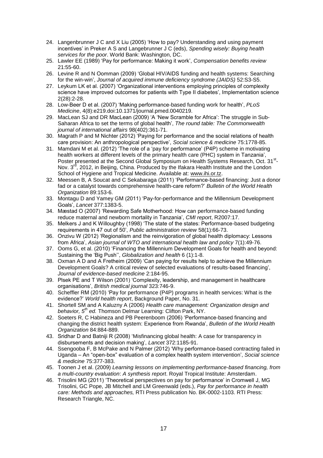- 24. Langenbrunner J C and X Liu (2005) 'How to pay? Understanding and using payment incentives' in Preker A S and Langebrunner J C (eds), *Spending wisely: Buying health services for the poor*. World Bank: Washington, DC.
- 25. Lawler EE (1989) 'Pay for performance: Making it work', *Compensation benefits review* 21:55-60.
- 26. Levine R and N Oomman (2009) 'Global HIV/AIDS funding and health systems: Searching for the win-win', *Journal of acquired immune deficiency syndrome (JAIDS)* 52:S3-S5.
- 27. Leykum LK et al. (2007) 'Organizational interventions employing principles of complexity science have improved outcomes for patients with Type II diabetes', Implementation science 2(28):2-28.
- 28. Low-Beer D et al. (2007) 'Making performance-based funding work for health', *PLoS Medicine*, 4(8):e219.doi:10.1371/journal.pmed.0040219.
- 29. MacLean SJ and DR MacLean (2009) 'A 'New Scramble for Africa': The struggle in Sub-Saharan Africa to set the terms of global health', *The round table: The Commonwealth journal of international affairs* 98(402):361-71.
- 30. Magrath P and M Nichter (2012) 'Paying for performance and the social relations of health care provision: An anthropological perspective', *Social science & medicine* 75:1778-85.
- 31. Mamdani M et al. (2012) 'The role of a 'pay for performance' (P4P) scheme in motivating health workers at different levels of the primary health care (PHC) system in Tanzania', Poster presented at the Second Global Symposium on Health Systems Research, Oct. 31<sup>st</sup>-Nov. 3<sup>rd</sup>, 2012, in Beijing, China. Produced by the Ifakara Health Institute and the London School of Hygiene and Tropical Medicine. Available at: [www.ihi.or.tz.](http://www.ihi.or.tz/)
- 32. Meessen B, A Soucat and C Sekabaraga (2011) 'Performance-based financing: Just a donor fad or a catalyst towards comprehensive health-care reform?' *Bulletin of the World Health Organization* 89:153-6.
- 33. Montagu D and Yamey GM (2011) 'Pay-for-performance and the Millennium Development Goals', *Lancet* 377:1383-5.
- 34. Mæstad O (2007) 'Rewarding Safe Motherhood: How can performance-based funding reduce maternal and newborn mortality in Tanzania', *CMI report*, R2007:17.
- 35. Melkers J and K Willoughby (1998) 'The state of the states: Performance-based budgeting requirements in 47 out of 50', *Public administration review* 58(1):66-73.
- 36. Onzivu W (2012) 'Regionalism and the reinvigoration of global health diplomacy: Lessons from Africa', *Asian journal of WTO and international health law and policy* 7(1):49-76.
- 37. Ooms G, et al. (2010) 'Financing the Millennium Development Goals for health and beyond: Sustaining the 'Big Push'', *Globalization and health* 6 (1):1-8.
- 38. Oxman A D and A Fretheim (2009) 'Can paying for results help to achieve the Millennium Development Goals? A critical review of selected evaluations of results-based financing', *Journal of evidence-based medicine* 2:184-95.
- 39. Plsek PE and T Wilson (2001) 'Complexity, leadership, and management in healthcare organisations', *British medical journal* 323:746-9.
- 40. Scheffler RM (2010) 'Pay for performance (P4P) programs in health services: What is the evidence?' *World health report*, Background Paper, No. 31.
- 41. Shortell SM and A Kaluzny A (2006) *Health care management: Organization design and behavior, 5th ed.* Thomson Delmar Learning: Clifton Park, NY.
- 42. Soeters R, C Habineza and PB Peerenboom (2006) 'Performance-based financing and changing the district health system: Experience from Rwanda', *Bulletin of the World Health Organization* 84:884-889.
- 43. Sridhar D and Batniji R (2008) 'Misfinancing global health: A case for transparency in disbursements and decision making', *Lancet* 372:1185-91.
- 44. Ssengooba F, B McPake and N Palmer (2012) 'Why performance-based contracting failed in Uganda – An "open-box" evaluation of a complex health system intervention', *Social science & medicine* 75:377-383.
- 45. Toonen J et al. (2009) *Learning lessons on implementing performance-based financing, from a multi-country evaluation*: *A synthesis report*. Royal Tropical Institute: Amsterdam.
- 46. Trisolini MG (2011) 'Theoretical perspectives on pay for performance' in Cromwell J, MG Trisolini, GC Pope, JB Mitchell and LM Greenwald (eds.), *Pay for performance in health care: Methods and approaches,* RTI Press publication No. BK-0002-1103. RTI Press: Research Triangle, NC.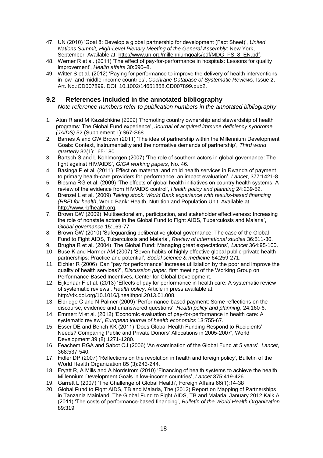- 47. UN (2010) 'Goal 8: Develop a global partnership for development (Fact Sheet)', *United Nations Summit, High-Level Plenary Meeting of the General Assembly*: New York, September. Available at: [http://www.un.org/millenniumgoals/pdf/MDG\\_FS\\_8\\_EN.pdf.](http://www.un.org/millenniumgoals/pdf/MDG_FS_8_EN.pdf)
- 48. Werner R et al. (2011) 'The effect of pay-for-performance in hospitals: Lessons for quality improvement', *Health affairs* 30:690–8.
- 49. Witter S et al. (2012) 'Paying for performance to improve the delivery of health interventions in low- and middle-income countries', *Cochrane Database of Systematic Reviews*, Issue 2, Art. No.:CD007899. DOI: 10.1002/14651858.CD007899.pub2.

### <span id="page-17-0"></span>**9.2 References included in the annotated bibliography**

*Note reference numbers refer to publication numbers in the annotated bibliography*

- 1. Atun R and M Kazatchkine (2009) 'Promoting country ownership and stewardship of health programs: The Global Fund experience', *Journal of acquired immune deficiency syndrome (JAIDS)* 52 (Supplement 1):S67-S68.
- 2. Barnes A and GW Brown (2011) 'The idea of partnership within the Millennium Development Goals: Context, instrumentality and the normative demands of partnership', *Third world quarterly* 32(1):165-180.
- 3. Bartsch S and L Kohlmorgen (2007) 'The role of southern actors in global governance: The fight against HIV/AIDS', *GIGA working papers*, No. 46.
- 4. Basinga P et al. (2011) 'Effect on maternal and child health services in Rwanda of payment to primary health-care providers for performance: an impact evaluation', *Lancet*, 377:1421-8.
- 5. Biesma RG et al. (2009) 'The effects of global health initiatives on country health systems: A review of the evidence from HIV/AIDS control', *Health policy and planning* 24:239-52.
- 6. Brenzel L et al. (2009) *Taking stock: World Bank experience with results-based financing (RBF) for health*, World Bank: Health, Nutrition and Population Unit. Available at [http://www.rbfhealth.org.](http://www.rbfhealth.org/)
- 7. Brown GW (2009) 'Multisectoralism, participation, and stakeholder effectiveness: Increasing the role of nonstate actors in the Global Fund to Fight AIDS, Tuberculosis and Malaria', *Global governance* 15:169-77.
- 8. Brown GW (2010) 'Safeguarding deliberative global governance: The case of the Global Fund to Fight AIDS, Tuberculosis and Malaria', *Review of international studies* 36:511-30.
- 9. Brugha R et al. (2004) 'The Global Fund: Managing great expectations', *Lancet* 364:95-100.
- 10. Buse K and Harmer AM (2007) 'Seven habits of highly effective global public-private health partnerships: Practice and potential', *Social science & medicine* 64:259-271.
- 11. Eichler R (2006) 'Can "pay for performance" increase utiliziation by the poor and improve the quality of health services?', *Discussion paper*, first meeting of the Working Group on Performance-Based Incentives, Center for Global Development.
- 12. Eijkenaar F et al. (2013) 'Effects of pay for performance in health care: A systematic review of systematic reviews', *Health policy*, Article in press available at: http://dx.doi.org/10.1016/j.healthpol.2013.01.008.
- 13. Eldridge C and N Palmer (2009) 'Performance-based payment: Some reflections on the discourse, evidence and unanswered questions', *Health policy and planning*, 24:160-6.
- 14. Emmert M et al. (2012) 'Economic evaluation of pay-for-performance in health care: A systematic review', *European journal of health economics* 13:755-67.
- 15. Esser DE and Bench KK (2011) 'Does Global Health Funding Respond to Recipients' Needs? Comparing Public and Private Donors' Allocations in 2005-2007', World Development 39 (8):1271-1280.
- 16. Feachem RGA and Sabot OJ (2006) 'An examination of the Global Fund at 5 years', *Lancet*, 368:537-540.
- 17. Fidler DP (2007) 'Reflections on the revolution in health and foreign policy', Bulletin of the World Health Organization 85 (3):243-244.
- 18. Fryatt R, A Mills and A Nordstrom (2010) 'Financing of health systems to achieve the health Millennium Development Goals in low-income countries', *Lancet* 375:419-426.
- 19. Garrett L (2007) 'The Challenge of Global Health', Foreign Affairs 86(1):14-38
- 20. Global Fund to Fight AIDS, TB and Malaria, The (2012) Report on Mapping of Partnerships in Tanzania Mainland. The Global Fund to Fight AIDS, TB and Malaria, January 2012.Kalk A (2011) 'The costs of performance-based financing', *Bulletin of the World Health Organization* 89:319.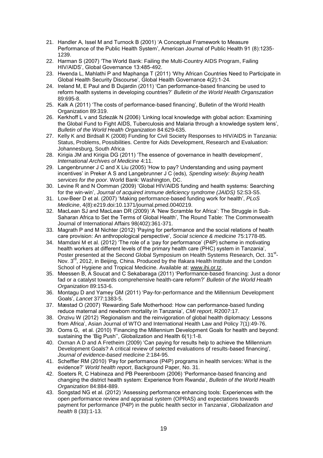- 21. Handler A, Issel M and Turnock B (2001) 'A Conceptual Framework to Measure Performance of the Public Health System', American Journal of Public Health 91 (8):1235- 1239.
- 22. Harman S (2007) 'The World Bank: Failing the Multi-Country AIDS Program, Failing HIV/AIDS', Global Governance 13:485-492.
- 23. Hwenda L, Mahlathi P and Maphanga T (2011) 'Why African Countries Need to Participate in Global Health Security Discourse', Global Health Governance 4(2):1-24.
- 24. Ireland M, E Paul and B Dujardin (2011) 'Can performance-based financing be used to reform health systems in developing countries?' *Bulletin of the World Health Organszation* 89:695-8.
- 25. Kalk A (2011) 'The costs of performance-based financing', Bulletin of the World Health Organization 89:319.
- 26. Kerkhoff L v and Szlezák N (2006) 'Linking local knowledge with global action: Examining the Global Fund to Fight AIDS, Tuberculosis and Malaria through a knowledge system lens', *Bulletin of the World Health Organization* 84:629-635.
- 27. Kelly K and Birdsall K (2008) Funding for Civil Society Responses to HIV/AIDS in Tanzania: Status, Problems, Possibilities. Centre for Aids Development, Research and Evaluation: Johannesburg, South Africa
- 28. Kirigia JM and Kirigia DG (2011) 'The essence of governance in health development', *International Archives of Medicine* 4:11.
- 29. Langenbrunner J C and X Liu (2005) 'How to pay? Understanding and using payment incentives' in Preker A S and Langebrunner J C (eds), *Spending wisely: Buying health services for the poor*. World Bank: Washington, DC.
- 30. Levine R and N Oomman (2009) 'Global HIV/AIDS funding and health systems: Searching for the win-win', *Journal of acquired immune deficiency syndrome (JAIDS)* 52:S3-S5.
- 31. Low-Beer D et al. (2007) 'Making performance-based funding work for health', *PLoS Medicine*, 4(8):e219.doi:10.1371/journal.pmed.0040219.
- 32. MacLean SJ and MacLean DR (2009) 'A 'New Scramble for Africa': The Struggle in Sub-Saharan Africa to Set the Terms of Global Health', The Round Table: The Commonwealth Journal of International Affairs 98(402):361-371.
- 33. Magrath P and M Nichter (2012) 'Paying for performance and the social relations of health care provision: An anthropological perspective', *Social science & medicine* 75:1778-85.
- 34. Mamdani M et al. (2012) 'The role of a 'pay for performance' (P4P) scheme in motivating health workers at different levels of the primary health care (PHC) system in Tanzania', Poster presented at the Second Global Symposium on Health Systems Research, Oct. 31<sup>st</sup>-Nov.  $3<sup>rd</sup>$ , 2012, in Beijing, China. Produced by the Ifakara Health Institute and the London School of Hygiene and Tropical Medicine. Available at: [www.ihi.or.tz.](http://www.ihi.or.tz/)
- 35. Meessen B, A Soucat and C Sekabaraga (2011) 'Performance-based financing: Just a donor fad or a catalyst towards comprehensive health-care reform?' *Bulletin of the World Health Organization* 89:153-6.
- 36. Montagu D and Yamey GM (2011) 'Pay-for-performance and the Millennium Development Goals', *Lancet* 377:1383-5.
- 37. Mæstad O (2007) 'Rewarding Safe Motherhood: How can performance-based funding reduce maternal and newborn mortality in Tanzania', *CMI report*, R2007:17.
- 38. Onzivu W (2012) 'Regionalism and the reinvigoration of global health diplomacy: Lessons from Africa', Asian Journal of WTO and International Health Law and Policy 7(1):49-76.
- 39. Ooms G, et al. (2010) 'Financing the Millennium Development Goals for health and beyond: sustaining the 'Big Push'', Globalization and Health 6(1):1-8.
- 40. Oxman A D and A Fretheim (2009) 'Can paying for results help to achieve the Millennium Development Goals? A critical review of selected evaluations of results-based financing', *Journal of evidence-based medicine* 2:184-95.
- 41. Scheffler RM (2010) 'Pay for performance (P4P) programs in health services: What is the evidence?' *World health report*, Background Paper, No. 31.
- 42. Soeters R, C Habineza and PB Peerenboom (2006) 'Performance-based financing and changing the district health system: Experience from Rwanda', *Bulletin of the World Health Organization* 84:884-889.
- 43. Songstad NG et al. (2012) 'Assessing performance enhancing tools: Experiences with the open performance review and appraisal system (OPRAS) and expectations towards payment for performance (P4P) in the public health sector in Tanzania', *Globalization and health* 8 (33):1-13.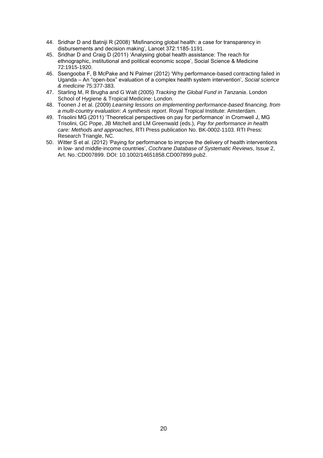- 44. Sridhar D and Batniji R (2008) 'Misfinancing global health: a case for transparency in disbursements and decision making', Lancet 372:1185-1191.
- 45. Sridhar D and Craig D (2011) 'Analysing global health assistance: The reach for ethnographic, institutional and political economic scope', Social Science & Medicine 72:1915-1920.
- 46. Ssengooba F, B McPake and N Palmer (2012) 'Why performance-based contracting failed in Uganda – An "open-box" evaluation of a complex health system intervention', *Social science & medicine* 75:377-383.
- 47. Starling M, R Brugha and G Walt (2005) *Tracking the Global Fund in Tanzania*. London School of Hygiene & Tropical Medicine: London.
- 48. Toonen J et al. (2009) *Learning lessons on implementing performance-based financing, from a multi-country evaluation*: *A synthesis report*. Royal Tropical Institute: Amsterdam.
- 49. Trisolini MG (2011) 'Theoretical perspectives on pay for performance' in Cromwell J, MG Trisolini, GC Pope, JB Mitchell and LM Greenwald (eds.), *Pay for performance in health care: Methods and approaches,* RTI Press publication No. BK-0002-1103. RTI Press: Research Triangle, NC.
- 50. Witter S et al. (2012) 'Paying for performance to improve the delivery of health interventions in low- and middle-income countries', *Cochrane Database of Systematic Reviews*, Issue 2, Art. No.:CD007899. DOI: 10.1002/14651858.CD007899.pub2.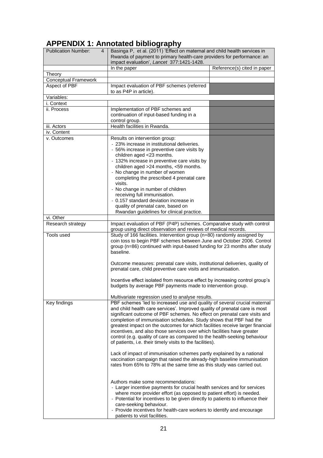# <span id="page-20-0"></span>**APPENDIX 1: Annotated bibliography**

| <b>Publication Number:</b><br>4 | Basinga P, et al. (2011) 'Effect on maternal and child health services in<br>Rwanda of payment to primary health-care providers for performance: an                                                                                                                                                                                                                                                            |                             |  |
|---------------------------------|----------------------------------------------------------------------------------------------------------------------------------------------------------------------------------------------------------------------------------------------------------------------------------------------------------------------------------------------------------------------------------------------------------------|-----------------------------|--|
|                                 | impact evaluation', Lancet 377:1421-1428.                                                                                                                                                                                                                                                                                                                                                                      |                             |  |
|                                 | In the paper                                                                                                                                                                                                                                                                                                                                                                                                   | Reference(s) cited in paper |  |
| Theory<br>Conceptual Framework  |                                                                                                                                                                                                                                                                                                                                                                                                                |                             |  |
| Aspect of PBF                   | Impact evaluation of PBF schemes (referred                                                                                                                                                                                                                                                                                                                                                                     |                             |  |
|                                 | to as P4P in article).                                                                                                                                                                                                                                                                                                                                                                                         |                             |  |
| Variables:                      |                                                                                                                                                                                                                                                                                                                                                                                                                |                             |  |
| i. Context                      |                                                                                                                                                                                                                                                                                                                                                                                                                |                             |  |
| ii. Process                     | Implementation of PBF schemes and<br>continuation of input-based funding in a                                                                                                                                                                                                                                                                                                                                  |                             |  |
|                                 | control group.                                                                                                                                                                                                                                                                                                                                                                                                 |                             |  |
| iii. Actors                     | Health facilities in Rwanda.                                                                                                                                                                                                                                                                                                                                                                                   |                             |  |
| iv. Content                     |                                                                                                                                                                                                                                                                                                                                                                                                                |                             |  |
| v. Outcomes                     | Results on intervention group:                                                                                                                                                                                                                                                                                                                                                                                 |                             |  |
|                                 | - 23% increase in institutional deliveries.                                                                                                                                                                                                                                                                                                                                                                    |                             |  |
|                                 | - 56% increase in preventive care visits by                                                                                                                                                                                                                                                                                                                                                                    |                             |  |
|                                 | children aged <23 months.                                                                                                                                                                                                                                                                                                                                                                                      |                             |  |
|                                 | - 132% increase in preventive care visits by                                                                                                                                                                                                                                                                                                                                                                   |                             |  |
|                                 | children aged >24 months, <59 months.                                                                                                                                                                                                                                                                                                                                                                          |                             |  |
|                                 | - No change in number of women<br>completing the prescribed 4 prenatal care                                                                                                                                                                                                                                                                                                                                    |                             |  |
|                                 | visits.                                                                                                                                                                                                                                                                                                                                                                                                        |                             |  |
|                                 | - No change in number of children                                                                                                                                                                                                                                                                                                                                                                              |                             |  |
|                                 | receiving full immunisation.                                                                                                                                                                                                                                                                                                                                                                                   |                             |  |
|                                 | - 0.157 standard deviation increase in                                                                                                                                                                                                                                                                                                                                                                         |                             |  |
|                                 | quality of prenatal care, based on                                                                                                                                                                                                                                                                                                                                                                             |                             |  |
|                                 | Rwandan guidelines for clinical practice.                                                                                                                                                                                                                                                                                                                                                                      |                             |  |
| vi. Other                       |                                                                                                                                                                                                                                                                                                                                                                                                                |                             |  |
| Research strategy               | Impact evaluation of PBF (P4P) schemes. Comparative study with control<br>group using direct observation and reviews of medical records.                                                                                                                                                                                                                                                                       |                             |  |
| Tools used                      | Study of 166 facilities. Intervention group (n=80) randomly assigned by<br>coin toss to begin PBF schemes between June and October 2006. Control<br>group (n=86) continued with input-based funding for 23 months after study<br>baseline.                                                                                                                                                                     |                             |  |
|                                 | Outcome measures: prenatal care visits, institutional deliveries, quality of<br>prenatal care, child preventive care visits and immunisation.                                                                                                                                                                                                                                                                  |                             |  |
|                                 | Incentive effect isolated from resource effect by increasing control group's<br>budgets by average PBF payments made to intervention group.                                                                                                                                                                                                                                                                    |                             |  |
|                                 | Multivariate regression used to analyse results.                                                                                                                                                                                                                                                                                                                                                               |                             |  |
| Key findings                    | PBF schemes 'led to increased use and quality of several crucial maternal                                                                                                                                                                                                                                                                                                                                      |                             |  |
|                                 | and child health care services'. Improved quality of prenatal care is most                                                                                                                                                                                                                                                                                                                                     |                             |  |
|                                 | significant outcome of PBF schemes. No effect on prenatal care visits and                                                                                                                                                                                                                                                                                                                                      |                             |  |
|                                 | completion of immunisation schedules. Study shows that PBF had the                                                                                                                                                                                                                                                                                                                                             |                             |  |
|                                 | greatest impact on the outcomes for which facilities receive larger financial                                                                                                                                                                                                                                                                                                                                  |                             |  |
|                                 | incentives, and also those services over which facilities have greater                                                                                                                                                                                                                                                                                                                                         |                             |  |
|                                 | control (e.g. quality of care as compared to the health-seeking behaviour<br>of patients, i.e. their timely visits to the facilities).                                                                                                                                                                                                                                                                         |                             |  |
|                                 |                                                                                                                                                                                                                                                                                                                                                                                                                |                             |  |
|                                 | Lack of impact of immunisation schemes partly explained by a national<br>vaccination campaign that raised the already-high baseline immunisation<br>rates from 65% to 78% at the same time as this study was carried out.                                                                                                                                                                                      |                             |  |
|                                 | Authors make some recommendations:<br>- Larger incentive payments for crucial health services and for services<br>where more provider effort (as opposed to patient effort) is needed.<br>- Potential for incentives to be given directly to patients to influence their<br>care-seeking behaviour.<br>- Provide incentives for health-care workers to identify and encourage<br>patients to visit facilities. |                             |  |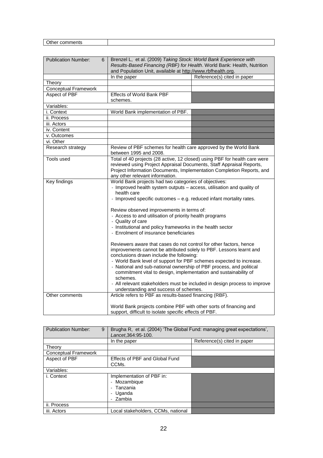| <b>Publication Number:</b><br>6 | Brenzel L, et al. (2009) Taking Stock: World Bank Experience with<br>Results-Based Financing (RBF) for Health. World Bank: Health, Nutrition<br>and Population Unit, available at http://www.rbfhealth.org.                                                                                                                                                                                                                                                                                      |                                                                  |  |
|---------------------------------|--------------------------------------------------------------------------------------------------------------------------------------------------------------------------------------------------------------------------------------------------------------------------------------------------------------------------------------------------------------------------------------------------------------------------------------------------------------------------------------------------|------------------------------------------------------------------|--|
|                                 | In the paper                                                                                                                                                                                                                                                                                                                                                                                                                                                                                     | Reference(s) cited in paper                                      |  |
| Theory                          |                                                                                                                                                                                                                                                                                                                                                                                                                                                                                                  |                                                                  |  |
| <b>Conceptual Framework</b>     |                                                                                                                                                                                                                                                                                                                                                                                                                                                                                                  |                                                                  |  |
| Aspect of PBF                   | <b>Effects of World Bank PBF</b>                                                                                                                                                                                                                                                                                                                                                                                                                                                                 |                                                                  |  |
|                                 | schemes.                                                                                                                                                                                                                                                                                                                                                                                                                                                                                         |                                                                  |  |
| Variables:                      |                                                                                                                                                                                                                                                                                                                                                                                                                                                                                                  |                                                                  |  |
| i. Context                      | World Bank implementation of PBF.                                                                                                                                                                                                                                                                                                                                                                                                                                                                |                                                                  |  |
| ii. Process                     |                                                                                                                                                                                                                                                                                                                                                                                                                                                                                                  |                                                                  |  |
| iii. Actors                     |                                                                                                                                                                                                                                                                                                                                                                                                                                                                                                  |                                                                  |  |
| iv. Content                     |                                                                                                                                                                                                                                                                                                                                                                                                                                                                                                  |                                                                  |  |
| v. Outcomes                     |                                                                                                                                                                                                                                                                                                                                                                                                                                                                                                  |                                                                  |  |
| vi. Other                       |                                                                                                                                                                                                                                                                                                                                                                                                                                                                                                  |                                                                  |  |
| Research strategy               | between 1995 and 2008.                                                                                                                                                                                                                                                                                                                                                                                                                                                                           | Review of PBF schemes for health care approved by the World Bank |  |
| Tools used                      | Total of 40 projects (28 active, 12 closed) using PBF for health care were<br>reviewed using Project Appraisal Documents, Staff Appraisal Reports,<br>Project Information Documents, Implementation Completion Reports, and<br>any other relevant information.                                                                                                                                                                                                                                   |                                                                  |  |
| <b>Key findings</b>             | World Bank projects had two categories of objectives:                                                                                                                                                                                                                                                                                                                                                                                                                                            |                                                                  |  |
|                                 | - Improved health system outputs - access, utilisation and quality of<br>health care<br>- Improved specific outcomes - e.g. reduced infant mortality rates.                                                                                                                                                                                                                                                                                                                                      |                                                                  |  |
|                                 | Review observed improvements in terms of:<br>- Access to and utilisation of priority health programs<br>- Quality of care<br>- Institutional and policy frameworks in the health sector<br>- Enrolment of insurance beneficiaries                                                                                                                                                                                                                                                                |                                                                  |  |
|                                 | Reviewers aware that cases do not control for other factors, hence<br>improvements cannot be attributed solely to PBF. Lessons learnt and<br>conclusions drawn include the following:<br>- World Bank level of support for PBF schemes expected to increase.<br>- National and sub-national ownership of PBF process, and political<br>commitment vital to design, implementation and sustainability of<br>schemes.<br>- All relevant stakeholders must be included in design process to improve |                                                                  |  |
|                                 | understanding and success of schemes.                                                                                                                                                                                                                                                                                                                                                                                                                                                            |                                                                  |  |
| Other comments                  |                                                                                                                                                                                                                                                                                                                                                                                                                                                                                                  | Article refers to PBF as results-based financing (RBF).          |  |
|                                 | World Bank projects combine PBF with other sorts of financing and<br>support, difficult to isolate specific effects of PBF.                                                                                                                                                                                                                                                                                                                                                                      |                                                                  |  |

| <b>Publication Number:</b><br>9 | Brugha R, et al. (2004) 'The Global Fund: managing great expectations',<br>Lancet.364:95-100. |                             |  |
|---------------------------------|-----------------------------------------------------------------------------------------------|-----------------------------|--|
|                                 | In the paper                                                                                  | Reference(s) cited in paper |  |
| Theory                          |                                                                                               |                             |  |
| <b>Conceptual Framework</b>     |                                                                                               |                             |  |
| Aspect of PBF                   | Effects of PBF and Global Fund                                                                |                             |  |
|                                 | CCM <sub>s</sub>                                                                              |                             |  |
| Variables:                      |                                                                                               |                             |  |
| i. Context                      | Implementation of PBF in:                                                                     |                             |  |
|                                 | - Mozambique                                                                                  |                             |  |
|                                 | - Tanzania                                                                                    |                             |  |
|                                 | Uganda                                                                                        |                             |  |
|                                 | - Zambia                                                                                      |                             |  |
| ii. Process                     |                                                                                               |                             |  |
| iii. Actors                     | Local stakeholders, CCMs, national                                                            |                             |  |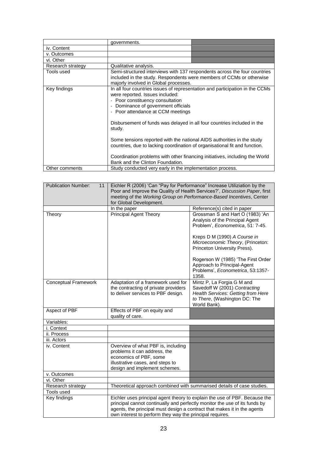|                                                                                                                                                                                                          | governments.                                                                                                                                                                                                                                                                                                                                                                                                                                                                                                                                                                                    |  |
|----------------------------------------------------------------------------------------------------------------------------------------------------------------------------------------------------------|-------------------------------------------------------------------------------------------------------------------------------------------------------------------------------------------------------------------------------------------------------------------------------------------------------------------------------------------------------------------------------------------------------------------------------------------------------------------------------------------------------------------------------------------------------------------------------------------------|--|
| iv. Content                                                                                                                                                                                              |                                                                                                                                                                                                                                                                                                                                                                                                                                                                                                                                                                                                 |  |
| v. Outcomes                                                                                                                                                                                              |                                                                                                                                                                                                                                                                                                                                                                                                                                                                                                                                                                                                 |  |
| vi. Other                                                                                                                                                                                                |                                                                                                                                                                                                                                                                                                                                                                                                                                                                                                                                                                                                 |  |
| Research strategy                                                                                                                                                                                        | Qualitative analysis.                                                                                                                                                                                                                                                                                                                                                                                                                                                                                                                                                                           |  |
| Semi-structured interviews with 137 respondents across the four countries<br>Tools used<br>included in the study. Respondents were members of CCMs or otherwise<br>majorly involved in Global processes. |                                                                                                                                                                                                                                                                                                                                                                                                                                                                                                                                                                                                 |  |
| Key findings                                                                                                                                                                                             | In all four countries issues of representation and participation in the CCMs<br>were reported. Issues included:<br>- Poor constituency consultation<br>- Dominance of government officials<br>- Poor attendance at CCM meetings<br>Disbursement of funds was delayed in all four countries included in the<br>study.<br>Some tensions reported with the national AIDS authorities in the study<br>countries, due to lacking coordination of organisational fit and function.<br>Coordination problems with other financing initiatives, including the World<br>Bank and the Clinton Foundation. |  |
| Other comments                                                                                                                                                                                           | Study conducted very early in the implementation process.                                                                                                                                                                                                                                                                                                                                                                                                                                                                                                                                       |  |

| <b>Publication Number:</b><br>11 | Eichler R (2006) 'Can "Pay for Performance" Increase Utiliziation by the<br>Poor and Improve the Quality of Health Services?', Discussion Paper, first<br>meeting of the Working Group on Performance-Based Incentives, Center |                                                                                                                                                    |  |
|----------------------------------|--------------------------------------------------------------------------------------------------------------------------------------------------------------------------------------------------------------------------------|----------------------------------------------------------------------------------------------------------------------------------------------------|--|
|                                  | for Global Development.                                                                                                                                                                                                        |                                                                                                                                                    |  |
|                                  | In the paper                                                                                                                                                                                                                   | Reference(s) cited in paper                                                                                                                        |  |
| Theory                           | <b>Principal Agent Theory</b>                                                                                                                                                                                                  | Grossman S and Hart O (1983) 'An<br>Analysis of the Principal Agent<br>Problem', Econometrica, 51: 7-45.                                           |  |
|                                  |                                                                                                                                                                                                                                | Kreps D M (1990) A Course in<br>Microeconomic Theory, (Princeton:<br>Princeton University Press).                                                  |  |
|                                  |                                                                                                                                                                                                                                | Rogerson W (1985) 'The First Order<br>Approach to Principal-Agent<br>Problems', Econometrica, 53:1357-<br>1358.                                    |  |
| <b>Conceptual Framework</b>      | Adaptation of a framework used for<br>the contracting of private providers<br>to deliver services to PBF design.                                                                                                               | Mintz P, La Forgia G M and<br>Savedoff W (2001) Contracting<br>Health Services: Getting from Here<br>to There, (Washington DC: The<br>World Bank). |  |
| Aspect of PBF                    | Effects of PBF on equity and<br>quality of care.                                                                                                                                                                               |                                                                                                                                                    |  |
| Variables:                       |                                                                                                                                                                                                                                |                                                                                                                                                    |  |
| i. Context                       |                                                                                                                                                                                                                                |                                                                                                                                                    |  |
| ii. Process                      |                                                                                                                                                                                                                                |                                                                                                                                                    |  |
| iii. Actors                      |                                                                                                                                                                                                                                |                                                                                                                                                    |  |
| iv. Content                      | Overview of what PBF is, including<br>problems it can address, the<br>economics of PBF, some<br>illustrative cases, and steps to<br>design and implement schemes.                                                              |                                                                                                                                                    |  |
| v. Outcomes                      |                                                                                                                                                                                                                                |                                                                                                                                                    |  |
| vi. Other                        |                                                                                                                                                                                                                                |                                                                                                                                                    |  |
| Research strategy                | Theoretical approach combined with summarised details of case studies.                                                                                                                                                         |                                                                                                                                                    |  |
| Tools used                       |                                                                                                                                                                                                                                |                                                                                                                                                    |  |
| Key findings                     | principal cannot continually and perfectly monitor the use of its funds by<br>agents, the principal must design a contract that makes it in the agents<br>own interest to perform they way the principal requires.             | Eichler uses principal agent theory to explain the use of PBF. Because the                                                                         |  |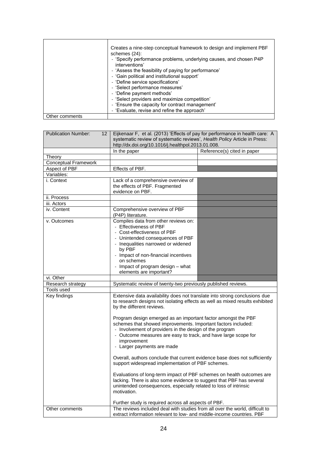|                | Creates a nine-step conceptual framework to design and implement PBF<br>schemes (24):<br>- 'Specify performance problems, underlying causes, and chosen P4P<br>interventions'<br>- 'Assess the feasibility of paying for performance'<br>- 'Gain political and institutional support'<br>- 'Define service specifications'<br>- 'Select performance measures'<br>- 'Define payment methods'<br>- 'Select providers and maximize competition'<br>- 'Ensure the capacity for contract management' |
|----------------|-------------------------------------------------------------------------------------------------------------------------------------------------------------------------------------------------------------------------------------------------------------------------------------------------------------------------------------------------------------------------------------------------------------------------------------------------------------------------------------------------|
| Other comments | - 'Evaluate, revise and refine the approach'                                                                                                                                                                                                                                                                                                                                                                                                                                                    |

| <b>Publication Number:</b><br>12      | Eijkenaar F, et al. (2013) 'Effects of pay for performance in health care: A                                                                                                                                                     |                             |  |
|---------------------------------------|----------------------------------------------------------------------------------------------------------------------------------------------------------------------------------------------------------------------------------|-----------------------------|--|
|                                       | systematic review of systematic reviews', Health Policy Article in Press:                                                                                                                                                        |                             |  |
|                                       | http://dx.doi.org/10.1016/j.healthpol.2013.01.008.                                                                                                                                                                               |                             |  |
|                                       | In the paper                                                                                                                                                                                                                     | Reference(s) cited in paper |  |
| Theory<br><b>Conceptual Framework</b> |                                                                                                                                                                                                                                  |                             |  |
| Aspect of PBF                         | Effects of PBF.                                                                                                                                                                                                                  |                             |  |
| Variables:                            |                                                                                                                                                                                                                                  |                             |  |
| i. Context                            | Lack of a comprehensive overview of                                                                                                                                                                                              |                             |  |
|                                       | the effects of PBF. Fragmented                                                                                                                                                                                                   |                             |  |
|                                       | evidence on PBF.                                                                                                                                                                                                                 |                             |  |
| ii. Process                           |                                                                                                                                                                                                                                  |                             |  |
| iii. Actors                           |                                                                                                                                                                                                                                  |                             |  |
| iv. Content                           | Comprehensive overview of PBF<br>(P4P) literature.                                                                                                                                                                               |                             |  |
| v. Outcomes                           | Compiles data from other reviews on:<br>- Effectiveness of PBF                                                                                                                                                                   |                             |  |
|                                       | - Cost-effectiveness of PBF                                                                                                                                                                                                      |                             |  |
|                                       | - Unintended consequences of PBF                                                                                                                                                                                                 |                             |  |
|                                       | - Inequalities narrowed or widened                                                                                                                                                                                               |                             |  |
|                                       | by PBF                                                                                                                                                                                                                           |                             |  |
|                                       | - Impact of non-financial incentives                                                                                                                                                                                             |                             |  |
|                                       | on schemes                                                                                                                                                                                                                       |                             |  |
|                                       | - Impact of program design - what                                                                                                                                                                                                |                             |  |
|                                       | elements are important?                                                                                                                                                                                                          |                             |  |
|                                       |                                                                                                                                                                                                                                  |                             |  |
| vi. Other                             |                                                                                                                                                                                                                                  |                             |  |
| Research strategy                     | Systematic review of twenty-two previously published reviews.                                                                                                                                                                    |                             |  |
| Tools used                            |                                                                                                                                                                                                                                  |                             |  |
| Key findings                          | Extensive data availability does not translate into strong conclusions due<br>to research designs not isolating effects as well as mixed results exhibited<br>by the different reviews.                                          |                             |  |
|                                       | Program design emerged as an important factor amongst the PBF<br>schemes that showed improvements. Important factors included:                                                                                                   |                             |  |
|                                       | - Involvement of providers in the design of the program<br>- Outcome measures are easy to track, and have large scope for                                                                                                        |                             |  |
|                                       | improvement                                                                                                                                                                                                                      |                             |  |
|                                       | - Larger payments are made                                                                                                                                                                                                       |                             |  |
|                                       | Overall, authors conclude that current evidence base does not sufficiently<br>support widespread implementation of PBF schemes.                                                                                                  |                             |  |
|                                       | Evaluations of long-term impact of PBF schemes on health outcomes are<br>lacking. There is also some evidence to suggest that PBF has several<br>unintended consequences, especially related to loss of intrinsic<br>motivation. |                             |  |
|                                       |                                                                                                                                                                                                                                  |                             |  |
| Other comments                        | Further study is required across all aspects of PBF.<br>The reviews included deal with studies from all over the world, difficult to                                                                                             |                             |  |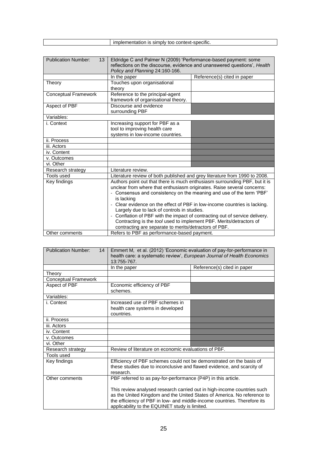| $  -$<br>context-specific.<br>simp<br>---<br>IS.<br>זרו<br>nniv<br>ranor<br>neni<br>″≏ان |
|------------------------------------------------------------------------------------------|
|                                                                                          |

| <b>Publication Number:</b><br>13 <sup>2</sup> | Eldridge C and Palmer N (2009) 'Performance-based payment: some<br>reflections on the discourse, evidence and unanswered questions', Health<br>Policy and Planning 24:160-166.                                                                                                                                                                                                                                                                                                                                                                                                        |                             |  |
|-----------------------------------------------|---------------------------------------------------------------------------------------------------------------------------------------------------------------------------------------------------------------------------------------------------------------------------------------------------------------------------------------------------------------------------------------------------------------------------------------------------------------------------------------------------------------------------------------------------------------------------------------|-----------------------------|--|
|                                               | In the paper                                                                                                                                                                                                                                                                                                                                                                                                                                                                                                                                                                          | Reference(s) cited in paper |  |
| Theory                                        | Touches upon organisational<br>theory                                                                                                                                                                                                                                                                                                                                                                                                                                                                                                                                                 |                             |  |
| <b>Conceptual Framework</b>                   | Reference to the principal-agent<br>framework of organisational theory.                                                                                                                                                                                                                                                                                                                                                                                                                                                                                                               |                             |  |
| Aspect of PBF                                 | Discourse and evidence<br>surrounding PBF                                                                                                                                                                                                                                                                                                                                                                                                                                                                                                                                             |                             |  |
| Variables:                                    |                                                                                                                                                                                                                                                                                                                                                                                                                                                                                                                                                                                       |                             |  |
| i. Context                                    | Increasing support for PBF as a<br>tool to improving health care<br>systems in low-income countries.                                                                                                                                                                                                                                                                                                                                                                                                                                                                                  |                             |  |
| ii. Process                                   |                                                                                                                                                                                                                                                                                                                                                                                                                                                                                                                                                                                       |                             |  |
| iii. Actors                                   |                                                                                                                                                                                                                                                                                                                                                                                                                                                                                                                                                                                       |                             |  |
| iv. Content                                   |                                                                                                                                                                                                                                                                                                                                                                                                                                                                                                                                                                                       |                             |  |
| v. Outcomes                                   |                                                                                                                                                                                                                                                                                                                                                                                                                                                                                                                                                                                       |                             |  |
| vi. Other                                     |                                                                                                                                                                                                                                                                                                                                                                                                                                                                                                                                                                                       |                             |  |
| Research strategy                             | Literature review.                                                                                                                                                                                                                                                                                                                                                                                                                                                                                                                                                                    |                             |  |
| Tools used                                    | Literature review of both published and grey literature from 1990 to 2008.                                                                                                                                                                                                                                                                                                                                                                                                                                                                                                            |                             |  |
| Key findings                                  | Authors point out that there is much enthusiasm surrounding PBF, but it is<br>unclear from where that enthusiasm originates. Raise several concerns:<br>- Consensus and consistency on the meaning and use of the term 'PBF'<br>is lacking<br>- Clear evidence on the effect of PBF in low-income countries is lacking.<br>Largely due to lack of controls in studies.<br>- Conflation of PBF with the impact of contracting out of service delivery.<br>Contracting is the tool used to implement PBF. Merits/detractors of<br>contracting are separate to merits/detractors of PBF. |                             |  |
| Other comments                                | Refers to PBF as performance-based payment.                                                                                                                                                                                                                                                                                                                                                                                                                                                                                                                                           |                             |  |

| <b>Publication Number:</b><br>14 | Emmert M, et al. (2012) 'Economic evaluation of pay-for-performance in<br>health care: a systematic review', European Journal of Health Economics<br>13:755-767.                                                                                                                                                                                  |                             |  |
|----------------------------------|---------------------------------------------------------------------------------------------------------------------------------------------------------------------------------------------------------------------------------------------------------------------------------------------------------------------------------------------------|-----------------------------|--|
|                                  | In the paper                                                                                                                                                                                                                                                                                                                                      | Reference(s) cited in paper |  |
| Theory                           |                                                                                                                                                                                                                                                                                                                                                   |                             |  |
| <b>Conceptual Framework</b>      |                                                                                                                                                                                                                                                                                                                                                   |                             |  |
| Aspect of PBF                    | Economic efficiency of PBF<br>schemes.                                                                                                                                                                                                                                                                                                            |                             |  |
| Variables:                       |                                                                                                                                                                                                                                                                                                                                                   |                             |  |
| i. Context                       | Increased use of PBF schemes in<br>health care systems in developed<br>countries.                                                                                                                                                                                                                                                                 |                             |  |
| ii. Process                      |                                                                                                                                                                                                                                                                                                                                                   |                             |  |
| iii. Actors                      |                                                                                                                                                                                                                                                                                                                                                   |                             |  |
| iv. Content                      |                                                                                                                                                                                                                                                                                                                                                   |                             |  |
| v. Outcomes                      |                                                                                                                                                                                                                                                                                                                                                   |                             |  |
| vi. Other                        |                                                                                                                                                                                                                                                                                                                                                   |                             |  |
| Research strategy                | Review of literature on economic evaluations of PBF.                                                                                                                                                                                                                                                                                              |                             |  |
| Tools used                       |                                                                                                                                                                                                                                                                                                                                                   |                             |  |
| Key findings                     | Efficiency of PBF schemes could not be demonstrated on the basis of<br>these studies due to inconclusive and flawed evidence, and scarcity of<br>research.                                                                                                                                                                                        |                             |  |
| Other comments                   | PBF referred to as pay-for-performance (P4P) in this article.<br>This review analysed research carried out in high-income countries such<br>as the United Kingdom and the United States of America. No reference to<br>the efficiency of PBF in low- and middle-income countries. Therefore its<br>applicability to the EQUINET study is limited. |                             |  |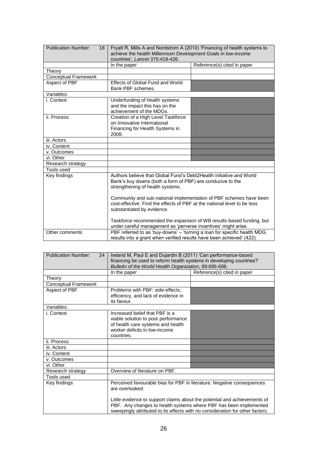| <b>Publication Number:</b><br>18 | Fryatt R, Mills A and Nordstrom A (2010) 'Financing of health systems to<br>achieve the health Millennium Development Goals in low-income<br>countries', Lancet 375:419-426. |                             |
|----------------------------------|------------------------------------------------------------------------------------------------------------------------------------------------------------------------------|-----------------------------|
|                                  | In the paper                                                                                                                                                                 | Reference(s) cited in paper |
| Theory                           |                                                                                                                                                                              |                             |
| <b>Conceptual Framework</b>      |                                                                                                                                                                              |                             |
| Aspect of PBF                    | Effects of Global Fund and World<br>Bank PBF schemes.                                                                                                                        |                             |
| Variables:                       |                                                                                                                                                                              |                             |
| i. Context                       | Underfunding of health systems<br>and the impact this has on the<br>achievement of the MDGs.                                                                                 |                             |
| ii. Process                      | Creation of a High Level Taskforce<br>on Innovative International<br>Financing for Health Systems in<br>2008.                                                                |                             |
| iii. Actors                      |                                                                                                                                                                              |                             |
| iv. Content                      |                                                                                                                                                                              |                             |
| v. Outcomes                      |                                                                                                                                                                              |                             |
| vi. Other                        |                                                                                                                                                                              |                             |
| Research strategy                |                                                                                                                                                                              |                             |
| Tools used                       |                                                                                                                                                                              |                             |
| Key findings                     | Authors believe that Global Fund's Debt2Health initiative and World<br>Bank's buy downs (both a form of PBF) are conducive to the<br>strengthening of health systems.        |                             |
|                                  | Community and sub-national implementation of PBF schemes have been<br>cost-effective. Find the effects of PBF at the national level to be less<br>substantiated by evidence. |                             |
|                                  | Taskforce recommended the expansion of WB results-based funding, but<br>under careful management as 'perverse incentives' might arise.                                       |                             |
| Other comments                   | PBF referred to as 'buy-downs' - 'turning a loan for specific health MDG<br>results into a grant when verified results have been achieved' (422).                            |                             |

| <b>Publication Number:</b><br>24 | Ireland M, Paul E and Dujardin B (2011) 'Can performance-based<br>financing be used to reform health systems in developing countries?'<br>Bulletin of the World Health Organization, 89:695-698. |                             |
|----------------------------------|--------------------------------------------------------------------------------------------------------------------------------------------------------------------------------------------------|-----------------------------|
|                                  | In the paper                                                                                                                                                                                     | Reference(s) cited in paper |
| Theory                           |                                                                                                                                                                                                  |                             |
| <b>Conceptual Framework</b>      |                                                                                                                                                                                                  |                             |
| Aspect of PBF                    | Problems with PBF: side-effects,<br>efficiency, and lack of evidence in<br>its favour.                                                                                                           |                             |
| Variables:                       |                                                                                                                                                                                                  |                             |
| i. Context                       | Increased belief that PBF is a<br>viable solution to poor performance<br>of health care systems and health<br>worker deficits in low-income<br>countries.                                        |                             |
| ii. Process                      |                                                                                                                                                                                                  |                             |
| iii. Actors                      |                                                                                                                                                                                                  |                             |
| iv. Content                      |                                                                                                                                                                                                  |                             |
| v. Outcomes                      |                                                                                                                                                                                                  |                             |
| vi. Other                        |                                                                                                                                                                                                  |                             |
| Research strategy                | Overview of literature on PBF.                                                                                                                                                                   |                             |
| Tools used                       |                                                                                                                                                                                                  |                             |
| Key findings                     | Perceived favourable bias for PBF in literature. Negative consequences<br>are overlooked.<br>Little evidence to support claims about the potential and achievements of                           |                             |
|                                  | PBF. Any changes to health systems where PBF has been implemented<br>sweepingly attributed to its effects with no consideration for other factors.                                               |                             |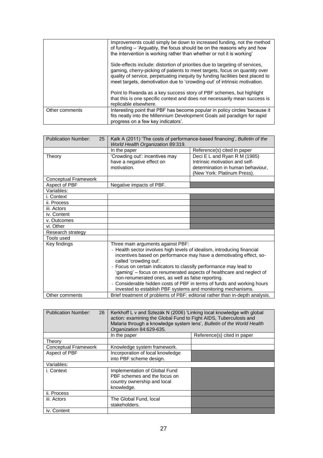|                | Improvements could simply be down to increased funding, not the method<br>of funding – 'Arguably, the focus should be on the reasons why and how<br>the intervention is working rather than whether or not it is working'                                                                                                 |
|----------------|---------------------------------------------------------------------------------------------------------------------------------------------------------------------------------------------------------------------------------------------------------------------------------------------------------------------------|
|                | Side-effects include: distortion of priorities due to targeting of services,<br>gaming, cherry-picking of patients to meet targets, focus on quantity over<br>quality of service, perpetuating inequity by funding facilities best placed to<br>meet targets, demotivation due to 'crowding-out' of intrinsic motivation. |
|                | Point to Rwanda as a key success story of PBF schemes, but highlight<br>that this is one specific context and does not necessarily mean success is<br>replicable elsewhere.                                                                                                                                               |
| Other comments | Interesting point that PBF has become popular in policy circles 'because it<br>fits neatly into the Millennium Development Goals aid paradigm for rapid<br>progress on a few key indicators'.                                                                                                                             |

| <b>Publication Number:</b><br>25 | Kalk A (2011) 'The costs of performance-based financing', Bulletin of the<br>World Health Organization 89:319.                                                                                                                                                                                                                                                                                                                                                                                                                                            |                                                                                                                                    |
|----------------------------------|-----------------------------------------------------------------------------------------------------------------------------------------------------------------------------------------------------------------------------------------------------------------------------------------------------------------------------------------------------------------------------------------------------------------------------------------------------------------------------------------------------------------------------------------------------------|------------------------------------------------------------------------------------------------------------------------------------|
|                                  | In the paper                                                                                                                                                                                                                                                                                                                                                                                                                                                                                                                                              | Reference(s) cited in paper                                                                                                        |
| Theory                           | 'Crowding out': incentives may<br>have a negative effect on<br>motivation.                                                                                                                                                                                                                                                                                                                                                                                                                                                                                | Deci E L and Ryan R M (1985)<br>Intrinsic motivation and self-<br>determination in human behaviour,<br>(New York: Platinum Press). |
| Conceptual Framework             |                                                                                                                                                                                                                                                                                                                                                                                                                                                                                                                                                           |                                                                                                                                    |
| Aspect of PBF                    | Negative impacts of PBF.                                                                                                                                                                                                                                                                                                                                                                                                                                                                                                                                  |                                                                                                                                    |
| Variables:                       |                                                                                                                                                                                                                                                                                                                                                                                                                                                                                                                                                           |                                                                                                                                    |
| i. Context                       |                                                                                                                                                                                                                                                                                                                                                                                                                                                                                                                                                           |                                                                                                                                    |
| ii. Process                      |                                                                                                                                                                                                                                                                                                                                                                                                                                                                                                                                                           |                                                                                                                                    |
| iii. Actors                      |                                                                                                                                                                                                                                                                                                                                                                                                                                                                                                                                                           |                                                                                                                                    |
| iv. Content                      |                                                                                                                                                                                                                                                                                                                                                                                                                                                                                                                                                           |                                                                                                                                    |
| v. Outcomes                      |                                                                                                                                                                                                                                                                                                                                                                                                                                                                                                                                                           |                                                                                                                                    |
| vi. Other                        |                                                                                                                                                                                                                                                                                                                                                                                                                                                                                                                                                           |                                                                                                                                    |
| Research strategy                |                                                                                                                                                                                                                                                                                                                                                                                                                                                                                                                                                           |                                                                                                                                    |
| Tools used                       |                                                                                                                                                                                                                                                                                                                                                                                                                                                                                                                                                           |                                                                                                                                    |
| Key findings                     | Three main arguments against PBF:<br>- Health sector involves high levels of idealism, introducing financial<br>incentives based on performance may have a demotivating effect, so-<br>called 'crowding out'.<br>- Focus on certain indicators to classify performance may lead to<br>'gaming' – focus on renumerated aspects of healthcare and neglect of<br>non-renumerated ones, as well as false reporting.<br>- Considerable hidden costs of PBF in terms of funds and working hours<br>invested to establish PBF systems and monitoring mechanisms. |                                                                                                                                    |
| Other comments                   | Brief treatment of problems of PBF: editorial rather than in-depth analysis.                                                                                                                                                                                                                                                                                                                                                                                                                                                                              |                                                                                                                                    |

| <b>Publication Number:</b><br>26 | Kerkhoff L v and Szlezák N (2006) 'Linking local knowledge with global<br>action: examining the Global Fund to Fight AIDS, Tuberculosis and<br>Malaria through a knowledge system lens', Bulletin of the World Health<br>Organization 84:629-635. |                             |
|----------------------------------|---------------------------------------------------------------------------------------------------------------------------------------------------------------------------------------------------------------------------------------------------|-----------------------------|
|                                  | In the paper                                                                                                                                                                                                                                      | Reference(s) cited in paper |
| Theorv                           |                                                                                                                                                                                                                                                   |                             |
| <b>Conceptual Framework</b>      | Knowledge system framework.                                                                                                                                                                                                                       |                             |
| Aspect of PBF                    | Incorporation of local knowledge<br>into PBF scheme design.                                                                                                                                                                                       |                             |
| Variables:                       |                                                                                                                                                                                                                                                   |                             |
| i. Context                       | Implementation of Global Fund<br>PBF schemes and the focus on<br>country ownership and local<br>knowledge.                                                                                                                                        |                             |
| ii. Process                      |                                                                                                                                                                                                                                                   |                             |
| iii. Actors                      | The Global Fund, local<br>stakeholders.                                                                                                                                                                                                           |                             |
| iv. Content                      |                                                                                                                                                                                                                                                   |                             |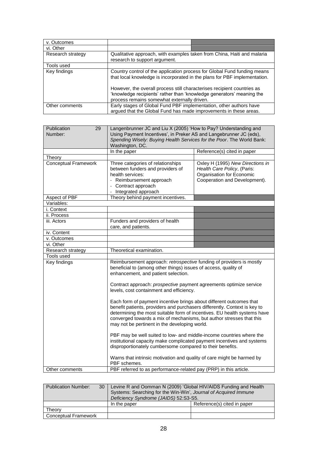| v. Outcomes       |                                                                                                                                                                                                                                                                                                                                                          |
|-------------------|----------------------------------------------------------------------------------------------------------------------------------------------------------------------------------------------------------------------------------------------------------------------------------------------------------------------------------------------------------|
| vi. Other         |                                                                                                                                                                                                                                                                                                                                                          |
| Research strategy | Qualitative approach, with examples taken from China, Haiti and malaria<br>research to support argument.                                                                                                                                                                                                                                                 |
| Tools used        |                                                                                                                                                                                                                                                                                                                                                          |
| Key findings      | Country control of the application process for Global Fund funding means<br>that local knowledge is incorporated in the plans for PBF implementation.<br>However, the overall process still characterises recipient countries as<br>'knowledge recipients' rather than 'knowledge generators' meaning the<br>process remains somewhat externally driven. |
| Other comments    | Early stages of Global Fund PBF implementation, other authors have<br>argued that the Global Fund has made improvements in these areas.                                                                                                                                                                                                                  |

| Publication<br>29                                                                                                                                                                                                            | Langenbrunner JC and Liu X (2005) 'How to Pay? Understanding and       |                                  |
|------------------------------------------------------------------------------------------------------------------------------------------------------------------------------------------------------------------------------|------------------------------------------------------------------------|----------------------------------|
| Number:                                                                                                                                                                                                                      | Using Payment Incentives', in Preker AS and Langebrunner JC (eds),     |                                  |
|                                                                                                                                                                                                                              | Spending Wisely: Buying Health Services for the Poor. The World Bank:  |                                  |
|                                                                                                                                                                                                                              | Washington, DC.                                                        |                                  |
|                                                                                                                                                                                                                              | In the paper                                                           | Reference(s) cited in paper      |
| Theory                                                                                                                                                                                                                       |                                                                        |                                  |
| Conceptual Framework                                                                                                                                                                                                         | Three categories of relationships                                      | Oxley H (1995) New Directions in |
|                                                                                                                                                                                                                              | between funders and providers of                                       | Health Care Policy, (Paris:      |
|                                                                                                                                                                                                                              | health services:                                                       | Organisation for Economic        |
|                                                                                                                                                                                                                              | - Reimbursement approach                                               | Cooperation and Development).    |
|                                                                                                                                                                                                                              | - Contract approach                                                    |                                  |
|                                                                                                                                                                                                                              | - Integrated approach                                                  |                                  |
| Aspect of PBF                                                                                                                                                                                                                | Theory behind payment incentives.                                      |                                  |
| Variables:                                                                                                                                                                                                                   |                                                                        |                                  |
| i. Context                                                                                                                                                                                                                   |                                                                        |                                  |
| ii. Process                                                                                                                                                                                                                  |                                                                        |                                  |
| iii. Actors                                                                                                                                                                                                                  | Funders and providers of health                                        |                                  |
|                                                                                                                                                                                                                              | care, and patients.                                                    |                                  |
| iv. Content                                                                                                                                                                                                                  |                                                                        |                                  |
| v. Outcomes                                                                                                                                                                                                                  |                                                                        |                                  |
| vi. Other                                                                                                                                                                                                                    |                                                                        |                                  |
| Research strategy                                                                                                                                                                                                            | Theoretical examination.                                               |                                  |
| Tools used                                                                                                                                                                                                                   |                                                                        |                                  |
| Key findings                                                                                                                                                                                                                 | Reimbursement approach: retrospective funding of providers is mostly   |                                  |
|                                                                                                                                                                                                                              | beneficial to (among other things) issues of access, quality of        |                                  |
|                                                                                                                                                                                                                              | enhancement, and patient selection.                                    |                                  |
|                                                                                                                                                                                                                              |                                                                        |                                  |
|                                                                                                                                                                                                                              | Contract approach: prospective payment agreements optimize service     |                                  |
|                                                                                                                                                                                                                              | levels, cost containment and efficiency.                               |                                  |
| Each form of payment incentive brings about different outcomes that<br>benefit patients, providers and purchasers differently. Context is key to<br>determining the most suitable form of incentives. EU health systems have |                                                                        |                                  |
|                                                                                                                                                                                                                              |                                                                        |                                  |
|                                                                                                                                                                                                                              |                                                                        |                                  |
|                                                                                                                                                                                                                              |                                                                        |                                  |
|                                                                                                                                                                                                                              | converged towards a mix of mechanisms, but author stresses that this   |                                  |
|                                                                                                                                                                                                                              | may not be pertinent in the developing world.                          |                                  |
|                                                                                                                                                                                                                              | PBF may be well suited to low- and middle-income countries where the   |                                  |
| institutional capacity make complicated payment incentives and systems<br>disproportionately cumbersome compared to their benefits.                                                                                          |                                                                        |                                  |
|                                                                                                                                                                                                                              |                                                                        |                                  |
|                                                                                                                                                                                                                              | Warns that intrinsic motivation and quality of care might be harmed by |                                  |
|                                                                                                                                                                                                                              | PBF schemes.                                                           |                                  |
| Other comments                                                                                                                                                                                                               | PBF referred to as performance-related pay (PRP) in this article.      |                                  |

| <b>Publication Number:</b><br>30 | Levine R and Oomman N (2009) 'Global HIV/AIDS Funding and Health<br>Systems: Searching for the Win-Win', Journal of Acquired Immune<br>Deficiency Syndrome (JAIDS) 52:S3-S5. |                             |
|----------------------------------|------------------------------------------------------------------------------------------------------------------------------------------------------------------------------|-----------------------------|
|                                  | In the paper                                                                                                                                                                 | Reference(s) cited in paper |
| Theory                           |                                                                                                                                                                              |                             |
| <b>Conceptual Framework</b>      |                                                                                                                                                                              |                             |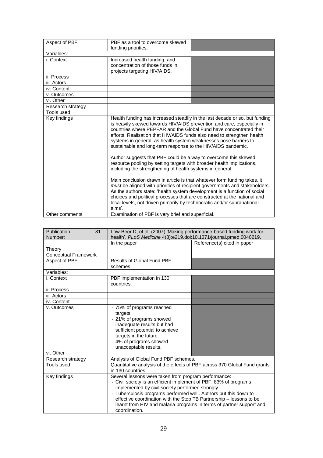| Aspect of PBF     | PBF as a tool to overcome skewed<br>funding priorities.                                                                                                                                                                                                                                                                                                                                                                                                                                                                                                                                                                                                                                                                                                                                                                                                                                                                                                                                                                                                   |  |
|-------------------|-----------------------------------------------------------------------------------------------------------------------------------------------------------------------------------------------------------------------------------------------------------------------------------------------------------------------------------------------------------------------------------------------------------------------------------------------------------------------------------------------------------------------------------------------------------------------------------------------------------------------------------------------------------------------------------------------------------------------------------------------------------------------------------------------------------------------------------------------------------------------------------------------------------------------------------------------------------------------------------------------------------------------------------------------------------|--|
| Variables:        |                                                                                                                                                                                                                                                                                                                                                                                                                                                                                                                                                                                                                                                                                                                                                                                                                                                                                                                                                                                                                                                           |  |
| i. Context        | Increased health funding, and<br>concentration of those funds in<br>projects targeting HIV/AIDS.                                                                                                                                                                                                                                                                                                                                                                                                                                                                                                                                                                                                                                                                                                                                                                                                                                                                                                                                                          |  |
| ii. Process       |                                                                                                                                                                                                                                                                                                                                                                                                                                                                                                                                                                                                                                                                                                                                                                                                                                                                                                                                                                                                                                                           |  |
| iii. Actors       |                                                                                                                                                                                                                                                                                                                                                                                                                                                                                                                                                                                                                                                                                                                                                                                                                                                                                                                                                                                                                                                           |  |
| iv. Content       |                                                                                                                                                                                                                                                                                                                                                                                                                                                                                                                                                                                                                                                                                                                                                                                                                                                                                                                                                                                                                                                           |  |
| v. Outcomes       |                                                                                                                                                                                                                                                                                                                                                                                                                                                                                                                                                                                                                                                                                                                                                                                                                                                                                                                                                                                                                                                           |  |
| vi. Other         |                                                                                                                                                                                                                                                                                                                                                                                                                                                                                                                                                                                                                                                                                                                                                                                                                                                                                                                                                                                                                                                           |  |
| Research strategy |                                                                                                                                                                                                                                                                                                                                                                                                                                                                                                                                                                                                                                                                                                                                                                                                                                                                                                                                                                                                                                                           |  |
| Tools used        |                                                                                                                                                                                                                                                                                                                                                                                                                                                                                                                                                                                                                                                                                                                                                                                                                                                                                                                                                                                                                                                           |  |
| Key findings      | Health funding has increased steadily in the last decade or so, but funding<br>is heavily skewed towards HIV/AIDS prevention and care, especially in<br>countries where PEPFAR and the Global Fund have concentrated their<br>efforts. Realisation that HIV/AIDS funds also need to strengthen health<br>systems in general, as health system weaknesses pose barriers to<br>sustainable and long-term response to the HIV/AIDS pandemic.<br>Author suggests that PBF could be a way to overcome this skewed<br>resource pooling by setting targets with broader health implications,<br>including the strengthening of health systems in general.<br>Main conclusion drawn in article is that whatever form funding takes, it<br>must be aligned with priorities of recipient governments and stakeholders.<br>As the authors state: 'health system development is a function of social<br>choices and political processes that are constructed at the national and<br>local levels, not driven primarily by technocratic and/or supranational<br>aims'. |  |
| Other comments    | Examination of PBF is very brief and superficial.                                                                                                                                                                                                                                                                                                                                                                                                                                                                                                                                                                                                                                                                                                                                                                                                                                                                                                                                                                                                         |  |

| Publication<br>31<br>Number: | Low-Beer D, et al. (2007) 'Making performance-based funding work for<br>health', PLoS Medicine 4(8):e219.doi:10.1371/journal.pmed.0040219.                                                                                                                                                                                                                                                                        |                             |
|------------------------------|-------------------------------------------------------------------------------------------------------------------------------------------------------------------------------------------------------------------------------------------------------------------------------------------------------------------------------------------------------------------------------------------------------------------|-----------------------------|
|                              | In the paper                                                                                                                                                                                                                                                                                                                                                                                                      | Reference(s) cited in paper |
| Theory                       |                                                                                                                                                                                                                                                                                                                                                                                                                   |                             |
| <b>Conceptual Framework</b>  |                                                                                                                                                                                                                                                                                                                                                                                                                   |                             |
| Aspect of PBF                | <b>Results of Global Fund PBF</b><br>schemes                                                                                                                                                                                                                                                                                                                                                                      |                             |
| Variables:                   |                                                                                                                                                                                                                                                                                                                                                                                                                   |                             |
| i. Context                   | PBF implementation in 130<br>countries.                                                                                                                                                                                                                                                                                                                                                                           |                             |
| ii. Process                  |                                                                                                                                                                                                                                                                                                                                                                                                                   |                             |
| iii. Actors                  |                                                                                                                                                                                                                                                                                                                                                                                                                   |                             |
| iv. Content                  |                                                                                                                                                                                                                                                                                                                                                                                                                   |                             |
| v. Outcomes                  | - 75% of programs reached<br>targets.<br>- 21% of programs showed<br>inadequate results but had<br>sufficient potential to achieve<br>targets in the future.<br>- 4% of programs showed<br>unacceptable results.                                                                                                                                                                                                  |                             |
| vi. Other                    |                                                                                                                                                                                                                                                                                                                                                                                                                   |                             |
| Research strategy            | Analysis of Global Fund PBF schemes.                                                                                                                                                                                                                                                                                                                                                                              |                             |
| Tools used                   | Quantitative analysis of the effects of PBF across 370 Global Fund grants<br>in 130 countries.                                                                                                                                                                                                                                                                                                                    |                             |
| Key findings                 | Several lessons were taken from program performance:<br>- Civil society is an efficient implement of PBF. 83% of programs<br>implemented by civil society performed strongly.<br>- Tuberculosis programs performed well. Authors put this down to<br>effective coordination with the Stop TB Partnership - lessons to be<br>learnt from HIV and malaria programs in terms of partner support and<br>coordination. |                             |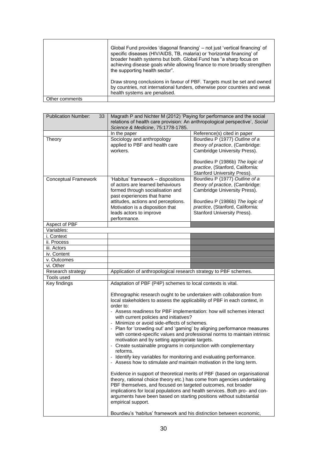|                | Global Fund provides 'diagonal financing' – not just 'vertical financing' of<br>specific diseases (HIV/AIDS, TB, malaria) or 'horizontal financing' of<br>broader health systems but both. Global Fund has "a sharp focus on<br>achieving disease goals while allowing finance to more broadly strengthen<br>the supporting health sector". |
|----------------|---------------------------------------------------------------------------------------------------------------------------------------------------------------------------------------------------------------------------------------------------------------------------------------------------------------------------------------------|
|                | Draw strong conclusions in favour of PBF. Targets must be set and owned<br>by countries, not international funders, otherwise poor countries and weak<br>health systems are penalised.                                                                                                                                                      |
| Other comments |                                                                                                                                                                                                                                                                                                                                             |

| <b>Publication Number:</b><br>33 | Magrath P and Nichter M (2012) 'Paying for performance and the social<br>relations of health care provision: An anthropological perspective', Social<br>Science & Medicine, 75:1778-1785.                                                                                                                                                                                                                                                                                                                                                                                                                                                                                                                                                                                                                                                                                                                                                                                                                                                                                                                                                                                 |                                                                                                                                                                                                         |
|----------------------------------|---------------------------------------------------------------------------------------------------------------------------------------------------------------------------------------------------------------------------------------------------------------------------------------------------------------------------------------------------------------------------------------------------------------------------------------------------------------------------------------------------------------------------------------------------------------------------------------------------------------------------------------------------------------------------------------------------------------------------------------------------------------------------------------------------------------------------------------------------------------------------------------------------------------------------------------------------------------------------------------------------------------------------------------------------------------------------------------------------------------------------------------------------------------------------|---------------------------------------------------------------------------------------------------------------------------------------------------------------------------------------------------------|
|                                  | In the paper                                                                                                                                                                                                                                                                                                                                                                                                                                                                                                                                                                                                                                                                                                                                                                                                                                                                                                                                                                                                                                                                                                                                                              | Reference(s) cited in paper                                                                                                                                                                             |
| Theory                           | Sociology and anthropology<br>applied to PBF and health care<br>workers.                                                                                                                                                                                                                                                                                                                                                                                                                                                                                                                                                                                                                                                                                                                                                                                                                                                                                                                                                                                                                                                                                                  | Bourdieu P (1977) Outline of a<br>theory of practice, (Cambridge:<br>Cambridge University Press).<br>Bourdieu P (1986b) The logic of<br>practice, (Stanford, California:<br>Stanford University Press). |
| <b>Conceptual Framework</b>      | 'Habitus' framework - dispositions<br>of actors are learned behaviours<br>formed through socialisation and<br>past experiences that frame<br>attitudes, actions and perceptions.<br>Motivation is a disposition that<br>leads actors to improve<br>performance.                                                                                                                                                                                                                                                                                                                                                                                                                                                                                                                                                                                                                                                                                                                                                                                                                                                                                                           | Bourdieu P (1977) Outline of a<br>theory of practice, (Cambridge:<br>Cambridge University Press).<br>Bourdieu P (1986b) The logic of<br>practice, (Stanford, California:<br>Stanford University Press). |
| Aspect of PBF                    |                                                                                                                                                                                                                                                                                                                                                                                                                                                                                                                                                                                                                                                                                                                                                                                                                                                                                                                                                                                                                                                                                                                                                                           |                                                                                                                                                                                                         |
| Variables:                       |                                                                                                                                                                                                                                                                                                                                                                                                                                                                                                                                                                                                                                                                                                                                                                                                                                                                                                                                                                                                                                                                                                                                                                           |                                                                                                                                                                                                         |
| i. Context                       |                                                                                                                                                                                                                                                                                                                                                                                                                                                                                                                                                                                                                                                                                                                                                                                                                                                                                                                                                                                                                                                                                                                                                                           |                                                                                                                                                                                                         |
| ii. Process                      |                                                                                                                                                                                                                                                                                                                                                                                                                                                                                                                                                                                                                                                                                                                                                                                                                                                                                                                                                                                                                                                                                                                                                                           |                                                                                                                                                                                                         |
| iii. Actors                      |                                                                                                                                                                                                                                                                                                                                                                                                                                                                                                                                                                                                                                                                                                                                                                                                                                                                                                                                                                                                                                                                                                                                                                           |                                                                                                                                                                                                         |
| iv. Content                      |                                                                                                                                                                                                                                                                                                                                                                                                                                                                                                                                                                                                                                                                                                                                                                                                                                                                                                                                                                                                                                                                                                                                                                           |                                                                                                                                                                                                         |
| v. Outcomes                      |                                                                                                                                                                                                                                                                                                                                                                                                                                                                                                                                                                                                                                                                                                                                                                                                                                                                                                                                                                                                                                                                                                                                                                           |                                                                                                                                                                                                         |
| vi. Other                        |                                                                                                                                                                                                                                                                                                                                                                                                                                                                                                                                                                                                                                                                                                                                                                                                                                                                                                                                                                                                                                                                                                                                                                           |                                                                                                                                                                                                         |
| Research strategy                | Application of anthropological research strategy to PBF schemes.                                                                                                                                                                                                                                                                                                                                                                                                                                                                                                                                                                                                                                                                                                                                                                                                                                                                                                                                                                                                                                                                                                          |                                                                                                                                                                                                         |
| Tools used                       |                                                                                                                                                                                                                                                                                                                                                                                                                                                                                                                                                                                                                                                                                                                                                                                                                                                                                                                                                                                                                                                                                                                                                                           |                                                                                                                                                                                                         |
| Key findings                     | Adaptation of PBF (P4P) schemes to local contexts is vital.                                                                                                                                                                                                                                                                                                                                                                                                                                                                                                                                                                                                                                                                                                                                                                                                                                                                                                                                                                                                                                                                                                               |                                                                                                                                                                                                         |
|                                  | Ethnographic research ought to be undertaken with collaboration from<br>local stakeholders to assess the applicability of PBF in each context, in<br>order to:<br>- Assess readiness for PBF implementation: how will schemes interact<br>with current policies and initiatives?<br>- Minimize or avoid side-effects of schemes.<br>- Plan for 'crowding out' and 'gaming' by aligning performance measures<br>with context-specific values and professional norms to maintain intrinsic<br>motivation and by setting appropriate targets.<br>- Create sustainable programs in conjunction with complementary<br>reforms.<br>Identify key variables for monitoring and evaluating performance.<br>- Assess how to stimulate and maintain motivation in the long term.<br>Evidence in support of theoretical merits of PBF (based on organisational<br>theory, rational choice theory etc.) has come from agencies undertaking<br>PBF themselves, and focused on targeted outcomes, not broader<br>implications for local populations and health services. Both pro- and con-<br>arguments have been based on starting positions without substantial<br>empirical support. |                                                                                                                                                                                                         |
|                                  | Bourdieu's 'habitus' framework and his distinction between economic,                                                                                                                                                                                                                                                                                                                                                                                                                                                                                                                                                                                                                                                                                                                                                                                                                                                                                                                                                                                                                                                                                                      |                                                                                                                                                                                                         |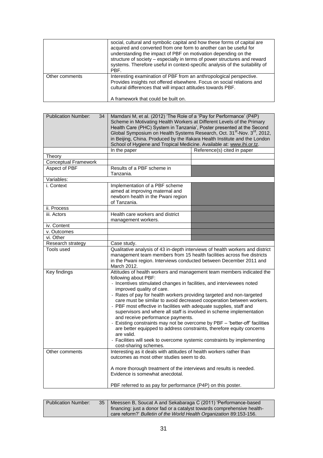|                | social, cultural and symbolic capital and how these forms of capital are<br>acquired and converted from one form to another can be useful for<br>understanding the impact of PBF on motivation depending on the<br>structure of society – especially in terms of power structures and reward<br>systems. Therefore useful in context-specific analysis of the suitability of<br>PBF. |
|----------------|--------------------------------------------------------------------------------------------------------------------------------------------------------------------------------------------------------------------------------------------------------------------------------------------------------------------------------------------------------------------------------------|
| Other comments | Interesting examination of PBF from an anthropological perspective.<br>Provides insights not offered elsewhere. Focus on social relations and<br>cultural differences that will impact attitudes towards PBF.<br>A framework that could be built on.                                                                                                                                 |

| <b>Publication Number:</b><br>34 | Mamdani M, et al. (2012) 'The Role of a 'Pay for Performance' (P4P)<br>Scheme in Motivating Health Workers at Different Levels of the Primary<br>Health Care (PHC) System in Tanzania', Poster presented at the Second<br>Global Symposium on Health Systems Research, Oct. 31 <sup>st</sup> -Nov. 3 <sup>rd</sup> , 2012,<br>in Beijing, China. Produced by the Ifakara Health Institute and the London<br>School of Hygiene and Tropical Medicine. Available at: www.ihi.or.tz.                                                                                                                                                                                                                                                                                                                                   |                             |
|----------------------------------|---------------------------------------------------------------------------------------------------------------------------------------------------------------------------------------------------------------------------------------------------------------------------------------------------------------------------------------------------------------------------------------------------------------------------------------------------------------------------------------------------------------------------------------------------------------------------------------------------------------------------------------------------------------------------------------------------------------------------------------------------------------------------------------------------------------------|-----------------------------|
|                                  | In the paper                                                                                                                                                                                                                                                                                                                                                                                                                                                                                                                                                                                                                                                                                                                                                                                                        | Reference(s) cited in paper |
| Theory                           |                                                                                                                                                                                                                                                                                                                                                                                                                                                                                                                                                                                                                                                                                                                                                                                                                     |                             |
| <b>Conceptual Framework</b>      |                                                                                                                                                                                                                                                                                                                                                                                                                                                                                                                                                                                                                                                                                                                                                                                                                     |                             |
| Aspect of PBF                    | Results of a PBF scheme in<br>Tanzania.                                                                                                                                                                                                                                                                                                                                                                                                                                                                                                                                                                                                                                                                                                                                                                             |                             |
| Variables:                       |                                                                                                                                                                                                                                                                                                                                                                                                                                                                                                                                                                                                                                                                                                                                                                                                                     |                             |
| i. Context                       | Implementation of a PBF scheme<br>aimed at improving maternal and<br>newborn health in the Pwani region<br>of Tanzania.                                                                                                                                                                                                                                                                                                                                                                                                                                                                                                                                                                                                                                                                                             |                             |
| ii. Process                      |                                                                                                                                                                                                                                                                                                                                                                                                                                                                                                                                                                                                                                                                                                                                                                                                                     |                             |
| iii. Actors                      | Health care workers and district<br>management workers.                                                                                                                                                                                                                                                                                                                                                                                                                                                                                                                                                                                                                                                                                                                                                             |                             |
| iv. Content                      |                                                                                                                                                                                                                                                                                                                                                                                                                                                                                                                                                                                                                                                                                                                                                                                                                     |                             |
| v. Outcomes                      |                                                                                                                                                                                                                                                                                                                                                                                                                                                                                                                                                                                                                                                                                                                                                                                                                     |                             |
| vi. Other                        |                                                                                                                                                                                                                                                                                                                                                                                                                                                                                                                                                                                                                                                                                                                                                                                                                     |                             |
| Research strategy                | Case study.                                                                                                                                                                                                                                                                                                                                                                                                                                                                                                                                                                                                                                                                                                                                                                                                         |                             |
| Tools used                       | Qualitative analysis of 43 in-depth interviews of health workers and district<br>management team members from 15 health facilities across five districts<br>in the Pwani region. Interviews conducted between December 2011 and<br>March 2012.                                                                                                                                                                                                                                                                                                                                                                                                                                                                                                                                                                      |                             |
| <b>Key findings</b>              | Attitudes of health workers and management team members indicated the<br>following about PBF:<br>- Incentives stimulated changes in facilities, and interviewees noted<br>improved quality of care.<br>- Rates of pay for health workers providing targeted and non-targeted<br>care must be similar to avoid decreased cooperation between workers.<br>- PBF most effective in facilities with adequate supplies, staff and<br>supervisors and where all staff is involved in scheme implementation<br>and receive performance payments.<br>- Existing constraints may not be overcome by PBF - 'better-off' facilities<br>are better equipped to address constraints, therefore equity concerns<br>are valid.<br>- Facilities will seek to overcome systemic constraints by implementing<br>cost-sharing schemes. |                             |
| Other comments                   | Interesting as it deals with attitudes of health workers rather than<br>outcomes as most other studies seem to do.<br>A more thorough treatment of the interviews and results is needed.<br>Evidence is somewhat anecdotal.<br>PBF referred to as pay for performance (P4P) on this poster.                                                                                                                                                                                                                                                                                                                                                                                                                                                                                                                         |                             |

| <b>Publication Number:</b> | 35 | Meessen B, Soucat A and Sekabaraga C (2011) 'Performance-based<br>financing: just a donor fad or a catalyst towards comprehensive health-<br>care reform?' Bulletin of the World Health Organization 89:153-156. |
|----------------------------|----|------------------------------------------------------------------------------------------------------------------------------------------------------------------------------------------------------------------|
|                            |    |                                                                                                                                                                                                                  |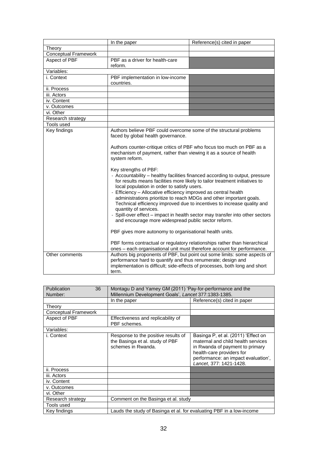|                             | In the paper                                                                                                                                                                                                                                                                                                                                                                                                                                                                                                                                                                                                                                                                                                                                                                                                                                                                                            | Reference(s) cited in paper                                                                                                                           |
|-----------------------------|---------------------------------------------------------------------------------------------------------------------------------------------------------------------------------------------------------------------------------------------------------------------------------------------------------------------------------------------------------------------------------------------------------------------------------------------------------------------------------------------------------------------------------------------------------------------------------------------------------------------------------------------------------------------------------------------------------------------------------------------------------------------------------------------------------------------------------------------------------------------------------------------------------|-------------------------------------------------------------------------------------------------------------------------------------------------------|
| Theory                      |                                                                                                                                                                                                                                                                                                                                                                                                                                                                                                                                                                                                                                                                                                                                                                                                                                                                                                         |                                                                                                                                                       |
| <b>Conceptual Framework</b> |                                                                                                                                                                                                                                                                                                                                                                                                                                                                                                                                                                                                                                                                                                                                                                                                                                                                                                         |                                                                                                                                                       |
| Aspect of PBF               | PBF as a driver for health-care<br>reform.                                                                                                                                                                                                                                                                                                                                                                                                                                                                                                                                                                                                                                                                                                                                                                                                                                                              |                                                                                                                                                       |
| Variables:                  |                                                                                                                                                                                                                                                                                                                                                                                                                                                                                                                                                                                                                                                                                                                                                                                                                                                                                                         |                                                                                                                                                       |
| i. Context                  | PBF implementation in low-income<br>countries.                                                                                                                                                                                                                                                                                                                                                                                                                                                                                                                                                                                                                                                                                                                                                                                                                                                          |                                                                                                                                                       |
| ii. Process                 |                                                                                                                                                                                                                                                                                                                                                                                                                                                                                                                                                                                                                                                                                                                                                                                                                                                                                                         |                                                                                                                                                       |
| iii. Actors                 |                                                                                                                                                                                                                                                                                                                                                                                                                                                                                                                                                                                                                                                                                                                                                                                                                                                                                                         |                                                                                                                                                       |
| iv. Content                 |                                                                                                                                                                                                                                                                                                                                                                                                                                                                                                                                                                                                                                                                                                                                                                                                                                                                                                         |                                                                                                                                                       |
| v. Outcomes                 |                                                                                                                                                                                                                                                                                                                                                                                                                                                                                                                                                                                                                                                                                                                                                                                                                                                                                                         |                                                                                                                                                       |
| vi. Other                   |                                                                                                                                                                                                                                                                                                                                                                                                                                                                                                                                                                                                                                                                                                                                                                                                                                                                                                         |                                                                                                                                                       |
| Research strategy           |                                                                                                                                                                                                                                                                                                                                                                                                                                                                                                                                                                                                                                                                                                                                                                                                                                                                                                         |                                                                                                                                                       |
| Tools used                  |                                                                                                                                                                                                                                                                                                                                                                                                                                                                                                                                                                                                                                                                                                                                                                                                                                                                                                         |                                                                                                                                                       |
| <b>Key findings</b>         | Authors believe PBF could overcome some of the structural problems<br>faced by global health governance.<br>Authors counter-critique critics of PBF who focus too much on PBF as a<br>mechanism of payment, rather than viewing it as a source of health<br>system reform.<br>Key strengths of PBF:<br>- Accountability - healthy facilities financed according to output, pressure<br>for results means facilities more likely to tailor treatment initiatives to<br>local population in order to satisfy users.<br>- Efficiency - Allocative efficiency improved as central health<br>administrations prioritize to reach MDGs and other important goals.<br>Technical efficiency improved due to incentives to increase quality and<br>quantity of services.<br>- Spill-over effect - impact in health sector may transfer into other sectors<br>and encourage more widespread public sector reform. |                                                                                                                                                       |
|                             | PBF gives more autonomy to organisational health units.                                                                                                                                                                                                                                                                                                                                                                                                                                                                                                                                                                                                                                                                                                                                                                                                                                                 |                                                                                                                                                       |
|                             |                                                                                                                                                                                                                                                                                                                                                                                                                                                                                                                                                                                                                                                                                                                                                                                                                                                                                                         | PBF forms contractual or regulatory relationships rather than hierarchical<br>ones - each organisational unit must therefore account for performance. |
| Other comments              | Authors big proponents of PBF, but point out some limits: some aspects of<br>performance hard to quantify and thus renumerate; design and<br>implementation is difficult; side-effects of processes, both long and short<br>term.                                                                                                                                                                                                                                                                                                                                                                                                                                                                                                                                                                                                                                                                       |                                                                                                                                                       |

| 36<br>Publication<br>Number: | Montagu D and Yamey GM (2011) 'Pay-for-performance and the<br>Millennium Development Goals', Lancet 377:1383-1385. |                                                                                                                                                                                                             |
|------------------------------|--------------------------------------------------------------------------------------------------------------------|-------------------------------------------------------------------------------------------------------------------------------------------------------------------------------------------------------------|
|                              | In the paper                                                                                                       | Reference(s) cited in paper                                                                                                                                                                                 |
| Theory                       |                                                                                                                    |                                                                                                                                                                                                             |
| <b>Conceptual Framework</b>  |                                                                                                                    |                                                                                                                                                                                                             |
| Aspect of PBF                | Effectiveness and replicability of<br>PBF schemes.                                                                 |                                                                                                                                                                                                             |
| Variables:                   |                                                                                                                    |                                                                                                                                                                                                             |
| i. Context                   | Response to the positive results of<br>the Basinga et al. study of PBF<br>schemes in Rwanda.                       | Basinga P, et al. (2011) 'Effect on<br>maternal and child health services<br>in Rwanda of payment to primary<br>health-care providers for<br>performance: an impact evaluation',<br>Lancet, 377: 1421-1428. |
| ii. Process                  |                                                                                                                    |                                                                                                                                                                                                             |
| iii. Actors                  |                                                                                                                    |                                                                                                                                                                                                             |
| iv. Content                  |                                                                                                                    |                                                                                                                                                                                                             |
| v. Outcomes                  |                                                                                                                    |                                                                                                                                                                                                             |
| vi. Other                    |                                                                                                                    |                                                                                                                                                                                                             |
| Research strategy            | Comment on the Basinga et al. study                                                                                |                                                                                                                                                                                                             |
| Tools used                   |                                                                                                                    |                                                                                                                                                                                                             |
| Key findings                 | Lauds the study of Basinga et al. for evaluating PBF in a low-income                                               |                                                                                                                                                                                                             |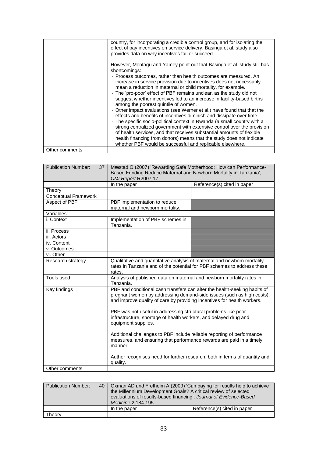|                | country, for incorporating a credible control group, and for isolating the<br>effect of pay incentives on service delivery. Basinga et al. study also<br>provides data on why incentives fail or succeed.                                                                                                                                                                                                                                                                                                                                                                                                                                                                                                                                                                                                                                                                                                                                                                                                                |
|----------------|--------------------------------------------------------------------------------------------------------------------------------------------------------------------------------------------------------------------------------------------------------------------------------------------------------------------------------------------------------------------------------------------------------------------------------------------------------------------------------------------------------------------------------------------------------------------------------------------------------------------------------------------------------------------------------------------------------------------------------------------------------------------------------------------------------------------------------------------------------------------------------------------------------------------------------------------------------------------------------------------------------------------------|
|                | However, Montagu and Yamey point out that Basinga et al. study still has<br>shortcomings:<br>- Process outcomes, rather than health outcomes are measured. An<br>increase in service provision due to incentives does not necessarily<br>mean a reduction in maternal or child mortality, for example.<br>- The 'pro-poor' effect of PBF remains unclear, as the study did not<br>suggest whether incentives led to an increase in facility-based births<br>among the poorest quintile of women.<br>- Other impact evaluations (see Werner et al.) have found that that the<br>effects and benefits of incentives diminish and dissipate over time.<br>- The specific socio-political context in Rwanda (a small country with a<br>strong centralized government with extensive control over the provision<br>of health services, and that receives substantial amounts of flexible<br>health financing from donors) means that the study does not indicate<br>whether PBF would be successful and replicable elsewhere. |
| Other comments |                                                                                                                                                                                                                                                                                                                                                                                                                                                                                                                                                                                                                                                                                                                                                                                                                                                                                                                                                                                                                          |

| <b>Publication Number:</b><br>37 | Mæstad O (2007) 'Rewarding Safe Motherhood: How can Performance-          |                                                                            |
|----------------------------------|---------------------------------------------------------------------------|----------------------------------------------------------------------------|
|                                  | Based Funding Reduce Maternal and Newborn Mortality in Tanzania',         |                                                                            |
|                                  | CMI Report R2007:17.                                                      |                                                                            |
|                                  | In the paper                                                              | Reference(s) cited in paper                                                |
| Theory                           |                                                                           |                                                                            |
| <b>Conceptual Framework</b>      |                                                                           |                                                                            |
| Aspect of PBF                    | PBF implementation to reduce                                              |                                                                            |
|                                  | maternal and newborn mortality.                                           |                                                                            |
| Variables:                       |                                                                           |                                                                            |
| i. Context                       | Implementation of PBF schemes in                                          |                                                                            |
|                                  | Tanzania.                                                                 |                                                                            |
| ii. Process                      |                                                                           |                                                                            |
| iii. Actors                      |                                                                           |                                                                            |
| iv. Content                      |                                                                           |                                                                            |
| v. Outcomes                      |                                                                           |                                                                            |
| vi. Other                        |                                                                           |                                                                            |
| Research strategy                | Qualitative and quantitative analysis of maternal and newborn mortality   |                                                                            |
|                                  | rates in Tanzania and of the potential for PBF schemes to address these   |                                                                            |
|                                  | rates.                                                                    |                                                                            |
| Tools used                       | Analysis of published data on maternal and newborn mortality rates in     |                                                                            |
|                                  | Tanzania.                                                                 |                                                                            |
| Key findings                     | PBF and conditional cash transfers can alter the health-seeking habits of |                                                                            |
|                                  | pregnant women by addressing demand-side issues (such as high costs),     |                                                                            |
|                                  | and improve quality of care by providing incentives for health workers.   |                                                                            |
|                                  |                                                                           |                                                                            |
|                                  | PBF was not useful in addressing structural problems like poor            |                                                                            |
|                                  | infrastructure, shortage of health workers, and delayed drug and          |                                                                            |
|                                  | equipment supplies.                                                       |                                                                            |
|                                  |                                                                           |                                                                            |
|                                  | Additional challenges to PBF include reliable reporting of performance    |                                                                            |
|                                  | measures, and ensuring that performance rewards are paid in a timely      |                                                                            |
|                                  | manner.                                                                   |                                                                            |
|                                  |                                                                           |                                                                            |
|                                  |                                                                           | Author recognises need for further research, both in terms of quantity and |
|                                  | quality.                                                                  |                                                                            |
| Other comments                   |                                                                           |                                                                            |

| Publication Number: | 40   Oxman AD and Fretheim A (2009) 'Can paying for results help to achieve<br>the Millennium Development Goals? A critical review of selected<br>evaluations of results-based financing', Journal of Evidence-Based<br>Medicine 2:184-195. |                             |
|---------------------|---------------------------------------------------------------------------------------------------------------------------------------------------------------------------------------------------------------------------------------------|-----------------------------|
|                     | In the paper                                                                                                                                                                                                                                | Reference(s) cited in paper |
| Theory              |                                                                                                                                                                                                                                             |                             |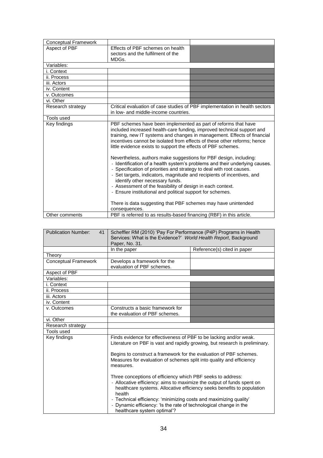| <b>Conceptual Framework</b> |                                                                                                                                                                                                                                                                                                                                                                                                                                                                                                                                                                                                                                                                                                                                                                                                                                       |  |
|-----------------------------|---------------------------------------------------------------------------------------------------------------------------------------------------------------------------------------------------------------------------------------------------------------------------------------------------------------------------------------------------------------------------------------------------------------------------------------------------------------------------------------------------------------------------------------------------------------------------------------------------------------------------------------------------------------------------------------------------------------------------------------------------------------------------------------------------------------------------------------|--|
| Aspect of PBF               | Effects of PBF schemes on health                                                                                                                                                                                                                                                                                                                                                                                                                                                                                                                                                                                                                                                                                                                                                                                                      |  |
|                             | sectors and the fulfilment of the<br>MDGs.                                                                                                                                                                                                                                                                                                                                                                                                                                                                                                                                                                                                                                                                                                                                                                                            |  |
| Variables:                  |                                                                                                                                                                                                                                                                                                                                                                                                                                                                                                                                                                                                                                                                                                                                                                                                                                       |  |
| i. Context                  |                                                                                                                                                                                                                                                                                                                                                                                                                                                                                                                                                                                                                                                                                                                                                                                                                                       |  |
| ii. Process                 |                                                                                                                                                                                                                                                                                                                                                                                                                                                                                                                                                                                                                                                                                                                                                                                                                                       |  |
| iii. Actors                 |                                                                                                                                                                                                                                                                                                                                                                                                                                                                                                                                                                                                                                                                                                                                                                                                                                       |  |
| iv. Content                 |                                                                                                                                                                                                                                                                                                                                                                                                                                                                                                                                                                                                                                                                                                                                                                                                                                       |  |
| v. Outcomes                 |                                                                                                                                                                                                                                                                                                                                                                                                                                                                                                                                                                                                                                                                                                                                                                                                                                       |  |
| vi. Other                   |                                                                                                                                                                                                                                                                                                                                                                                                                                                                                                                                                                                                                                                                                                                                                                                                                                       |  |
| Research strategy           | Critical evaluation of case studies of PBF implementation in health sectors<br>in low- and middle-income countries.                                                                                                                                                                                                                                                                                                                                                                                                                                                                                                                                                                                                                                                                                                                   |  |
| Tools used                  |                                                                                                                                                                                                                                                                                                                                                                                                                                                                                                                                                                                                                                                                                                                                                                                                                                       |  |
| Key findings                | PBF schemes have been implemented as part of reforms that have<br>included increased health-care funding, improved technical support and<br>training, new IT systems and changes in management. Effects of financial<br>incentives cannot be isolated from effects of these other reforms; hence<br>little evidence exists to support the effects of PBF schemes.<br>Nevertheless, authors make suggestions for PBF design, including:<br>- Identification of a health system's problems and their underlying causes.<br>- Specification of priorities and strategy to deal with root causes.<br>- Set targets, indicators, magnitude and recipients of incentives, and<br>identify other necessary funds.<br>- Assessment of the feasibility of design in each context.<br>- Ensure institutional and political support for schemes. |  |
|                             | There is data suggesting that PBF schemes may have unintended<br>consequences.                                                                                                                                                                                                                                                                                                                                                                                                                                                                                                                                                                                                                                                                                                                                                        |  |
| Other comments              | PBF is referred to as results-based financing (RBF) in this article.                                                                                                                                                                                                                                                                                                                                                                                                                                                                                                                                                                                                                                                                                                                                                                  |  |

| <b>Publication Number:</b><br>41                                                                 | Scheffler RM (2010) 'Pay For Performance (P4P) Programs in Health                |                                                                             |
|--------------------------------------------------------------------------------------------------|----------------------------------------------------------------------------------|-----------------------------------------------------------------------------|
|                                                                                                  | Services: What is the Evidence?' World Health Report, Background                 |                                                                             |
|                                                                                                  | Paper, No. 31.                                                                   |                                                                             |
|                                                                                                  | In the paper                                                                     | Reference(s) cited in paper                                                 |
| Theory                                                                                           |                                                                                  |                                                                             |
| <b>Conceptual Framework</b>                                                                      | Develops a framework for the                                                     |                                                                             |
|                                                                                                  | evaluation of PBF schemes.                                                       |                                                                             |
| Aspect of PBF                                                                                    |                                                                                  |                                                                             |
| Variables:                                                                                       |                                                                                  |                                                                             |
| i. Context                                                                                       |                                                                                  |                                                                             |
| ii. Process                                                                                      |                                                                                  |                                                                             |
| iii. Actors                                                                                      |                                                                                  |                                                                             |
| iv. Content                                                                                      |                                                                                  |                                                                             |
| v. Outcomes                                                                                      | Constructs a basic framework for                                                 |                                                                             |
|                                                                                                  | the evaluation of PBF schemes.                                                   |                                                                             |
| vi. Other                                                                                        |                                                                                  |                                                                             |
| Research strategy                                                                                |                                                                                  |                                                                             |
| Tools used                                                                                       |                                                                                  |                                                                             |
| Key findings                                                                                     | Finds evidence for effectiveness of PBF to be lacking and/or weak.               |                                                                             |
|                                                                                                  |                                                                                  | Literature on PBF is vast and rapidly growing, but research is preliminary. |
|                                                                                                  |                                                                                  |                                                                             |
|                                                                                                  | Begins to construct a framework for the evaluation of PBF schemes.               |                                                                             |
|                                                                                                  | Measures for evaluation of schemes split into quality and efficiency             |                                                                             |
|                                                                                                  | measures.                                                                        |                                                                             |
|                                                                                                  |                                                                                  |                                                                             |
|                                                                                                  | Three conceptions of efficiency which PBF seeks to address:                      |                                                                             |
|                                                                                                  | - Allocative efficiency: aims to maximize the output of funds spent on           |                                                                             |
|                                                                                                  | healthcare systems. Allocative efficiency seeks benefits to population<br>health |                                                                             |
|                                                                                                  | - Technical efficiency: 'minimizing costs and maximizing quality'                |                                                                             |
| - Dynamic efficiency: 'Is the rate of technological change in the<br>healthcare system optimal'? |                                                                                  |                                                                             |
|                                                                                                  |                                                                                  |                                                                             |
|                                                                                                  |                                                                                  |                                                                             |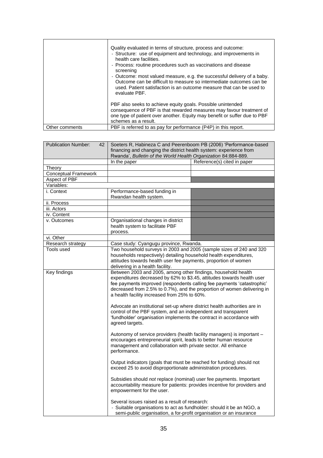|                | Quality evaluated in terms of structure, process and outcome:<br>- Structure: use of equipment and technology, and improvements in<br>health care facilities.<br>- Process: routine procedures such as vaccinations and disease<br>screening<br>- Outcome: most valued measure, e.g. the successful delivery of a baby.<br>Outcome can be difficult to measure so intermediate outcomes can be<br>used. Patient satisfaction is an outcome measure that can be used to<br>evaluate PBF. |
|----------------|-----------------------------------------------------------------------------------------------------------------------------------------------------------------------------------------------------------------------------------------------------------------------------------------------------------------------------------------------------------------------------------------------------------------------------------------------------------------------------------------|
|                | PBF also seeks to achieve equity goals. Possible unintended<br>consequence of PBF is that rewarded measures may favour treatment of<br>one type of patient over another. Equity may benefit or suffer due to PBF<br>schemes as a result.                                                                                                                                                                                                                                                |
| Other comments | PBF is referred to as pay for performance (P4P) in this report.                                                                                                                                                                                                                                                                                                                                                                                                                         |

| <b>Publication Number:</b><br>42 | Soeters R, Habineza C and Peerenboom PB (2006) 'Performance-based<br>financing and changing the district health system: experience from                                                                                                                                                                                                      |                             |
|----------------------------------|----------------------------------------------------------------------------------------------------------------------------------------------------------------------------------------------------------------------------------------------------------------------------------------------------------------------------------------------|-----------------------------|
|                                  | Rwanda', Bulletin of the World Health Organization 84:884-889.                                                                                                                                                                                                                                                                               |                             |
|                                  | In the paper                                                                                                                                                                                                                                                                                                                                 | Reference(s) cited in paper |
| Theory                           |                                                                                                                                                                                                                                                                                                                                              |                             |
| <b>Conceptual Framework</b>      |                                                                                                                                                                                                                                                                                                                                              |                             |
| Aspect of PBF                    |                                                                                                                                                                                                                                                                                                                                              |                             |
| Variables:                       |                                                                                                                                                                                                                                                                                                                                              |                             |
| i. Context                       | Performance-based funding in<br>Rwandan health system.                                                                                                                                                                                                                                                                                       |                             |
| ii. Process                      |                                                                                                                                                                                                                                                                                                                                              |                             |
| iii. Actors                      |                                                                                                                                                                                                                                                                                                                                              |                             |
| iv. Content                      |                                                                                                                                                                                                                                                                                                                                              |                             |
| v. Outcomes                      | Organisational changes in district<br>health system to facilitate PBF<br>process.                                                                                                                                                                                                                                                            |                             |
| vi. Other                        |                                                                                                                                                                                                                                                                                                                                              |                             |
| Research strategy                | Case study: Cyangugu province, Rwanda.                                                                                                                                                                                                                                                                                                       |                             |
| Tools used                       | Two household surveys in 2003 and 2005 (sample sizes of 240 and 320                                                                                                                                                                                                                                                                          |                             |
|                                  | households respectively) detailing household health expenditures,                                                                                                                                                                                                                                                                            |                             |
|                                  | attitudes towards health user fee payments, proportion of women                                                                                                                                                                                                                                                                              |                             |
|                                  | delivering in a health facility.                                                                                                                                                                                                                                                                                                             |                             |
| Key findings                     | Between 2003 and 2005, among other findings, household health<br>expenditures decreased by 62% to \$3.45, attitudes towards health user<br>fee payments improved (respondents calling fee payments 'catastrophic'<br>decreased from 2.5% to 0.7%), and the proportion of women delivering in<br>a health facility increased from 25% to 60%. |                             |
|                                  | Advocate an institutional set-up where district health authorities are in<br>control of the PBF system, and an independent and transparent<br>'fundholder' organisation implements the contract in accordance with<br>agreed targets.                                                                                                        |                             |
|                                  | Autonomy of service providers (health facility managers) is important -<br>encourages entrepreneurial spirit, leads to better human resource<br>management and collaboration with private sector. All enhance<br>performance.                                                                                                                |                             |
|                                  | Output indicators (goals that must be reached for funding) should not<br>exceed 25 to avoid disproportionate administration procedures.                                                                                                                                                                                                      |                             |
|                                  | Subsidies should not replace (nominal) user fee payments. Important<br>accountability measure for patients: provides incentive for providers and<br>empowerment for the user.                                                                                                                                                                |                             |
|                                  | Several issues raised as a result of research:<br>- Suitable organisations to act as fundholder: should it be an NGO, a<br>semi-public organisation, a for-profit organisation or an insurance                                                                                                                                               |                             |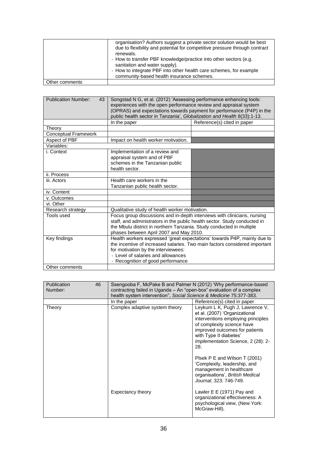|                | organisation? Authors suggest a private sector solution would be best<br>due to flexibility and potential for competitive pressure through contract<br>renewals.<br>- How to transfer PBF knowledge/practice into other sectors (e.g.<br>sanitation and water supply).<br>- How to integrate PBF into other health care schemes, for example<br>community-based health insurance schemes. |
|----------------|-------------------------------------------------------------------------------------------------------------------------------------------------------------------------------------------------------------------------------------------------------------------------------------------------------------------------------------------------------------------------------------------|
| Other comments |                                                                                                                                                                                                                                                                                                                                                                                           |

| <b>Publication Number:</b><br>43 | Songstad N G, et al. (2012) 'Assessing performance enhancing tools:<br>experiences with the open performance review and appraisal system<br>(OPRAS) and expectations towards payment for performance (P4P) in the<br>public health sector in Tanzania', Globalization and Health 8(33):1-13. |                             |
|----------------------------------|----------------------------------------------------------------------------------------------------------------------------------------------------------------------------------------------------------------------------------------------------------------------------------------------|-----------------------------|
|                                  | In the paper                                                                                                                                                                                                                                                                                 | Reference(s) cited in paper |
| Theory                           |                                                                                                                                                                                                                                                                                              |                             |
| Conceptual Framework             |                                                                                                                                                                                                                                                                                              |                             |
| Aspect of PBF                    | Impact on health worker motivation.                                                                                                                                                                                                                                                          |                             |
| Variables:                       |                                                                                                                                                                                                                                                                                              |                             |
| i. Context                       | Implementation of a review and<br>appraisal system and of PBF<br>schemes in the Tanzanian public<br>health sector.                                                                                                                                                                           |                             |
| ii. Process                      |                                                                                                                                                                                                                                                                                              |                             |
| iii. Actors                      | Health care workers in the<br>Tanzanian public health sector.                                                                                                                                                                                                                                |                             |
| iv. Content                      |                                                                                                                                                                                                                                                                                              |                             |
| v. Outcomes                      |                                                                                                                                                                                                                                                                                              |                             |
| vi. Other                        |                                                                                                                                                                                                                                                                                              |                             |
| Research strategy                | Qualitative study of health worker motivation.                                                                                                                                                                                                                                               |                             |
| Tools used                       | Focus group discussions and in-depth interviews with clinicians, nursing<br>staff, and administrators in the public health sector. Study conducted in<br>the Mbulu district in northern Tanzania. Study conducted in multiple<br>phases between April 2007 and May 2010.                     |                             |
| Key findings<br>Other comments   | Health workers expressed 'great expectations' towards P4P, mainly due to<br>the incentive of increased salaries. Two main factors considered important<br>for motivation by the interviewees:<br>- Level of salaries and allowances<br>- Recognition of good performance                     |                             |
|                                  |                                                                                                                                                                                                                                                                                              |                             |

| <b>Publication</b><br>Number: | 46 | Ssengooba F, McPake B and Palmer N (2012) 'Why performance-based<br>contracting failed in Uganda – An "open-box" evaluation of a complex<br>health system intervention", Social Science & Medicine 75:377-383. |                                                                                                                                                                                                                                               |
|-------------------------------|----|----------------------------------------------------------------------------------------------------------------------------------------------------------------------------------------------------------------|-----------------------------------------------------------------------------------------------------------------------------------------------------------------------------------------------------------------------------------------------|
|                               |    | In the paper                                                                                                                                                                                                   | Reference(s) cited in paper                                                                                                                                                                                                                   |
| Theory                        |    | Complex adaptive system theory                                                                                                                                                                                 | Leykum L K, Pugh J, Lawrence V,<br>et al. (2007) 'Organizational<br>interventions employing principles<br>of complexity science have<br>improved outcomes for patients<br>with Type II diabetes'<br>Implementation Science, 2 (28): 2-<br>28. |
|                               |    |                                                                                                                                                                                                                | Plsek P E and Wilson T (2001)<br>'Complexity, leadership, and<br>management in healthcare<br>organisations', British Medical<br>Journal, 323: 746-749.                                                                                        |
|                               |    | Expectancy theory                                                                                                                                                                                              | Lawler E E (1971) Pay and<br>organizational effectiveness: A<br>psychological view, (New York:<br>McGraw-Hill).                                                                                                                               |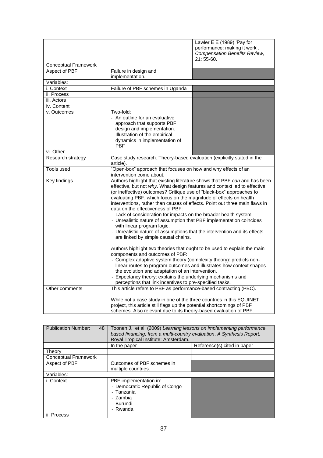|                             |                                                                                                                                                                                                                                                                                                                                                                                                                                                                                                                                                                                                                                                                                                                                                                                                                                                                                                                                                                                                                                                                                                                                                                     | Lawler E E (1989) 'Pay for<br>performance: making it work', |
|-----------------------------|---------------------------------------------------------------------------------------------------------------------------------------------------------------------------------------------------------------------------------------------------------------------------------------------------------------------------------------------------------------------------------------------------------------------------------------------------------------------------------------------------------------------------------------------------------------------------------------------------------------------------------------------------------------------------------------------------------------------------------------------------------------------------------------------------------------------------------------------------------------------------------------------------------------------------------------------------------------------------------------------------------------------------------------------------------------------------------------------------------------------------------------------------------------------|-------------------------------------------------------------|
|                             |                                                                                                                                                                                                                                                                                                                                                                                                                                                                                                                                                                                                                                                                                                                                                                                                                                                                                                                                                                                                                                                                                                                                                                     | <b>Compensation Benefits Review,</b><br>21:55-60.           |
| <b>Conceptual Framework</b> |                                                                                                                                                                                                                                                                                                                                                                                                                                                                                                                                                                                                                                                                                                                                                                                                                                                                                                                                                                                                                                                                                                                                                                     |                                                             |
| Aspect of PBF               | Failure in design and<br>implementation.                                                                                                                                                                                                                                                                                                                                                                                                                                                                                                                                                                                                                                                                                                                                                                                                                                                                                                                                                                                                                                                                                                                            |                                                             |
| Variables:                  |                                                                                                                                                                                                                                                                                                                                                                                                                                                                                                                                                                                                                                                                                                                                                                                                                                                                                                                                                                                                                                                                                                                                                                     |                                                             |
| i. Context                  | Failure of PBF schemes in Uganda                                                                                                                                                                                                                                                                                                                                                                                                                                                                                                                                                                                                                                                                                                                                                                                                                                                                                                                                                                                                                                                                                                                                    |                                                             |
| ii. Process                 |                                                                                                                                                                                                                                                                                                                                                                                                                                                                                                                                                                                                                                                                                                                                                                                                                                                                                                                                                                                                                                                                                                                                                                     |                                                             |
| iii. Actors                 |                                                                                                                                                                                                                                                                                                                                                                                                                                                                                                                                                                                                                                                                                                                                                                                                                                                                                                                                                                                                                                                                                                                                                                     |                                                             |
| iv. Content                 |                                                                                                                                                                                                                                                                                                                                                                                                                                                                                                                                                                                                                                                                                                                                                                                                                                                                                                                                                                                                                                                                                                                                                                     |                                                             |
| v. Outcomes                 | Two-fold:                                                                                                                                                                                                                                                                                                                                                                                                                                                                                                                                                                                                                                                                                                                                                                                                                                                                                                                                                                                                                                                                                                                                                           |                                                             |
|                             | - An outline for an evaluative<br>approach that supports PBF<br>design and implementation.<br>- Illustration of the empirical<br>dynamics in implementation of<br>PBF                                                                                                                                                                                                                                                                                                                                                                                                                                                                                                                                                                                                                                                                                                                                                                                                                                                                                                                                                                                               |                                                             |
| vi. Other                   |                                                                                                                                                                                                                                                                                                                                                                                                                                                                                                                                                                                                                                                                                                                                                                                                                                                                                                                                                                                                                                                                                                                                                                     |                                                             |
| Research strategy           | Case study research. Theory-based evaluation (explicitly stated in the<br>article).                                                                                                                                                                                                                                                                                                                                                                                                                                                                                                                                                                                                                                                                                                                                                                                                                                                                                                                                                                                                                                                                                 |                                                             |
| <b>Tools used</b>           | "Open-box" approach that focuses on how and why effects of an<br>intervention come about.                                                                                                                                                                                                                                                                                                                                                                                                                                                                                                                                                                                                                                                                                                                                                                                                                                                                                                                                                                                                                                                                           |                                                             |
| Key findings                | Authors highlight that existing literature shows that PBF can and has been<br>effective, but not why. What design features and context led to effective<br>(or ineffective) outcomes? Critique use of "black-box" approaches to<br>evaluating PBF, which focus on the magnitude of effects on health<br>interventions, rather than causes of effects. Point out three main flaws in<br>data on the effectiveness of PBF:<br>- Lack of consideration for impacts on the broader health system<br>- Unrealistic nature of assumption that PBF implementation coincides<br>with linear program logic.<br>- Unrealistic nature of assumptions that the intervention and its effects<br>are linked by simple causal chains.<br>Authors highlight two theories that ought to be used to explain the main<br>components and outcomes of PBF:<br>- Complex adaptive system theory (complexity theory): predicts non-<br>linear routes to program outcomes and illustrates how context shapes<br>the evolution and adaptation of an intervention.<br>- Expectancy theory: explains the underlying mechanisms and<br>perceptions that link incentives to pre-specified tasks. |                                                             |
| Other comments              | This article refers to PBF as performance-based contracting (PBC).                                                                                                                                                                                                                                                                                                                                                                                                                                                                                                                                                                                                                                                                                                                                                                                                                                                                                                                                                                                                                                                                                                  |                                                             |
|                             | While not a case study in one of the three countries in this EQUINET<br>project, this article still flags up the potential shortcomings of PBF<br>schemes. Also relevant due to its theory-based evaluation of PBF.                                                                                                                                                                                                                                                                                                                                                                                                                                                                                                                                                                                                                                                                                                                                                                                                                                                                                                                                                 |                                                             |

| <b>Publication Number:</b><br>48 | Toonen J, et al. (2009) Learning lessons on implementing performance<br>based financing, from a multi-country evaluation, A Synthesis Report.<br>Royal Tropical Institute: Amsterdam. |                             |
|----------------------------------|---------------------------------------------------------------------------------------------------------------------------------------------------------------------------------------|-----------------------------|
|                                  | In the paper                                                                                                                                                                          | Reference(s) cited in paper |
| Theory                           |                                                                                                                                                                                       |                             |
| <b>Conceptual Framework</b>      |                                                                                                                                                                                       |                             |
| Aspect of PBF                    | Outcomes of PBF schemes in<br>multiple countries.                                                                                                                                     |                             |
| Variables:                       |                                                                                                                                                                                       |                             |
| i. Context                       | PBF implementation in:<br>- Democratic Republic of Congo<br>- Tanzania<br>- Zambia<br>- Burundi<br>- Rwanda                                                                           |                             |
| ii. Process                      |                                                                                                                                                                                       |                             |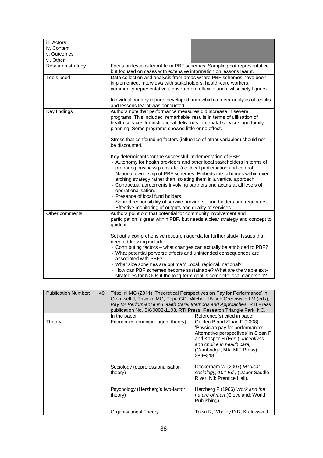| iii. Actors       |                                                                                                                                                                                                                                                                                                                                                                                                                                                                                                                                                                                                                                                                                                                                                                                                                                                                                                                                                                                                                                     |
|-------------------|-------------------------------------------------------------------------------------------------------------------------------------------------------------------------------------------------------------------------------------------------------------------------------------------------------------------------------------------------------------------------------------------------------------------------------------------------------------------------------------------------------------------------------------------------------------------------------------------------------------------------------------------------------------------------------------------------------------------------------------------------------------------------------------------------------------------------------------------------------------------------------------------------------------------------------------------------------------------------------------------------------------------------------------|
| iv. Content       |                                                                                                                                                                                                                                                                                                                                                                                                                                                                                                                                                                                                                                                                                                                                                                                                                                                                                                                                                                                                                                     |
| v. Outcomes       |                                                                                                                                                                                                                                                                                                                                                                                                                                                                                                                                                                                                                                                                                                                                                                                                                                                                                                                                                                                                                                     |
| vi. Other         |                                                                                                                                                                                                                                                                                                                                                                                                                                                                                                                                                                                                                                                                                                                                                                                                                                                                                                                                                                                                                                     |
| Research strategy | Focus on lessons learnt from PBF schemes. Sampling not representative<br>but focused on cases with extensive information on lessons learnt.                                                                                                                                                                                                                                                                                                                                                                                                                                                                                                                                                                                                                                                                                                                                                                                                                                                                                         |
| Tools used        | Data collection and analysis from areas where PBF schemes have been<br>implemented. Interviews with stakeholders: health-care workers,<br>community representatives, government officials and civil society figures.<br>Individual country reports developed from which a meta-analysis of results<br>and lessons learnt was conducted.                                                                                                                                                                                                                                                                                                                                                                                                                                                                                                                                                                                                                                                                                             |
| Key findings      | Authors note that performance measures did increase in several<br>programs. This included 'remarkable' results in terms of utilisation of<br>health services for institutional deliveries, antenatal services and family<br>planning. Some programs showed little or no effect.<br>Stress that confounding factors (influence of other variables) should not<br>be discounted.<br>Key determinants for the successful implementation of PBF:<br>- Autonomy for health providers and other local stakeholders in terms of<br>preparing business plans etc. (i.e. local participation and control).<br>- National ownership of PBF schemes. Embeds the schemes within over-<br>arching strategy rather than isolating them in a vertical approach.<br>- Contractual agreements involving partners and actors at all levels of<br>operationalisation.<br>- Presence of local fund holders.<br>- Shared responsibility of service providers, fund holders and regulators.<br>- Effective monitoring of outputs and quality of services. |
| Other comments    | Authors point out that potential for community involvement and<br>participation is great within PBF, but needs a clear strategy and concept to<br>guide it.<br>Set out a comprehensive research agenda for further study. Issues that<br>need addressing include:<br>- Contributing factors – what changes can actually be attributed to PBF?<br>- What potential perverse effects and unintended consequences are<br>associated with PBF?<br>- What size schemes are optimal? Local, regional, national?<br>- How can PBF schemes become sustainable? What are the viable exit-<br>strategies for NGOs if the long-term goal is complete local ownership?                                                                                                                                                                                                                                                                                                                                                                          |

| <b>Publication Number:</b><br>49 | Trisolini MG (2011) 'Theoretical Perspectives on Pay for Performance' in<br>Cromwell J, Trisolini MG, Pope GC, Mitchell JB and Greenwald LM (eds),<br>Pay for Performance in Health Care: Methods and Approaches, RTI Press<br>publication No. BK-0002-1103. RTI Press: Research Triangle Park, NC. |                                                                                                                                                                                                                        |
|----------------------------------|-----------------------------------------------------------------------------------------------------------------------------------------------------------------------------------------------------------------------------------------------------------------------------------------------------|------------------------------------------------------------------------------------------------------------------------------------------------------------------------------------------------------------------------|
|                                  | In the paper                                                                                                                                                                                                                                                                                        | Reference(s) cited in paper                                                                                                                                                                                            |
| Theory                           | Economics (principal-agent theory)                                                                                                                                                                                                                                                                  | Golden B and Sloan F (2008)<br>'Physician pay for performance:<br>Alternative perspectives' in Sloan F<br>and Kasper H (Eds.), Incentives<br>and choice in health care,<br>(Cambridge, MA: MIT Press):<br>$289 - 318.$ |
|                                  | Sociology (deprofessionalisation<br>theory)                                                                                                                                                                                                                                                         | Cockerham W (2007) Medical<br>sociology, 10 <sup>th</sup> Ed., (Upper Saddle<br>River, NJ: Prentice Hall).                                                                                                             |
|                                  | Psychology (Herzberg's two-factor<br>theory)                                                                                                                                                                                                                                                        | Herzberg F (1966) Work and the<br>nature of man (Cleveland: World<br>Publishing).                                                                                                                                      |
|                                  | Organisational Theory                                                                                                                                                                                                                                                                               | Town R, Wholey D R, Kralewski J                                                                                                                                                                                        |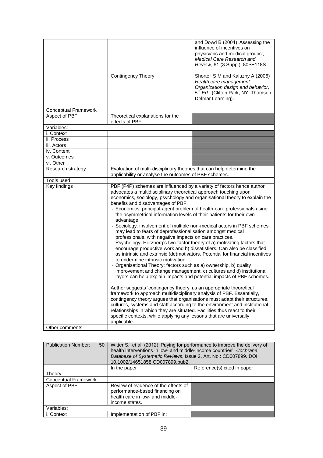|                             | <b>Contingency Theory</b>                                                                                                                                                                                                                                                                                                                                                                                                                                                                                                                                                                                                                                                                                                                                                                                                                                                                                                                                                                                                                                                                                                         | and Dowd B (2004) 'Assessing the<br>influence of incentives on<br>physicians and medical groups',<br>Medical Care Research and<br>Review, 61 (3 Suppl): 80S-118S.<br>Shortell S M and Kaluzny A (2006)<br>Health care management:<br>Organization design and behavior,<br>5 <sup>th</sup> Ed., (Clifton Park, NY: Thomson<br>Delmar Learning). |
|-----------------------------|-----------------------------------------------------------------------------------------------------------------------------------------------------------------------------------------------------------------------------------------------------------------------------------------------------------------------------------------------------------------------------------------------------------------------------------------------------------------------------------------------------------------------------------------------------------------------------------------------------------------------------------------------------------------------------------------------------------------------------------------------------------------------------------------------------------------------------------------------------------------------------------------------------------------------------------------------------------------------------------------------------------------------------------------------------------------------------------------------------------------------------------|------------------------------------------------------------------------------------------------------------------------------------------------------------------------------------------------------------------------------------------------------------------------------------------------------------------------------------------------|
| <b>Conceptual Framework</b> |                                                                                                                                                                                                                                                                                                                                                                                                                                                                                                                                                                                                                                                                                                                                                                                                                                                                                                                                                                                                                                                                                                                                   |                                                                                                                                                                                                                                                                                                                                                |
| Aspect of PBF               | Theoretical explanations for the<br>effects of PBF                                                                                                                                                                                                                                                                                                                                                                                                                                                                                                                                                                                                                                                                                                                                                                                                                                                                                                                                                                                                                                                                                |                                                                                                                                                                                                                                                                                                                                                |
| Variables:                  |                                                                                                                                                                                                                                                                                                                                                                                                                                                                                                                                                                                                                                                                                                                                                                                                                                                                                                                                                                                                                                                                                                                                   |                                                                                                                                                                                                                                                                                                                                                |
| i. Context                  |                                                                                                                                                                                                                                                                                                                                                                                                                                                                                                                                                                                                                                                                                                                                                                                                                                                                                                                                                                                                                                                                                                                                   |                                                                                                                                                                                                                                                                                                                                                |
| ii. Process                 |                                                                                                                                                                                                                                                                                                                                                                                                                                                                                                                                                                                                                                                                                                                                                                                                                                                                                                                                                                                                                                                                                                                                   |                                                                                                                                                                                                                                                                                                                                                |
| iii. Actors                 |                                                                                                                                                                                                                                                                                                                                                                                                                                                                                                                                                                                                                                                                                                                                                                                                                                                                                                                                                                                                                                                                                                                                   |                                                                                                                                                                                                                                                                                                                                                |
| iv. Content                 |                                                                                                                                                                                                                                                                                                                                                                                                                                                                                                                                                                                                                                                                                                                                                                                                                                                                                                                                                                                                                                                                                                                                   |                                                                                                                                                                                                                                                                                                                                                |
| v. Outcomes                 |                                                                                                                                                                                                                                                                                                                                                                                                                                                                                                                                                                                                                                                                                                                                                                                                                                                                                                                                                                                                                                                                                                                                   |                                                                                                                                                                                                                                                                                                                                                |
| vi. Other                   |                                                                                                                                                                                                                                                                                                                                                                                                                                                                                                                                                                                                                                                                                                                                                                                                                                                                                                                                                                                                                                                                                                                                   |                                                                                                                                                                                                                                                                                                                                                |
| Research strategy           | Evaluation of multi-disciplinary theories that can help determine the<br>applicability or analyse the outcomes of PBF schemes.                                                                                                                                                                                                                                                                                                                                                                                                                                                                                                                                                                                                                                                                                                                                                                                                                                                                                                                                                                                                    |                                                                                                                                                                                                                                                                                                                                                |
| Tools used                  |                                                                                                                                                                                                                                                                                                                                                                                                                                                                                                                                                                                                                                                                                                                                                                                                                                                                                                                                                                                                                                                                                                                                   |                                                                                                                                                                                                                                                                                                                                                |
| <b>Key findings</b>         | PBF (P4P) schemes are influenced by a variety of factors hence author<br>advocates a multidisciplinary theoretical approach touching upon<br>economics, sociology, psychology and organisational theory to explain the<br>benefits and disadvantages of PBF.<br>- Economics: principal-agent problem of health-care professionals using<br>the asymmetrical information levels of their patients for their own<br>advantage.<br>- Sociology: involvement of multiple non-medical actors in PBF schemes<br>may lead to fears of deprofessionalisation amongst medical<br>professionals, with negative impacts on care practices.<br>- Psychology: Herzberg's two-factor theory of a) motivating factors that<br>encourage productive work and b) dissatisfiers. Can also be classified<br>as intrinsic and extrinsic (de)motivators. Potential for financial incentives<br>to undermine intrinsic motivation.<br>- Organisational Theory: factors such as a) ownership, b) quality<br>improvement and change management, c) cultures and d) institutional<br>layers can help explain impacts and potential impacts of PBF schemes. |                                                                                                                                                                                                                                                                                                                                                |
| Other comments              | Author suggests 'contingency theory' as an appropriate theoretical<br>framework to approach multidisciplinary analysis of PBF. Essentially,<br>contingency theory argues that organisations must adapt their structures,<br>cultures, systems and staff according to the environment and institutional<br>relationships in which they are situated. Facilities thus react to their<br>specific contexts, while applying any lessons that are universally<br>applicable.                                                                                                                                                                                                                                                                                                                                                                                                                                                                                                                                                                                                                                                           |                                                                                                                                                                                                                                                                                                                                                |
|                             |                                                                                                                                                                                                                                                                                                                                                                                                                                                                                                                                                                                                                                                                                                                                                                                                                                                                                                                                                                                                                                                                                                                                   |                                                                                                                                                                                                                                                                                                                                                |

| <b>Publication Number:</b><br>50 | Witter S, et al. (2012) 'Paying for performance to improve the delivery of<br>health interventions in low- and middle-income countries', Cochrane<br>Database of Systematic Reviews, Issue 2, Art. No.: CD007899. DOI:<br>10.1002/14651858.CD007899.pub2. |                             |
|----------------------------------|-----------------------------------------------------------------------------------------------------------------------------------------------------------------------------------------------------------------------------------------------------------|-----------------------------|
|                                  | In the paper                                                                                                                                                                                                                                              | Reference(s) cited in paper |
| Theory                           |                                                                                                                                                                                                                                                           |                             |
| <b>Conceptual Framework</b>      |                                                                                                                                                                                                                                                           |                             |
| Aspect of PBF                    | Review of evidence of the effects of<br>performance-based financing on<br>health care in low- and middle-<br>income states.                                                                                                                               |                             |
| Variables:                       |                                                                                                                                                                                                                                                           |                             |
| i. Context                       | Implementation of PBF in:                                                                                                                                                                                                                                 |                             |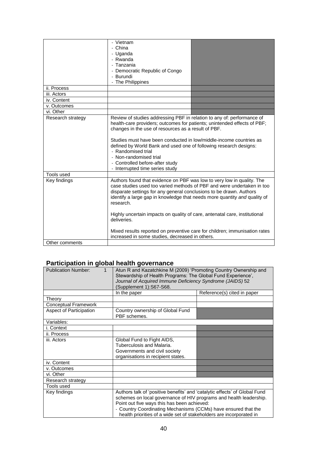|                   | - Vietnam<br>- China<br>- Uganda<br>- Rwanda<br>- Tanzania<br>- Democratic Republic of Congo<br>- Burundi                                                                                                                                                                                                                                                                                                                                                                  |  |
|-------------------|----------------------------------------------------------------------------------------------------------------------------------------------------------------------------------------------------------------------------------------------------------------------------------------------------------------------------------------------------------------------------------------------------------------------------------------------------------------------------|--|
|                   | - The Philippines                                                                                                                                                                                                                                                                                                                                                                                                                                                          |  |
| ii. Process       |                                                                                                                                                                                                                                                                                                                                                                                                                                                                            |  |
| iii. Actors       |                                                                                                                                                                                                                                                                                                                                                                                                                                                                            |  |
| iv. Content       |                                                                                                                                                                                                                                                                                                                                                                                                                                                                            |  |
| v. Outcomes       |                                                                                                                                                                                                                                                                                                                                                                                                                                                                            |  |
| vi. Other         |                                                                                                                                                                                                                                                                                                                                                                                                                                                                            |  |
| Research strategy | Review of studies addressing PBF in relation to any of: performance of<br>health-care providers; outcomes for patients; unintended effects of PBF;<br>changes in the use of resources as a result of PBF.<br>Studies must have been conducted in low/middle-income countries as<br>defined by World Bank and used one of following research designs:<br>- Randomised trial<br>- Non-randomised trial<br>- Controlled before-after study<br>- Interrupted time series study |  |
| Tools used        |                                                                                                                                                                                                                                                                                                                                                                                                                                                                            |  |
| Key findings      | Authors found that evidence on PBF was low to very low in quality. The<br>case studies used too varied methods of PBF and were undertaken in too<br>disparate settings for any general conclusions to be drawn. Authors<br>identify a large gap in knowledge that needs more quantity and quality of<br>research.<br>Highly uncertain impacts on quality of care, antenatal care, institutional                                                                            |  |
|                   | deliveries.<br>Mixed results reported on preventive care for children; immunisation rates<br>increased in some studies, decreased in others.                                                                                                                                                                                                                                                                                                                               |  |
| Other comments    |                                                                                                                                                                                                                                                                                                                                                                                                                                                                            |  |

### **Participation in global health governance**

| <b>Publication Number:</b><br>$\mathbf{1}$ | Atun R and Kazatchkine M (2009) 'Promoting Country Ownership and<br>Stewardship of Health Programs: The Global Fund Experience',<br>Journal of Acquired Immune Deficiency Syndrome (JAIDS) 52<br>(Supplement 1):S67-S68.                                                                                                                 |                             |
|--------------------------------------------|------------------------------------------------------------------------------------------------------------------------------------------------------------------------------------------------------------------------------------------------------------------------------------------------------------------------------------------|-----------------------------|
|                                            | In the paper                                                                                                                                                                                                                                                                                                                             | Reference(s) cited in paper |
| Theory                                     |                                                                                                                                                                                                                                                                                                                                          |                             |
| <b>Conceptual Framework</b>                |                                                                                                                                                                                                                                                                                                                                          |                             |
| <b>Aspect of Participation</b>             | Country ownership of Global Fund<br>PBF schemes.                                                                                                                                                                                                                                                                                         |                             |
| Variables:                                 |                                                                                                                                                                                                                                                                                                                                          |                             |
| i. Context                                 |                                                                                                                                                                                                                                                                                                                                          |                             |
| ii. Process                                |                                                                                                                                                                                                                                                                                                                                          |                             |
| iii. Actors                                | Global Fund to Fight AIDS,<br>Tuberculosis and Malaria.<br>Governments and civil society<br>organisations in recipient states.                                                                                                                                                                                                           |                             |
| iv. Content                                |                                                                                                                                                                                                                                                                                                                                          |                             |
| v. Outcomes                                |                                                                                                                                                                                                                                                                                                                                          |                             |
| vi. Other                                  |                                                                                                                                                                                                                                                                                                                                          |                             |
| Research strategy                          |                                                                                                                                                                                                                                                                                                                                          |                             |
| Tools used                                 |                                                                                                                                                                                                                                                                                                                                          |                             |
| Key findings                               | Authors talk of 'positive benefits' and 'catalytic effects' of Global Fund<br>schemes on local governance of HIV programs and health leadership.<br>Point out five ways this has been achieved:<br>- Country Coordinating Mechanisms (CCMs) have ensured that the<br>health priorities of a wide set of stakeholders are incorporated in |                             |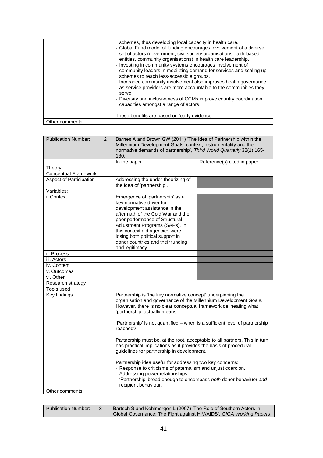|                | schemes, thus developing local capacity in health care.<br>- Global Fund model of funding encourages involvement of a diverse<br>set of actors (government, civil society organisations, faith-based<br>entities, community organisations) in health care leadership.<br>- Investing in community systems encourages involvement of<br>community leaders in mobilizing demand for services and scaling up<br>schemes to reach less-accessible groups.<br>- Increased community involvement also improves health governance,<br>as service providers are more accountable to the communities they<br>serve.<br>- Diversity and inclusiveness of CCMs improve country coordination<br>capacities amongst a range of actors.<br>These benefits are based on 'early evidence'. |
|----------------|----------------------------------------------------------------------------------------------------------------------------------------------------------------------------------------------------------------------------------------------------------------------------------------------------------------------------------------------------------------------------------------------------------------------------------------------------------------------------------------------------------------------------------------------------------------------------------------------------------------------------------------------------------------------------------------------------------------------------------------------------------------------------|
|                |                                                                                                                                                                                                                                                                                                                                                                                                                                                                                                                                                                                                                                                                                                                                                                            |
| Other comments |                                                                                                                                                                                                                                                                                                                                                                                                                                                                                                                                                                                                                                                                                                                                                                            |

| <b>Publication Number:</b><br>2 | Barnes A and Brown GW (2011) 'The Idea of Partnership within the<br>Millennium Development Goals: context, instrumentality and the<br>normative demands of partnership', Third World Quarterly 32(1):165-<br>180.                                                                                                                                                                                                                                                                                                                                                                            |                             |
|---------------------------------|----------------------------------------------------------------------------------------------------------------------------------------------------------------------------------------------------------------------------------------------------------------------------------------------------------------------------------------------------------------------------------------------------------------------------------------------------------------------------------------------------------------------------------------------------------------------------------------------|-----------------------------|
|                                 | In the paper                                                                                                                                                                                                                                                                                                                                                                                                                                                                                                                                                                                 | Reference(s) cited in paper |
| Theory                          |                                                                                                                                                                                                                                                                                                                                                                                                                                                                                                                                                                                              |                             |
| <b>Conceptual Framework</b>     |                                                                                                                                                                                                                                                                                                                                                                                                                                                                                                                                                                                              |                             |
| <b>Aspect of Participation</b>  | Addressing the under-theorizing of<br>the idea of 'partnership'.                                                                                                                                                                                                                                                                                                                                                                                                                                                                                                                             |                             |
| Variables:                      |                                                                                                                                                                                                                                                                                                                                                                                                                                                                                                                                                                                              |                             |
| i. Context                      | Emergence of 'partnership' as a<br>key normative driver for<br>development assistance in the<br>aftermath of the Cold War and the<br>poor performance of Structural<br>Adjustment Programs (SAPs). In<br>this context aid agencies were<br>losing both political support in<br>donor countries and their funding<br>and legitimacy.                                                                                                                                                                                                                                                          |                             |
| ii. Process                     |                                                                                                                                                                                                                                                                                                                                                                                                                                                                                                                                                                                              |                             |
| iii. Actors                     |                                                                                                                                                                                                                                                                                                                                                                                                                                                                                                                                                                                              |                             |
| iv. Content                     |                                                                                                                                                                                                                                                                                                                                                                                                                                                                                                                                                                                              |                             |
| v. Outcomes                     |                                                                                                                                                                                                                                                                                                                                                                                                                                                                                                                                                                                              |                             |
| vi. Other                       |                                                                                                                                                                                                                                                                                                                                                                                                                                                                                                                                                                                              |                             |
| Research strategy               |                                                                                                                                                                                                                                                                                                                                                                                                                                                                                                                                                                                              |                             |
| Tools used                      |                                                                                                                                                                                                                                                                                                                                                                                                                                                                                                                                                                                              |                             |
| Key findings                    | Partnership is 'the key normative concept' underpinning the<br>organisation and governance of the Millennium Development Goals.<br>However, there is no clear conceptual framework delineating what<br>'partnership' actually means.<br>'Partnership' is not quantified – when is a sufficient level of partnership<br>reached?<br>Partnership must be, at the root, acceptable to all partners. This in turn<br>has practical implications as it provides the basis of procedural<br>guidelines for partnership in development.<br>Partnership idea useful for addressing two key concerns: |                             |
| Other comments                  | - Response to criticisms of paternalism and unjust coercion.<br>Addressing power relationships.<br>- 'Partnership' broad enough to encompass both donor behaviuor and<br>recipient behaviour.                                                                                                                                                                                                                                                                                                                                                                                                |                             |
|                                 |                                                                                                                                                                                                                                                                                                                                                                                                                                                                                                                                                                                              |                             |

| <b>Publication Number:</b> | Bartsch S and Kohlmorgen L (2007) 'The Role of Southern Actors in    |  |
|----------------------------|----------------------------------------------------------------------|--|
|                            | Global Governance: The Fight against HIV/AIDS', GIGA Working Papers, |  |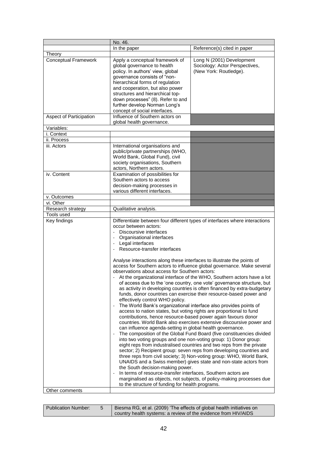|                             | No. 46.                                                                                                                                                                                                                                                                                                                                                                                                                                                                                                                                                                                                                                                                                                                                                                                                                                                                                                                                                                                                                                                                                                                                                                                                                                                                                                                                                                                                                                                                                                                                                                                                                                                                                                                                                                                          |                                                                                       |
|-----------------------------|--------------------------------------------------------------------------------------------------------------------------------------------------------------------------------------------------------------------------------------------------------------------------------------------------------------------------------------------------------------------------------------------------------------------------------------------------------------------------------------------------------------------------------------------------------------------------------------------------------------------------------------------------------------------------------------------------------------------------------------------------------------------------------------------------------------------------------------------------------------------------------------------------------------------------------------------------------------------------------------------------------------------------------------------------------------------------------------------------------------------------------------------------------------------------------------------------------------------------------------------------------------------------------------------------------------------------------------------------------------------------------------------------------------------------------------------------------------------------------------------------------------------------------------------------------------------------------------------------------------------------------------------------------------------------------------------------------------------------------------------------------------------------------------------------|---------------------------------------------------------------------------------------|
|                             | In the paper                                                                                                                                                                                                                                                                                                                                                                                                                                                                                                                                                                                                                                                                                                                                                                                                                                                                                                                                                                                                                                                                                                                                                                                                                                                                                                                                                                                                                                                                                                                                                                                                                                                                                                                                                                                     | Reference(s) cited in paper                                                           |
| Theory                      |                                                                                                                                                                                                                                                                                                                                                                                                                                                                                                                                                                                                                                                                                                                                                                                                                                                                                                                                                                                                                                                                                                                                                                                                                                                                                                                                                                                                                                                                                                                                                                                                                                                                                                                                                                                                  |                                                                                       |
| <b>Conceptual Framework</b> | Apply a conceptual framework of<br>global governance to health<br>policy. In authors' view, global<br>governance consists of "non-<br>hierarchical forms of regulation<br>and cooperation, but also power<br>structures and hierarchical top-<br>down processes" (8). Refer to and<br>further develop Norman Long's<br>concept of social interfaces.                                                                                                                                                                                                                                                                                                                                                                                                                                                                                                                                                                                                                                                                                                                                                                                                                                                                                                                                                                                                                                                                                                                                                                                                                                                                                                                                                                                                                                             | Long N (2001) Development<br>Sociology: Actor Perspectives,<br>(New York: Routledge). |
| Aspect of Participation     | Influence of Southern actors on<br>global health governance.                                                                                                                                                                                                                                                                                                                                                                                                                                                                                                                                                                                                                                                                                                                                                                                                                                                                                                                                                                                                                                                                                                                                                                                                                                                                                                                                                                                                                                                                                                                                                                                                                                                                                                                                     |                                                                                       |
| Variables:                  |                                                                                                                                                                                                                                                                                                                                                                                                                                                                                                                                                                                                                                                                                                                                                                                                                                                                                                                                                                                                                                                                                                                                                                                                                                                                                                                                                                                                                                                                                                                                                                                                                                                                                                                                                                                                  |                                                                                       |
| i. Context                  |                                                                                                                                                                                                                                                                                                                                                                                                                                                                                                                                                                                                                                                                                                                                                                                                                                                                                                                                                                                                                                                                                                                                                                                                                                                                                                                                                                                                                                                                                                                                                                                                                                                                                                                                                                                                  |                                                                                       |
| ii. Process                 |                                                                                                                                                                                                                                                                                                                                                                                                                                                                                                                                                                                                                                                                                                                                                                                                                                                                                                                                                                                                                                                                                                                                                                                                                                                                                                                                                                                                                                                                                                                                                                                                                                                                                                                                                                                                  |                                                                                       |
| iii. Actors                 | International organisations and<br>public/private partnerships (WHO,<br>World Bank, Global Fund), civil<br>society organisations, Southern<br>actors, Northern actors.                                                                                                                                                                                                                                                                                                                                                                                                                                                                                                                                                                                                                                                                                                                                                                                                                                                                                                                                                                                                                                                                                                                                                                                                                                                                                                                                                                                                                                                                                                                                                                                                                           |                                                                                       |
| iv. Content                 | Examination of possibilities for<br>Southern actors to access<br>decision-making processes in<br>various different interfaces.                                                                                                                                                                                                                                                                                                                                                                                                                                                                                                                                                                                                                                                                                                                                                                                                                                                                                                                                                                                                                                                                                                                                                                                                                                                                                                                                                                                                                                                                                                                                                                                                                                                                   |                                                                                       |
| v. Outcomes                 |                                                                                                                                                                                                                                                                                                                                                                                                                                                                                                                                                                                                                                                                                                                                                                                                                                                                                                                                                                                                                                                                                                                                                                                                                                                                                                                                                                                                                                                                                                                                                                                                                                                                                                                                                                                                  |                                                                                       |
| vi. Other                   |                                                                                                                                                                                                                                                                                                                                                                                                                                                                                                                                                                                                                                                                                                                                                                                                                                                                                                                                                                                                                                                                                                                                                                                                                                                                                                                                                                                                                                                                                                                                                                                                                                                                                                                                                                                                  |                                                                                       |
| Research strategy           | Qualitative analysis.                                                                                                                                                                                                                                                                                                                                                                                                                                                                                                                                                                                                                                                                                                                                                                                                                                                                                                                                                                                                                                                                                                                                                                                                                                                                                                                                                                                                                                                                                                                                                                                                                                                                                                                                                                            |                                                                                       |
| Tools used                  |                                                                                                                                                                                                                                                                                                                                                                                                                                                                                                                                                                                                                                                                                                                                                                                                                                                                                                                                                                                                                                                                                                                                                                                                                                                                                                                                                                                                                                                                                                                                                                                                                                                                                                                                                                                                  |                                                                                       |
| Key findings                | Differentiate between four different types of interfaces where interactions<br>occur between actors:<br>Discoursive interfaces<br>Organisational interfaces<br>- Legal interfaces<br>Resource-transfer interfaces<br>Analyse interactions along these interfaces to illustrate the points of<br>access for Southern actors to influence global governance. Make several<br>observations about access for Southern actors:<br>At the organizational interface of the WHO, Southern actors have a lot<br>of access due to the 'one country, one vote' governance structure, but<br>as activity in developing countries is often financed by extra-budgetary<br>funds, donor countries can exercise their resource-based power and<br>effectively control WHO policy.<br>The World Bank's organizational interface also provides points of<br>access to nation states, but voting rights are proportional to fund<br>contributions, hence resource-based power again favours donor<br>countries. World Bank also exercises extensive discoursive power and<br>can influence agenda-setting in global health governance.<br>The composition of the Global Fund Board (five constituencies divided<br>into two voting groups and one non-voting group: 1) Donor group:<br>eight reps from industralised countries and two reps from the private<br>sector; 2) Recipient group: seven reps from developing countries and<br>three reps from civil society; 3) Non-voting group: WHO, World Bank,<br>UNAIDS and a Swiss member) gives state and non-state actors from<br>the South decision-making power.<br>In terms of resource-transfer interfaces, Southern actors are<br>marginalised as objects, not subjects, of policy-making processes due<br>to the structure of funding for health programs. |                                                                                       |
| Other comments              |                                                                                                                                                                                                                                                                                                                                                                                                                                                                                                                                                                                                                                                                                                                                                                                                                                                                                                                                                                                                                                                                                                                                                                                                                                                                                                                                                                                                                                                                                                                                                                                                                                                                                                                                                                                                  |                                                                                       |

| <b>Publication Number:</b> | Biesma RG, et al. (2009) 'The effects of global health initiatives on |
|----------------------------|-----------------------------------------------------------------------|
|                            | country health systems: a review of the evidence from HIV/AIDS        |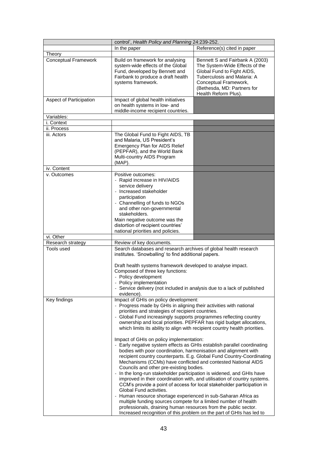|                             | control', Health Policy and Planning 24:239-252.                                                                                                                                                                                                                                                                                                                                                                                                                                                                                                                                                                                                                                                                                                                                                                                                                                                                                                                                                                                                                                                                           |                                                                                                                                                                                                                             |
|-----------------------------|----------------------------------------------------------------------------------------------------------------------------------------------------------------------------------------------------------------------------------------------------------------------------------------------------------------------------------------------------------------------------------------------------------------------------------------------------------------------------------------------------------------------------------------------------------------------------------------------------------------------------------------------------------------------------------------------------------------------------------------------------------------------------------------------------------------------------------------------------------------------------------------------------------------------------------------------------------------------------------------------------------------------------------------------------------------------------------------------------------------------------|-----------------------------------------------------------------------------------------------------------------------------------------------------------------------------------------------------------------------------|
|                             | In the paper                                                                                                                                                                                                                                                                                                                                                                                                                                                                                                                                                                                                                                                                                                                                                                                                                                                                                                                                                                                                                                                                                                               | Reference(s) cited in paper                                                                                                                                                                                                 |
| Theory                      |                                                                                                                                                                                                                                                                                                                                                                                                                                                                                                                                                                                                                                                                                                                                                                                                                                                                                                                                                                                                                                                                                                                            |                                                                                                                                                                                                                             |
| <b>Conceptual Framework</b> | Build on framework for analysing<br>system-wide effects of the Global<br>Fund, developed by Bennett and<br>Fairbank to produce a draft health<br>systems framework.                                                                                                                                                                                                                                                                                                                                                                                                                                                                                                                                                                                                                                                                                                                                                                                                                                                                                                                                                        | Bennett S and Fairbank A (2003)<br>The System-Wide Effects of the<br>Global Fund to Fight AIDS,<br>Tuberculosis and Malaria: A<br>Conceptual Framework,<br>(Bethesda, MD: Partners for<br>Health Reform Plus).              |
| Aspect of Participation     | Impact of global health initiatives<br>on health systems in low- and<br>middle-income recipient countries.                                                                                                                                                                                                                                                                                                                                                                                                                                                                                                                                                                                                                                                                                                                                                                                                                                                                                                                                                                                                                 |                                                                                                                                                                                                                             |
| Variables:                  |                                                                                                                                                                                                                                                                                                                                                                                                                                                                                                                                                                                                                                                                                                                                                                                                                                                                                                                                                                                                                                                                                                                            |                                                                                                                                                                                                                             |
| i. Context                  |                                                                                                                                                                                                                                                                                                                                                                                                                                                                                                                                                                                                                                                                                                                                                                                                                                                                                                                                                                                                                                                                                                                            |                                                                                                                                                                                                                             |
| ii. Process                 |                                                                                                                                                                                                                                                                                                                                                                                                                                                                                                                                                                                                                                                                                                                                                                                                                                                                                                                                                                                                                                                                                                                            |                                                                                                                                                                                                                             |
| iii. Actors                 | The Global Fund to Fight AIDS, TB<br>and Malaria, US President's<br>Emergency Plan for AIDS Relief<br>(PEPFAR), and the World Bank<br>Multi-country AIDS Program<br>(MAP).                                                                                                                                                                                                                                                                                                                                                                                                                                                                                                                                                                                                                                                                                                                                                                                                                                                                                                                                                 |                                                                                                                                                                                                                             |
| iv. Content                 |                                                                                                                                                                                                                                                                                                                                                                                                                                                                                                                                                                                                                                                                                                                                                                                                                                                                                                                                                                                                                                                                                                                            |                                                                                                                                                                                                                             |
| v. Outcomes                 | Positive outcomes:<br>- Rapid increase in HIV/AIDS<br>service delivery<br>- Increased stakeholder<br>participation<br>- Channelling of funds to NGOs<br>and other non-governmental<br>stakeholders.<br>Main negative outcome was the<br>distortion of recipient countries'<br>national priorities and policies.                                                                                                                                                                                                                                                                                                                                                                                                                                                                                                                                                                                                                                                                                                                                                                                                            |                                                                                                                                                                                                                             |
| vi. Other                   |                                                                                                                                                                                                                                                                                                                                                                                                                                                                                                                                                                                                                                                                                                                                                                                                                                                                                                                                                                                                                                                                                                                            |                                                                                                                                                                                                                             |
| Research strategy           | Review of key documents.                                                                                                                                                                                                                                                                                                                                                                                                                                                                                                                                                                                                                                                                                                                                                                                                                                                                                                                                                                                                                                                                                                   |                                                                                                                                                                                                                             |
| Tools used                  | Search databases and research archives of global health research<br>institutes. 'Snowballing' to find additional papers.<br>Draft health systems framework developed to analyse impact.<br>Composed of three key functions:<br>- Policy development<br>Policy implementation<br>- Service delivery (not included in analysis due to a lack of published<br>evidence).                                                                                                                                                                                                                                                                                                                                                                                                                                                                                                                                                                                                                                                                                                                                                      |                                                                                                                                                                                                                             |
| Key findings                | Impact of GHIs on policy development:<br>- Progress made by GHIs in aligning their activities with national<br>priorities and strategies of recipient countries.<br>- Global Fund increasingly supports programmes reflecting country<br>ownership and local priorities. PEPFAR has rigid budget allocations,<br>which limits its ability to align with recipient country health priorities.<br>Impact of GHIs on policy implementation:<br>- Early negative system effects as GHIs establish parallel coordinating<br>bodies with poor coordination, harmonisation and alignment with<br>Mechanisms (CCMs) have conflicted and contested National AIDS<br>Councils and other pre-existing bodies.<br>In the long-run stakeholder participation is widened, and GHIs have<br>$\omega$<br>Global Fund activities.<br>Human resource shortage experienced in sub-Saharan Africa as<br>$\overline{\phantom{a}}$<br>multiple funding sources compete for a limited number of health<br>professionals, draining human resources from the public sector.<br>Increased recognition of this problem on the part of GHIs has led to | recipient country counterparts. E.g. Global Fund Country-Coordinating<br>improved in their coordination with, and utilisation of country systems.<br>CCM's provide a point of access for local stakeholder participation in |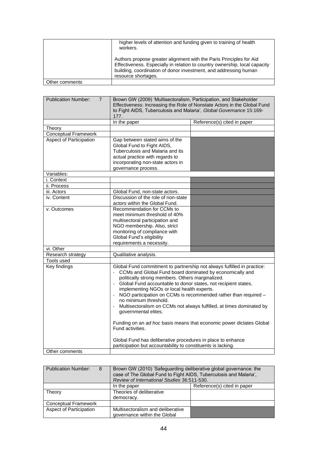|                | higher levels of attention and funding given to training of health<br>workers.                                                                                                                                                               |
|----------------|----------------------------------------------------------------------------------------------------------------------------------------------------------------------------------------------------------------------------------------------|
|                | Authors propose greater alignment with the Paris Principles for Aid<br>Effectiveness. Especially in relation to country ownership, local capacity<br>building, coordination of donor investment, and addressing human<br>resource shortages. |
| Other comments |                                                                                                                                                                                                                                              |

| <b>Publication Number:</b><br>$\overline{7}$ | Brown GW (2009) 'Multisectoralism, Participation, and Stakeholder<br>Effectiveness: Increasing the Role of Nonstate Actors in the Global Fund<br>to Fight AIDS, Tuberculosis and Malaria', Global Governance 15:169-<br>177.                                                                                                                                                                                                                                                                                                                                                                                                                                             |                             |
|----------------------------------------------|--------------------------------------------------------------------------------------------------------------------------------------------------------------------------------------------------------------------------------------------------------------------------------------------------------------------------------------------------------------------------------------------------------------------------------------------------------------------------------------------------------------------------------------------------------------------------------------------------------------------------------------------------------------------------|-----------------------------|
|                                              | In the paper                                                                                                                                                                                                                                                                                                                                                                                                                                                                                                                                                                                                                                                             | Reference(s) cited in paper |
| Theory                                       |                                                                                                                                                                                                                                                                                                                                                                                                                                                                                                                                                                                                                                                                          |                             |
| <b>Conceptual Framework</b>                  |                                                                                                                                                                                                                                                                                                                                                                                                                                                                                                                                                                                                                                                                          |                             |
| Aspect of Participation                      | Gap between stated aims of the<br>Global Fund to Fight AIDS,<br>Tuberculosis and Malaria and its<br>actual practice with regards to<br>incorporating non-state actors in<br>governance process.                                                                                                                                                                                                                                                                                                                                                                                                                                                                          |                             |
| Variables:                                   |                                                                                                                                                                                                                                                                                                                                                                                                                                                                                                                                                                                                                                                                          |                             |
| i. Context                                   |                                                                                                                                                                                                                                                                                                                                                                                                                                                                                                                                                                                                                                                                          |                             |
| ii. Process                                  |                                                                                                                                                                                                                                                                                                                                                                                                                                                                                                                                                                                                                                                                          |                             |
| iii. Actors                                  | Global Fund, non-state actors.                                                                                                                                                                                                                                                                                                                                                                                                                                                                                                                                                                                                                                           |                             |
| iv. Content                                  | Discussion of the role of non-state<br>actors within the Global Fund.                                                                                                                                                                                                                                                                                                                                                                                                                                                                                                                                                                                                    |                             |
| v. Outcomes                                  | Recommendation for CCMs to<br>meet minimum threshold of 40%<br>multisectoral participation and<br>NGO membership. Also, strict<br>monitoring of compliance with<br>Global Fund's eligibility<br>requirements a necessity.                                                                                                                                                                                                                                                                                                                                                                                                                                                |                             |
| vi. Other                                    |                                                                                                                                                                                                                                                                                                                                                                                                                                                                                                                                                                                                                                                                          |                             |
| Research strategy                            | Qualitative analysis.                                                                                                                                                                                                                                                                                                                                                                                                                                                                                                                                                                                                                                                    |                             |
| Tools used                                   |                                                                                                                                                                                                                                                                                                                                                                                                                                                                                                                                                                                                                                                                          |                             |
| Key findings                                 | Global Fund commitment to partnership not always fulfilled in practice:<br>CCMs and Global Fund board dominated by economically and<br>politically strong members. Others marginalized.<br>Global Fund accountable to donor states, not recipient states,<br>$\sim$<br>implementing NGOs or local health experts.<br>NGO participation on CCMs is recommended rather than required -<br>no minimum threshold.<br>Multisectoralism on CCMs not always fulfilled, at times dominated by<br>governmental elites.<br>Funding on an ad hoc basis means that economic power dictates Global<br>Fund activities.<br>Global Fund has deliberative procedures in place to enhance |                             |
|                                              | participation but accountability to constituents is lacking.                                                                                                                                                                                                                                                                                                                                                                                                                                                                                                                                                                                                             |                             |
| Other comments                               |                                                                                                                                                                                                                                                                                                                                                                                                                                                                                                                                                                                                                                                                          |                             |

| <b>Publication Number:</b><br>8 | Brown GW (2010) 'Safeguarding deliberative global governance: the<br>case of The Global Fund to Fight AIDS, Tuberculosis and Malaria',<br>Review of International Studies 36:511-530. |                             |
|---------------------------------|---------------------------------------------------------------------------------------------------------------------------------------------------------------------------------------|-----------------------------|
|                                 | In the paper                                                                                                                                                                          | Reference(s) cited in paper |
| Theory                          | Theories of deliberative                                                                                                                                                              |                             |
|                                 | democracy.                                                                                                                                                                            |                             |
| <b>Conceptual Framework</b>     |                                                                                                                                                                                       |                             |
| Aspect of Participation         | Multisectoralism and deliberative<br>governance within the Global                                                                                                                     |                             |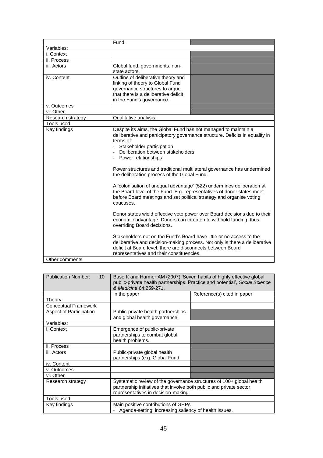|                   | Fund.                                                                                                                                            |                                                                              |
|-------------------|--------------------------------------------------------------------------------------------------------------------------------------------------|------------------------------------------------------------------------------|
| Variables:        |                                                                                                                                                  |                                                                              |
| i. Context        |                                                                                                                                                  |                                                                              |
| ii. Process       |                                                                                                                                                  |                                                                              |
| iii. Actors       | Global fund, governments, non-                                                                                                                   |                                                                              |
|                   | state actors.                                                                                                                                    |                                                                              |
| iv. Content       | Outline of deliberative theory and                                                                                                               |                                                                              |
|                   | linking of theory to Global Fund                                                                                                                 |                                                                              |
|                   | governance structures to argue                                                                                                                   |                                                                              |
|                   | that there is a deliberative deficit                                                                                                             |                                                                              |
|                   | in the Fund's governance.                                                                                                                        |                                                                              |
| v. Outcomes       |                                                                                                                                                  |                                                                              |
| vi. Other         |                                                                                                                                                  |                                                                              |
| Research strategy | Qualitative analysis.                                                                                                                            |                                                                              |
| Tools used        |                                                                                                                                                  |                                                                              |
| Key findings      | Despite its aims, the Global Fund has not managed to maintain a                                                                                  |                                                                              |
|                   |                                                                                                                                                  | deliberative and participatory governance structure. Deficits in equality in |
|                   | terms of:                                                                                                                                        |                                                                              |
|                   | - Stakeholder participation                                                                                                                      |                                                                              |
|                   | Deliberation between stakeholders                                                                                                                |                                                                              |
|                   | - Power relationships                                                                                                                            |                                                                              |
|                   |                                                                                                                                                  |                                                                              |
|                   |                                                                                                                                                  | Power structures and traditional multilateral governance has undermined      |
|                   | the deliberation process of the Global Fund.                                                                                                     |                                                                              |
|                   |                                                                                                                                                  |                                                                              |
|                   | A 'colonisation of unequal advantage' (522) undermines deliberation at<br>the Board level of the Fund. E.g. representatives of donor states meet |                                                                              |
|                   |                                                                                                                                                  |                                                                              |
|                   | before Board meetings and set political strategy and organise voting                                                                             |                                                                              |
|                   | caucuses.                                                                                                                                        |                                                                              |
|                   | Donor states wield effective veto power over Board decisions due to their                                                                        |                                                                              |
|                   | economic advantage. Donors can threaten to withhold funding, thus                                                                                |                                                                              |
|                   | overriding Board decisions.                                                                                                                      |                                                                              |
|                   |                                                                                                                                                  |                                                                              |
|                   | Stakeholders not on the Fund's Board have little or no access to the                                                                             |                                                                              |
|                   | deliberative and decision-making process. Not only is there a deliberative                                                                       |                                                                              |
|                   | deficit at Board level, there are disconnects between Board                                                                                      |                                                                              |
|                   | representatives and their constituencies.                                                                                                        |                                                                              |
| Other comments    |                                                                                                                                                  |                                                                              |
|                   |                                                                                                                                                  |                                                                              |

| <b>Publication Number:</b><br>10 <sup>1</sup> | Buse K and Harmer AM (2007) 'Seven habits of highly effective global<br>public-private health partnerships: Practice and potential', Social Science<br>& Medicine 64:259-271.      |                             |
|-----------------------------------------------|------------------------------------------------------------------------------------------------------------------------------------------------------------------------------------|-----------------------------|
|                                               | In the paper                                                                                                                                                                       | Reference(s) cited in paper |
| Theory                                        |                                                                                                                                                                                    |                             |
| <b>Conceptual Framework</b>                   |                                                                                                                                                                                    |                             |
| <b>Aspect of Participation</b>                | Public-private health partnerships<br>and global health governance.                                                                                                                |                             |
| Variables:                                    |                                                                                                                                                                                    |                             |
| i. Context                                    | Emergence of public-private<br>partnerships to combat global<br>health problems.                                                                                                   |                             |
| ii. Process                                   |                                                                                                                                                                                    |                             |
| iii. Actors                                   | Public-private global health<br>partnerships (e.g. Global Fund                                                                                                                     |                             |
| iv. Content                                   |                                                                                                                                                                                    |                             |
| v. Outcomes                                   |                                                                                                                                                                                    |                             |
| vi. Other                                     |                                                                                                                                                                                    |                             |
| Research strategy                             | Systematic review of the governance structures of 100+ global health<br>partnership initiatives that involve both public and private sector<br>representatives in decision-making. |                             |
| Tools used                                    |                                                                                                                                                                                    |                             |
| Key findings                                  | Main positive contributions of GHPs<br>Agenda-setting: increasing saliency of health issues.                                                                                       |                             |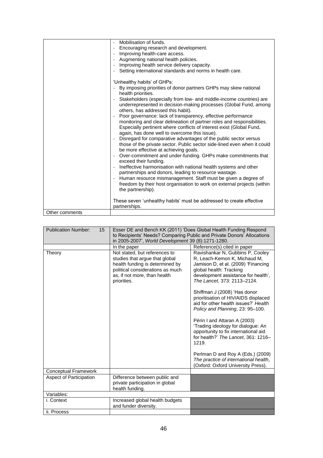|                | Mobilisation of funds.                                                                                                                                                                                                                                           |
|----------------|------------------------------------------------------------------------------------------------------------------------------------------------------------------------------------------------------------------------------------------------------------------|
|                | Encouraging research and development.                                                                                                                                                                                                                            |
|                | Improving health-care access.                                                                                                                                                                                                                                    |
|                | Augmenting national health policies.                                                                                                                                                                                                                             |
|                | Improving health service delivery capacity.                                                                                                                                                                                                                      |
|                | Setting international standards and norms in health care.                                                                                                                                                                                                        |
|                | 'Unhealthy habits' of GHPs:                                                                                                                                                                                                                                      |
|                | By imposing priorities of donor partners GHPs may skew national<br>health priorities.                                                                                                                                                                            |
|                | Stakeholders (especially from low- and middle-income countries) are<br>underrepresented in decision-making processes (Global Fund, among<br>others, has addressed this habit).                                                                                   |
|                | Poor governance: lack of transparency, effective performance<br>monitoring and clear delineation of partner roles and responsibilities.<br>Especially pertinent where conflicts of interest exist (Global Fund,<br>again, has done well to overcome this issue). |
|                | Disregard for comparative advantages of the public sector versus<br>those of the private sector. Public sector side-lined even when it could<br>be more effective at achieving goals.                                                                            |
|                | Over-commitment and under-funding. GHPs make commitments that<br>exceed their funding.                                                                                                                                                                           |
|                | Ineffective harmonisation with national health systems and other<br>partnerships and donors, leading to resource wastage.                                                                                                                                        |
|                | Human resource mismanagement. Staff must be given a degree of<br>freedom by their host organisation to work on external projects (within<br>the partnership).                                                                                                    |
|                | These seven 'unhealthy habits' must be addressed to create effective<br>partnerships.                                                                                                                                                                            |
| Other comments |                                                                                                                                                                                                                                                                  |

| <b>Publication Number:</b><br>15 | Esser DE and Bench KK (2011) 'Does Global Health Funding Respond<br>to Recipients' Needs? Comparing Public and Private Donors' Allocations<br>in 2005-2007', World Development 39 (8):1271-1280. |                                                                                                                                                                                                          |
|----------------------------------|--------------------------------------------------------------------------------------------------------------------------------------------------------------------------------------------------|----------------------------------------------------------------------------------------------------------------------------------------------------------------------------------------------------------|
|                                  | In the paper                                                                                                                                                                                     | Reference(s) cited in paper                                                                                                                                                                              |
| Theory                           | Not stated, but references to<br>studies that argue that global<br>health funding is determined by<br>political considerations as much<br>as, if not more, than health<br>priorities.            | Ravishankar N, Gubbins P, Cooley<br>R, Leach-Kemon K, Michaud M,<br>Jamison D, et al. (2009) 'Financing<br>global health: Tracking<br>development assistance for health',<br>The Lancet, 373: 2113-2124. |
|                                  |                                                                                                                                                                                                  | Shiffman J (2008) 'Has donor<br>prioritisation of HIV/AIDS displaced<br>aid for other health issues?' Health<br>Policy and Planning, 23: 95-100.                                                         |
|                                  |                                                                                                                                                                                                  | Périn I and Attaran A (2003)<br>'Trading ideology for dialogue: An<br>opportunity to fix international aid<br>for health?' The Lancet, 361: 1216-<br>1219.                                               |
|                                  |                                                                                                                                                                                                  | Perlman D and Roy A (Eds.) (2009)<br>The practice of international health,<br>(Oxford: Oxford University Press).                                                                                         |
| <b>Conceptual Framework</b>      |                                                                                                                                                                                                  |                                                                                                                                                                                                          |
| Aspect of Participation          | Difference between public and<br>private participation in global<br>health funding.                                                                                                              |                                                                                                                                                                                                          |
| Variables:                       |                                                                                                                                                                                                  |                                                                                                                                                                                                          |
| i. Context                       | Increased global health budgets<br>and funder diversity.                                                                                                                                         |                                                                                                                                                                                                          |
| ii. Process                      |                                                                                                                                                                                                  |                                                                                                                                                                                                          |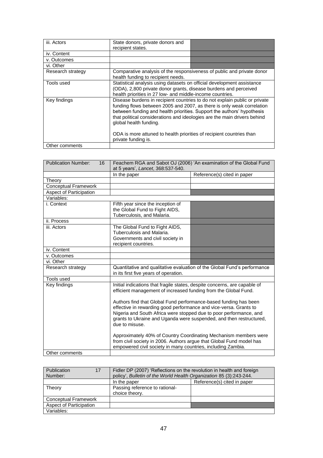| iii. Actors       | State donors, private donors and<br>recipient states.                                                                                                                                                                                                                                                                                                                                                        |                                                                        |
|-------------------|--------------------------------------------------------------------------------------------------------------------------------------------------------------------------------------------------------------------------------------------------------------------------------------------------------------------------------------------------------------------------------------------------------------|------------------------------------------------------------------------|
| iv. Content       |                                                                                                                                                                                                                                                                                                                                                                                                              |                                                                        |
| v. Outcomes       |                                                                                                                                                                                                                                                                                                                                                                                                              |                                                                        |
| vi. Other         |                                                                                                                                                                                                                                                                                                                                                                                                              |                                                                        |
| Research strategy | health funding to recipient needs.                                                                                                                                                                                                                                                                                                                                                                           | Comparative analysis of the responsiveness of public and private donor |
| Tools used        | Statistical analysis using datasets on official development assistance<br>(ODA), 2,800 private donor grants, disease burdens and perceived<br>health priorities in 27 low- and middle-income countries.                                                                                                                                                                                                      |                                                                        |
| Key findings      | Disease burdens in recipient countries to do not explain public or private<br>funding flows between 2005 and 2007, as there is only weak correlation<br>between funding and health priorities. Support the authors' hypothesis<br>that political considerations and ideologies are the main drivers behind<br>global health funding.<br>ODA is more attuned to health priorities of recipient countries than |                                                                        |
| Other comments    | private funding is.                                                                                                                                                                                                                                                                                                                                                                                          |                                                                        |

| <b>Publication Number:</b><br>16 | Feachem RGA and Sabot OJ (2006) 'An examination of the Global Fund<br>at 5 years', Lancet, 368:537-540.                                                                                                                                                                                                                                                                                                                                                                                                                                                                                                                                                          |  |
|----------------------------------|------------------------------------------------------------------------------------------------------------------------------------------------------------------------------------------------------------------------------------------------------------------------------------------------------------------------------------------------------------------------------------------------------------------------------------------------------------------------------------------------------------------------------------------------------------------------------------------------------------------------------------------------------------------|--|
|                                  | Reference(s) cited in paper<br>In the paper                                                                                                                                                                                                                                                                                                                                                                                                                                                                                                                                                                                                                      |  |
| Theory                           |                                                                                                                                                                                                                                                                                                                                                                                                                                                                                                                                                                                                                                                                  |  |
| <b>Conceptual Framework</b>      |                                                                                                                                                                                                                                                                                                                                                                                                                                                                                                                                                                                                                                                                  |  |
| <b>Aspect of Participation</b>   |                                                                                                                                                                                                                                                                                                                                                                                                                                                                                                                                                                                                                                                                  |  |
| Variables:                       |                                                                                                                                                                                                                                                                                                                                                                                                                                                                                                                                                                                                                                                                  |  |
| i. Context                       | Fifth year since the inception of<br>the Global Fund to Fight AIDS,<br>Tuberculosis, and Malaria.                                                                                                                                                                                                                                                                                                                                                                                                                                                                                                                                                                |  |
| ii. Process                      |                                                                                                                                                                                                                                                                                                                                                                                                                                                                                                                                                                                                                                                                  |  |
| iii. Actors                      | The Global Fund to Fight AIDS,<br>Tuberculosis and Malaria.<br>Governments and civil society in<br>recipient countries.                                                                                                                                                                                                                                                                                                                                                                                                                                                                                                                                          |  |
| iv. Content                      |                                                                                                                                                                                                                                                                                                                                                                                                                                                                                                                                                                                                                                                                  |  |
| v. Outcomes                      |                                                                                                                                                                                                                                                                                                                                                                                                                                                                                                                                                                                                                                                                  |  |
| vi. Other                        |                                                                                                                                                                                                                                                                                                                                                                                                                                                                                                                                                                                                                                                                  |  |
| Research strategy                | Quantitative and qualitative evaluation of the Global Fund's performance<br>in its first five years of operation.                                                                                                                                                                                                                                                                                                                                                                                                                                                                                                                                                |  |
| Tools used                       |                                                                                                                                                                                                                                                                                                                                                                                                                                                                                                                                                                                                                                                                  |  |
| Key findings                     | Initial indications that fragile states, despite concerns, are capable of<br>efficient management of increased funding from the Global Fund.<br>Authors find that Global Fund performance-based funding has been<br>effective in rewarding good performance and vice-versa. Grants to<br>Nigeria and South Africa were stopped due to poor performance, and<br>grants to Ukraine and Uganda were suspended, and then restructured,<br>due to misuse.<br>Approximately 40% of Country Coordinating Mechanism members were<br>from civil society in 2006. Authors argue that Global Fund model has<br>empowered civil society in many countries, including Zambia. |  |
| Other comments                   |                                                                                                                                                                                                                                                                                                                                                                                                                                                                                                                                                                                                                                                                  |  |

| Publication<br>17<br>Number: | Fidler DP (2007) 'Reflections on the revolution in health and foreign<br>policy', Bulletin of the World Health Organization 85 (3):243-244. |                             |
|------------------------------|---------------------------------------------------------------------------------------------------------------------------------------------|-----------------------------|
|                              | In the paper                                                                                                                                | Reference(s) cited in paper |
| Theory                       | Passing reference to rational-<br>choice theory.                                                                                            |                             |
| <b>Conceptual Framework</b>  |                                                                                                                                             |                             |
| Aspect of Participation      |                                                                                                                                             |                             |
| Variables:                   |                                                                                                                                             |                             |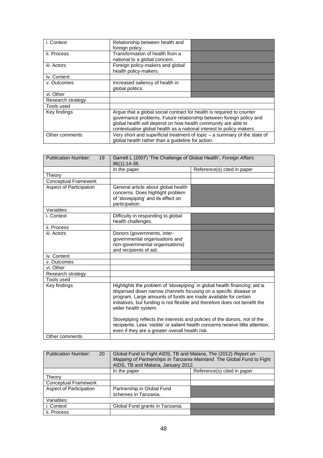| i. Context        | Relationship between health and<br>foreign policy.                                                                                                                                                                                                                                    |  |
|-------------------|---------------------------------------------------------------------------------------------------------------------------------------------------------------------------------------------------------------------------------------------------------------------------------------|--|
| ii. Process       | Transformation of health from a<br>national to a global concern.                                                                                                                                                                                                                      |  |
| iii. Actors       | Foreign policy-makers and global<br>health policy-makers.                                                                                                                                                                                                                             |  |
| iv. Content       |                                                                                                                                                                                                                                                                                       |  |
| v. Outcomes       | Increased saliency of health in<br>global politics.                                                                                                                                                                                                                                   |  |
| vi. Other         |                                                                                                                                                                                                                                                                                       |  |
| Research strategy |                                                                                                                                                                                                                                                                                       |  |
| Tools used        |                                                                                                                                                                                                                                                                                       |  |
| Key findings      | Argue that a global social contract for health is required to counter<br>governance problems. Future relationship between foreign policy and<br>global health will depend on how health community are able to<br>contextualise global health as a national interest to policy-makers. |  |
| Other comments    | Very short and superficial treatment of topic - a summary of the state of<br>global health rather than a guideline for action.                                                                                                                                                        |  |

| <b>Publication Number:</b><br>19 | Garrett L (2007) 'The Challenge of Global Health', Foreign Affairs<br>86(1):14-38.                                                                                                                                                                                                                                                                                                                                                                                                                                                         |                             |
|----------------------------------|--------------------------------------------------------------------------------------------------------------------------------------------------------------------------------------------------------------------------------------------------------------------------------------------------------------------------------------------------------------------------------------------------------------------------------------------------------------------------------------------------------------------------------------------|-----------------------------|
|                                  | In the paper                                                                                                                                                                                                                                                                                                                                                                                                                                                                                                                               | Reference(s) cited in paper |
| Theory                           |                                                                                                                                                                                                                                                                                                                                                                                                                                                                                                                                            |                             |
| Conceptual Framework             |                                                                                                                                                                                                                                                                                                                                                                                                                                                                                                                                            |                             |
| <b>Aspect of Participation</b>   | General article about global health<br>concerns. Does highlight problem<br>of 'stovepiping' and its effect on<br>participation.                                                                                                                                                                                                                                                                                                                                                                                                            |                             |
| Variables:                       |                                                                                                                                                                                                                                                                                                                                                                                                                                                                                                                                            |                             |
| i. Context                       | Difficulty in responding to global<br>health challenges.                                                                                                                                                                                                                                                                                                                                                                                                                                                                                   |                             |
| ii. Process                      |                                                                                                                                                                                                                                                                                                                                                                                                                                                                                                                                            |                             |
| iii. Actors                      | Donors (governments, inter-<br>governmental organisations and<br>non-governmental organisations)<br>and recipients of aid.                                                                                                                                                                                                                                                                                                                                                                                                                 |                             |
| iv. Content                      |                                                                                                                                                                                                                                                                                                                                                                                                                                                                                                                                            |                             |
| v. Outcomes                      |                                                                                                                                                                                                                                                                                                                                                                                                                                                                                                                                            |                             |
| vi. Other                        |                                                                                                                                                                                                                                                                                                                                                                                                                                                                                                                                            |                             |
| Research strategy                |                                                                                                                                                                                                                                                                                                                                                                                                                                                                                                                                            |                             |
| Tools used                       |                                                                                                                                                                                                                                                                                                                                                                                                                                                                                                                                            |                             |
| Key findings                     | Highlights the problem of 'stovepiping' in global health financing: aid is<br>dispersed down narrow channels focusing on a specific disease or<br>program. Large amounts of funds are made available for certain<br>initiatives, but funding is not flexible and therefore does not benefit the<br>wider health system.<br>Stovepiping reflects the interests and policies of the donors, not of the<br>recipients. Less 'visible' or salient health concerns receive little attention,<br>even if they are a greater overall health risk. |                             |
| Other comments                   |                                                                                                                                                                                                                                                                                                                                                                                                                                                                                                                                            |                             |

| <b>Publication Number:</b><br>20 | Global Fund to Fight AIDS, TB and Malaria, The (2012) Report on<br>Mapping of Partnerships in Tanzania Mainland. The Global Fund to Fight<br>AIDS, TB and Malaria, January 2012. |                             |
|----------------------------------|----------------------------------------------------------------------------------------------------------------------------------------------------------------------------------|-----------------------------|
|                                  | In the paper                                                                                                                                                                     | Reference(s) cited in paper |
| Theory                           |                                                                                                                                                                                  |                             |
| <b>Conceptual Framework</b>      |                                                                                                                                                                                  |                             |
| Aspect of Participation          | Partnership in Global Fund                                                                                                                                                       |                             |
|                                  | schemes in Tanzania.                                                                                                                                                             |                             |
| Variables:                       |                                                                                                                                                                                  |                             |
| i. Context                       | Global Fund grants in Tanzania.                                                                                                                                                  |                             |
| ii. Process                      |                                                                                                                                                                                  |                             |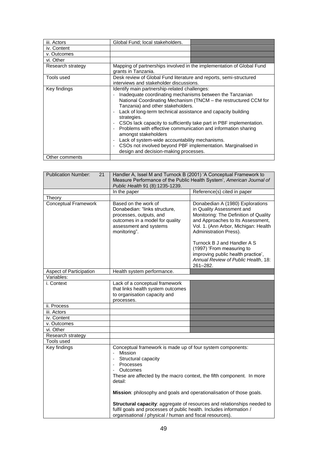| iii. Actors       | Global Fund; local stakeholders.                                                                                                                                                                                                                                                                                                                                                                                                                                                  |                                                                                                                                         |
|-------------------|-----------------------------------------------------------------------------------------------------------------------------------------------------------------------------------------------------------------------------------------------------------------------------------------------------------------------------------------------------------------------------------------------------------------------------------------------------------------------------------|-----------------------------------------------------------------------------------------------------------------------------------------|
| iv. Content       |                                                                                                                                                                                                                                                                                                                                                                                                                                                                                   |                                                                                                                                         |
| v. Outcomes       |                                                                                                                                                                                                                                                                                                                                                                                                                                                                                   |                                                                                                                                         |
| vi. Other         |                                                                                                                                                                                                                                                                                                                                                                                                                                                                                   |                                                                                                                                         |
| Research strategy | Mapping of partnerships involved in the implementation of Global Fund<br>grants in Tanzania.                                                                                                                                                                                                                                                                                                                                                                                      |                                                                                                                                         |
| Tools used        | Desk review of Global Fund literature and reports, semi-structured<br>interviews and stakeholder discussions.                                                                                                                                                                                                                                                                                                                                                                     |                                                                                                                                         |
| Key findings      | Identify main partnership-related challenges:<br>Inadequate coordinating mechanisms between the Tanzanian<br>Tanzania) and other stakeholders.<br>Lack of long-term technical assistance and capacity building<br>strategies.<br>Problems with effective communication and information sharing<br>amongst stakeholders<br>Lack of system-wide accountability mechanisms.<br>CSOs not involved beyond PBF implementation. Marginalised in<br>design and decision-making processes. | National Coordinating Mechanism (TNCM – the restructured CCM for<br>CSOs lack capacity to sufficiently take part in PBF implementation. |
| Other comments    |                                                                                                                                                                                                                                                                                                                                                                                                                                                                                   |                                                                                                                                         |

| <b>Publication Number:</b><br>21 | Handler A, Issel M and Turnock B (2001) 'A Conceptual Framework to<br>Measure Performance of the Public Health System', American Journal of<br>Public Health 91 (8):1235-1239.                                                                                                                                                                                                                                                                                                                         |                                                                                                                                                                                                                                                                                                                                                                    |
|----------------------------------|--------------------------------------------------------------------------------------------------------------------------------------------------------------------------------------------------------------------------------------------------------------------------------------------------------------------------------------------------------------------------------------------------------------------------------------------------------------------------------------------------------|--------------------------------------------------------------------------------------------------------------------------------------------------------------------------------------------------------------------------------------------------------------------------------------------------------------------------------------------------------------------|
|                                  | In the paper                                                                                                                                                                                                                                                                                                                                                                                                                                                                                           | Reference(s) cited in paper                                                                                                                                                                                                                                                                                                                                        |
| Theory                           |                                                                                                                                                                                                                                                                                                                                                                                                                                                                                                        |                                                                                                                                                                                                                                                                                                                                                                    |
| Conceptual Framework             | Based on the work of<br>Donabedian: "links structure,<br>processes, outputs, and<br>outcomes in a model for quality<br>assessment and systems<br>monitoring".                                                                                                                                                                                                                                                                                                                                          | Donabedian A (1980) Explorations<br>in Quality Assessment and<br>Monitoring: The Definition of Quality<br>and Approaches to Its Assessment,<br>Vol. 1. (Ann Arbor, Michigan: Health<br>Administration Press).<br>Turnock B J and Handler A S<br>(1997) 'From measuring to<br>improving public health practice',<br>Annual Review of Public Health, 18:<br>261-282. |
| Aspect of Participation          | Health system performance.                                                                                                                                                                                                                                                                                                                                                                                                                                                                             |                                                                                                                                                                                                                                                                                                                                                                    |
| Variables:                       |                                                                                                                                                                                                                                                                                                                                                                                                                                                                                                        |                                                                                                                                                                                                                                                                                                                                                                    |
| i. Context                       | Lack of a conceptual framework<br>that links health system outcomes<br>to organisation capacity and<br>processes.                                                                                                                                                                                                                                                                                                                                                                                      |                                                                                                                                                                                                                                                                                                                                                                    |
| ii. Process                      |                                                                                                                                                                                                                                                                                                                                                                                                                                                                                                        |                                                                                                                                                                                                                                                                                                                                                                    |
| iii. Actors                      |                                                                                                                                                                                                                                                                                                                                                                                                                                                                                                        |                                                                                                                                                                                                                                                                                                                                                                    |
| iv. Content                      |                                                                                                                                                                                                                                                                                                                                                                                                                                                                                                        |                                                                                                                                                                                                                                                                                                                                                                    |
| v. Outcomes                      |                                                                                                                                                                                                                                                                                                                                                                                                                                                                                                        |                                                                                                                                                                                                                                                                                                                                                                    |
| vi. Other                        |                                                                                                                                                                                                                                                                                                                                                                                                                                                                                                        |                                                                                                                                                                                                                                                                                                                                                                    |
| Research strategy                |                                                                                                                                                                                                                                                                                                                                                                                                                                                                                                        |                                                                                                                                                                                                                                                                                                                                                                    |
| Tools used                       |                                                                                                                                                                                                                                                                                                                                                                                                                                                                                                        |                                                                                                                                                                                                                                                                                                                                                                    |
| Key findings                     | Conceptual framework is made up of four system components:<br>Mission<br>Structural capacity<br>Processes<br>Outcomes<br>These are affected by the macro context, the fifth component. In more<br>detail:<br>Mission: philosophy and goals and operationalisation of those goals.<br><b>Structural capacity:</b> aggregate of resources and relationships needed to<br>fulfil goals and processes of public health. Includes information /<br>organisational / physical / human and fiscal resources). |                                                                                                                                                                                                                                                                                                                                                                    |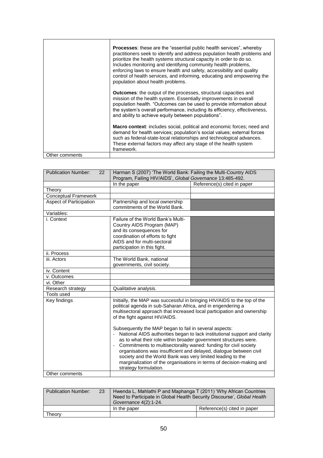|                | <b>Processes:</b> these are the "essential public health services", whereby<br>practitioners seek to identify and address population health problems and<br>prioritize the health systems structural capacity in order to do so.<br>Includes monitoring and identifying community health problems,<br>enforcing laws to ensure health and safety, accessibility and quality<br>control of health services, and informing, educating and empowering the<br>population about health problems. |
|----------------|---------------------------------------------------------------------------------------------------------------------------------------------------------------------------------------------------------------------------------------------------------------------------------------------------------------------------------------------------------------------------------------------------------------------------------------------------------------------------------------------|
|                | <b>Outcomes:</b> the output of the processes, structural capacities and<br>mission of the health system. Essentially improvements in overall<br>population health. "Outcomes can be used to provide information about<br>the system's overall performance, including its efficiency, effectiveness,<br>and ability to achieve equity between populations".                                                                                                                                  |
|                | <b>Macro context:</b> includes social, political and economic forces; need and<br>demand for health services; population's social values; external forces<br>such as federal-state-local relationships and technological advances.<br>These external factors may affect any stage of the health system<br>framework.                                                                                                                                                                        |
| Other comments |                                                                                                                                                                                                                                                                                                                                                                                                                                                                                             |

| <b>Publication Number:</b><br>22 | Harman S (2007) 'The World Bank: Failing the Multi-Country AIDS<br>Program, Failing HIV/AIDS', Global Governance 13:485-492.                                                                                                                                                                                                                                                                 |                             |
|----------------------------------|----------------------------------------------------------------------------------------------------------------------------------------------------------------------------------------------------------------------------------------------------------------------------------------------------------------------------------------------------------------------------------------------|-----------------------------|
|                                  | In the paper                                                                                                                                                                                                                                                                                                                                                                                 | Reference(s) cited in paper |
| Theory                           |                                                                                                                                                                                                                                                                                                                                                                                              |                             |
| <b>Conceptual Framework</b>      |                                                                                                                                                                                                                                                                                                                                                                                              |                             |
| Aspect of Participation          | Partnership and local ownership                                                                                                                                                                                                                                                                                                                                                              |                             |
|                                  | commitments of the World Bank.                                                                                                                                                                                                                                                                                                                                                               |                             |
| Variables:                       |                                                                                                                                                                                                                                                                                                                                                                                              |                             |
| i. Context                       | Failure of the World Bank's Multi-                                                                                                                                                                                                                                                                                                                                                           |                             |
|                                  | Country AIDS Program (MAP)                                                                                                                                                                                                                                                                                                                                                                   |                             |
|                                  | and its consequences for                                                                                                                                                                                                                                                                                                                                                                     |                             |
|                                  | coordination of efforts to fight                                                                                                                                                                                                                                                                                                                                                             |                             |
|                                  | AIDS and for multi-sectoral                                                                                                                                                                                                                                                                                                                                                                  |                             |
|                                  | participation in this fight.                                                                                                                                                                                                                                                                                                                                                                 |                             |
| ii. Process                      |                                                                                                                                                                                                                                                                                                                                                                                              |                             |
| iii. Actors                      | The World Bank, national                                                                                                                                                                                                                                                                                                                                                                     |                             |
|                                  | governments, civil society.                                                                                                                                                                                                                                                                                                                                                                  |                             |
| iv. Content                      |                                                                                                                                                                                                                                                                                                                                                                                              |                             |
| v. Outcomes                      |                                                                                                                                                                                                                                                                                                                                                                                              |                             |
| vi. Other                        |                                                                                                                                                                                                                                                                                                                                                                                              |                             |
| Research strategy                | Qualitative analysis.                                                                                                                                                                                                                                                                                                                                                                        |                             |
| Tools used                       |                                                                                                                                                                                                                                                                                                                                                                                              |                             |
| Key findings                     | Initially, the MAP was successful in bringing HIV/AIDS to the top of the<br>political agenda in sub-Saharan Africa, and in engendering a<br>multisectoral approach that increased local participation and ownership<br>of the fight against HIV/AIDS.<br>Subsequently the MAP began to fail in several aspects:<br>National AIDS authorities began to lack institutional support and clarity |                             |
| Other comments                   | as to what their role within broader government structures were.<br>Commitments to multisectorality waned: funding for civil society<br>organisations was insufficient and delayed, dialogue between civil<br>society and the World Bank was very limited leading to the<br>marginalization of the organisations in terms of decision-making and<br>strategy formulation.                    |                             |
|                                  |                                                                                                                                                                                                                                                                                                                                                                                              |                             |

| Publication Number: | 23 | Hwenda L, Mahlathi P and Maphanga T (2011) 'Why African Countries<br>Need to Participate in Global Health Security Discourse', Global Health<br>Governance 4(2):1-24. |                             |
|---------------------|----|-----------------------------------------------------------------------------------------------------------------------------------------------------------------------|-----------------------------|
|                     |    | In the paper                                                                                                                                                          | Reference(s) cited in paper |
| Theorv              |    |                                                                                                                                                                       |                             |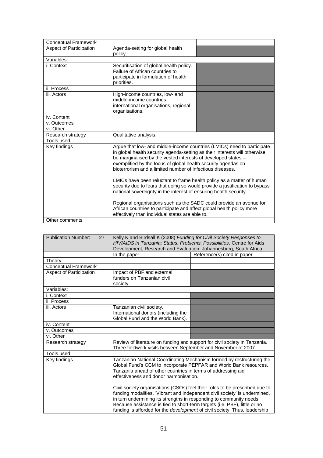| <b>Conceptual Framework</b> |                                                                                                                                                                                                                                                                                                                                                                                                                                                                                                                                                                                                                                                                                                                                                                                      |  |
|-----------------------------|--------------------------------------------------------------------------------------------------------------------------------------------------------------------------------------------------------------------------------------------------------------------------------------------------------------------------------------------------------------------------------------------------------------------------------------------------------------------------------------------------------------------------------------------------------------------------------------------------------------------------------------------------------------------------------------------------------------------------------------------------------------------------------------|--|
| Aspect of Participation     | Agenda-setting for global health<br>policy.                                                                                                                                                                                                                                                                                                                                                                                                                                                                                                                                                                                                                                                                                                                                          |  |
| Variables:                  |                                                                                                                                                                                                                                                                                                                                                                                                                                                                                                                                                                                                                                                                                                                                                                                      |  |
| i. Context                  | Securitisation of global health policy.<br>Failure of African countries to<br>participate in formulation of health<br>priorities.                                                                                                                                                                                                                                                                                                                                                                                                                                                                                                                                                                                                                                                    |  |
| ii. Process                 |                                                                                                                                                                                                                                                                                                                                                                                                                                                                                                                                                                                                                                                                                                                                                                                      |  |
| iii. Actors                 | High-income countries, low- and<br>middle-income countries.<br>international organisations, regional<br>organisations.                                                                                                                                                                                                                                                                                                                                                                                                                                                                                                                                                                                                                                                               |  |
| iv. Content                 |                                                                                                                                                                                                                                                                                                                                                                                                                                                                                                                                                                                                                                                                                                                                                                                      |  |
| v. Outcomes                 |                                                                                                                                                                                                                                                                                                                                                                                                                                                                                                                                                                                                                                                                                                                                                                                      |  |
| vi. Other                   |                                                                                                                                                                                                                                                                                                                                                                                                                                                                                                                                                                                                                                                                                                                                                                                      |  |
| Research strategy           | Qualitative analysis.                                                                                                                                                                                                                                                                                                                                                                                                                                                                                                                                                                                                                                                                                                                                                                |  |
| Tools used                  |                                                                                                                                                                                                                                                                                                                                                                                                                                                                                                                                                                                                                                                                                                                                                                                      |  |
| Key findings                | Argue that low- and middle-income countries (LMICs) need to participate<br>in global health security agenda-setting as their interests will otherwise<br>be marginalised by the vested interests of developed states -<br>exemplified by the focus of global health security agendas on<br>bioterrorism and a limited number of infectious diseases.<br>LMICs have been reluctant to frame health policy as a matter of human<br>security due to fears that doing so would provide a justification to bypass<br>national sovereignty in the interest of ensuring health security.<br>Regional organisations such as the SADC could provide an avenue for<br>African countries to participate and affect global health policy more<br>effectively than individual states are able to. |  |
| Other comments              |                                                                                                                                                                                                                                                                                                                                                                                                                                                                                                                                                                                                                                                                                                                                                                                      |  |

| <b>Publication Number:</b><br>27 | Kelly K and Birdsall K (2008) Funding for Civil Society Responses to<br>HIV/AIDS in Tanzania: Status, Problems, Possibilities. Centre for Aids                                                                                                       |                                                                                                                                                                                                                                         |
|----------------------------------|------------------------------------------------------------------------------------------------------------------------------------------------------------------------------------------------------------------------------------------------------|-----------------------------------------------------------------------------------------------------------------------------------------------------------------------------------------------------------------------------------------|
|                                  | Development, Research and Evaluation: Johannesburg, South Africa.                                                                                                                                                                                    |                                                                                                                                                                                                                                         |
|                                  | In the paper                                                                                                                                                                                                                                         | Reference(s) cited in paper                                                                                                                                                                                                             |
| Theory                           |                                                                                                                                                                                                                                                      |                                                                                                                                                                                                                                         |
| <b>Conceptual Framework</b>      |                                                                                                                                                                                                                                                      |                                                                                                                                                                                                                                         |
| Aspect of Participation          | Impact of PBF and external                                                                                                                                                                                                                           |                                                                                                                                                                                                                                         |
|                                  | funders on Tanzanian civil                                                                                                                                                                                                                           |                                                                                                                                                                                                                                         |
|                                  | society.                                                                                                                                                                                                                                             |                                                                                                                                                                                                                                         |
| Variables:                       |                                                                                                                                                                                                                                                      |                                                                                                                                                                                                                                         |
| i. Context                       |                                                                                                                                                                                                                                                      |                                                                                                                                                                                                                                         |
| ii. Process                      |                                                                                                                                                                                                                                                      |                                                                                                                                                                                                                                         |
| iii. Actors                      | Tanzanian civil society.                                                                                                                                                                                                                             |                                                                                                                                                                                                                                         |
|                                  | International donors (including the                                                                                                                                                                                                                  |                                                                                                                                                                                                                                         |
|                                  | Global Fund and the World Bank).                                                                                                                                                                                                                     |                                                                                                                                                                                                                                         |
| iv. Content                      |                                                                                                                                                                                                                                                      |                                                                                                                                                                                                                                         |
| v. Outcomes                      |                                                                                                                                                                                                                                                      |                                                                                                                                                                                                                                         |
| vi. Other                        |                                                                                                                                                                                                                                                      |                                                                                                                                                                                                                                         |
| Research strategy                | Three fieldwork visits between September and November of 2007.                                                                                                                                                                                       | Review of literature on funding and support for civil society in Tanzania.                                                                                                                                                              |
| Tools used                       |                                                                                                                                                                                                                                                      |                                                                                                                                                                                                                                         |
| Key findings                     | Tanzanian National Coordinating Mechanism formed by restructuring the<br>Global Fund's CCM to incorporate PEPFAR and World Bank resources.<br>Tanzania ahead of other countries in terms of addressing aid<br>effectiveness and donor harmonisation. |                                                                                                                                                                                                                                         |
|                                  | in turn undermining its strengths in responding to community needs.<br>Because assistance is tied to short-term targets (i.e. PBF), little or no                                                                                                     | Civil society organisations (CSOs) feel their roles to be prescribed due to<br>funding modalities. 'Vibrant and independent civil society' is undermined,<br>funding is afforded for the development of civil society. Thus, leadership |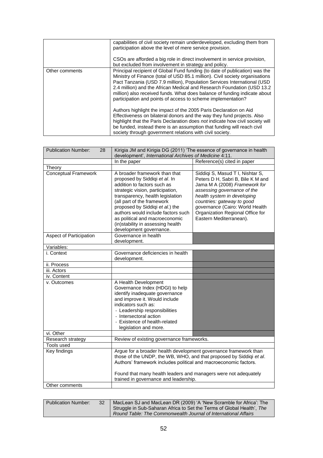|                | capabilities of civil society remain underdeveloped, excluding them from<br>participation above the level of mere service provision.<br>CSOs are afforded a big role in direct involvement in service provision,<br>but excluded from involvement in strategy and policy.                                                                                                                                                                                     |
|----------------|---------------------------------------------------------------------------------------------------------------------------------------------------------------------------------------------------------------------------------------------------------------------------------------------------------------------------------------------------------------------------------------------------------------------------------------------------------------|
| Other comments | Principal recipient of Global Fund funding (to date of publication) was the<br>Ministry of Finance (total of USD 85.1 million). Civil society organisations<br>Pact Tanzania (USD 7.9 million), Population Services International (USD<br>2.4 million) and the African Medical and Research Foundation (USD 13.2<br>million) also received funds. What does balance of funding indicate about<br>participation and points of access to scheme implementation? |
|                | Authors highlight the impact of the 2005 Paris Declaration on Aid<br>Effectiveness on bilateral donors and the way they fund projects. Also<br>highlight that the Paris Declaration does not indicate how civil society will<br>be funded, instead there is an assumption that funding will reach civil<br>society through government relations with civil society.                                                                                           |

| <b>Publication Number:</b><br>28 | Kirigia JM and Kirigia DG (2011) 'The essence of governance in health                                                                                                                                                                                                                                                                                                          |                                                                                                                                                                                                                                                                                                      |
|----------------------------------|--------------------------------------------------------------------------------------------------------------------------------------------------------------------------------------------------------------------------------------------------------------------------------------------------------------------------------------------------------------------------------|------------------------------------------------------------------------------------------------------------------------------------------------------------------------------------------------------------------------------------------------------------------------------------------------------|
|                                  | development', International Archives of Medicine 4:11.                                                                                                                                                                                                                                                                                                                         |                                                                                                                                                                                                                                                                                                      |
|                                  | In the paper                                                                                                                                                                                                                                                                                                                                                                   | Reference(s) cited in paper                                                                                                                                                                                                                                                                          |
| Theory                           |                                                                                                                                                                                                                                                                                                                                                                                |                                                                                                                                                                                                                                                                                                      |
| Conceptual Framework             | A broader framework than that<br>proposed by Siddiqi et al. In<br>addition to factors such as<br>strategic vision, participation,<br>transparency, health legislation<br>(all part of the framework<br>proposed by Siddiqi et al.) the<br>authors would include factors such<br>as political and macroeconomic<br>(in)stability in assessing health<br>development governance. | Siddiqi S, Masud T I, Nishtar S,<br>Peters D H, Sabri B, Bile K M and<br>Jama M A (2008) Framework for<br>assessing governance of the<br>health system in developing<br>countries: gateway to good<br>governance (Cairo: World Health<br>Organization Regional Office for<br>Eastern Mediterranean). |
| Aspect of Participation          | Governance in health<br>development.                                                                                                                                                                                                                                                                                                                                           |                                                                                                                                                                                                                                                                                                      |
| Variables:                       |                                                                                                                                                                                                                                                                                                                                                                                |                                                                                                                                                                                                                                                                                                      |
| i. Context                       | Governance deficiencies in health<br>development.                                                                                                                                                                                                                                                                                                                              |                                                                                                                                                                                                                                                                                                      |
| ii. Process                      |                                                                                                                                                                                                                                                                                                                                                                                |                                                                                                                                                                                                                                                                                                      |
| iii. Actors                      |                                                                                                                                                                                                                                                                                                                                                                                |                                                                                                                                                                                                                                                                                                      |
| iv. Content                      |                                                                                                                                                                                                                                                                                                                                                                                |                                                                                                                                                                                                                                                                                                      |
| v. Outcomes                      | A Health Development<br>Governance Index (HDGI) to help<br>identify inadequate governance<br>and improve it. Would include<br>indicators such as:<br>- Leadership responsibilities<br>- Intersectoral action<br>- Existence of health-related<br>legislation and more.                                                                                                         |                                                                                                                                                                                                                                                                                                      |
| vi. Other                        |                                                                                                                                                                                                                                                                                                                                                                                |                                                                                                                                                                                                                                                                                                      |
| Research strategy                | Review of existing governance frameworks.                                                                                                                                                                                                                                                                                                                                      |                                                                                                                                                                                                                                                                                                      |
| <b>Tools used</b>                |                                                                                                                                                                                                                                                                                                                                                                                |                                                                                                                                                                                                                                                                                                      |
| Key findings                     | Argue for a broader health development governance framework than<br>those of the UNDP, the WB, WHO, and that proposed by Siddiqi et al.<br>Authors' framework includes political and macroeconomic factors.<br>Found that many health leaders and managers were not adequately                                                                                                 |                                                                                                                                                                                                                                                                                                      |
|                                  | trained in governance and leadership.                                                                                                                                                                                                                                                                                                                                          |                                                                                                                                                                                                                                                                                                      |
| Other comments                   |                                                                                                                                                                                                                                                                                                                                                                                |                                                                                                                                                                                                                                                                                                      |

| <b>Publication Number:</b> | 32 | MacLean SJ and MacLean DR (2009) 'A 'New Scramble for Africa': The                                                                       |
|----------------------------|----|------------------------------------------------------------------------------------------------------------------------------------------|
|                            |    | Struggle in Sub-Saharan Africa to Set the Terms of Global Health', The<br>Round Table: The Commonwealth Journal of International Affairs |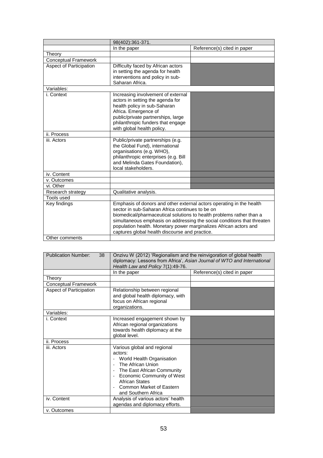|                                | 98(402):361-371.                                                                                                                                                                                                                                                                                                                                                                                  |                             |
|--------------------------------|---------------------------------------------------------------------------------------------------------------------------------------------------------------------------------------------------------------------------------------------------------------------------------------------------------------------------------------------------------------------------------------------------|-----------------------------|
|                                | In the paper                                                                                                                                                                                                                                                                                                                                                                                      | Reference(s) cited in paper |
| Theory                         |                                                                                                                                                                                                                                                                                                                                                                                                   |                             |
| <b>Conceptual Framework</b>    |                                                                                                                                                                                                                                                                                                                                                                                                   |                             |
| <b>Aspect of Participation</b> | Difficulty faced by African actors<br>in setting the agenda for health<br>interventions and policy in sub-<br>Saharan Africa.                                                                                                                                                                                                                                                                     |                             |
| Variables:                     |                                                                                                                                                                                                                                                                                                                                                                                                   |                             |
| i. Context                     | Increasing involvement of external<br>actors in setting the agenda for<br>health policy in sub-Saharan<br>Africa. Emergence of<br>public/private partnerships, large<br>philanthropic funders that engage<br>with global health policy.                                                                                                                                                           |                             |
| ii. Process                    |                                                                                                                                                                                                                                                                                                                                                                                                   |                             |
| iii. Actors                    | Public/private partnerships (e.g.<br>the Global Fund), international<br>organisations (e.g. WHO),<br>philanthropic enterprises (e.g. Bill<br>and Melinda Gates Foundation),<br>local stakeholders.                                                                                                                                                                                                |                             |
| iv. Content                    |                                                                                                                                                                                                                                                                                                                                                                                                   |                             |
| v. Outcomes                    |                                                                                                                                                                                                                                                                                                                                                                                                   |                             |
| vi. Other                      |                                                                                                                                                                                                                                                                                                                                                                                                   |                             |
| Research strategy              | Qualitative analysis.                                                                                                                                                                                                                                                                                                                                                                             |                             |
| Tools used                     |                                                                                                                                                                                                                                                                                                                                                                                                   |                             |
| Key findings<br>Other comments | Emphasis of donors and other external actors operating in the health<br>sector in sub-Saharan Africa continues to be on<br>biomedical/pharmaceutical solutions to health problems rather than a<br>simultaneous emphasis on addressing the social conditions that threaten<br>population health. Monetary power marginalizes African actors and<br>captures global health discourse and practice. |                             |
|                                |                                                                                                                                                                                                                                                                                                                                                                                                   |                             |

| <b>Publication Number:</b><br>38 | Onzivu W (2012) 'Regionalism and the reinvigoration of global health<br>diplomacy: Lessons from Africa', Asian Journal of WTO and International<br>Health Law and Policy 7(1):49-76.                                      |                             |
|----------------------------------|---------------------------------------------------------------------------------------------------------------------------------------------------------------------------------------------------------------------------|-----------------------------|
|                                  | In the paper                                                                                                                                                                                                              | Reference(s) cited in paper |
| Theory                           |                                                                                                                                                                                                                           |                             |
| Conceptual Framework             |                                                                                                                                                                                                                           |                             |
| Aspect of Participation          | Relationship between regional<br>and global health diplomacy, with<br>focus on African regional<br>organizations.                                                                                                         |                             |
| Variables:                       |                                                                                                                                                                                                                           |                             |
| i. Context                       | Increased engagement shown by<br>African regional organizations<br>towards health diplomacy at the<br>global level.                                                                                                       |                             |
| ii. Process                      |                                                                                                                                                                                                                           |                             |
| iii. Actors                      | Various global and regional<br>actors:<br>World Health Organisation<br>The African Union<br>The East African Community<br>Economic Community of West<br>African States<br>Common Market of Eastern<br>and Southern Africa |                             |
| iv. Content                      | Analysis of various actors' health<br>agendas and diplomacy efforts.                                                                                                                                                      |                             |
| v. Outcomes                      |                                                                                                                                                                                                                           |                             |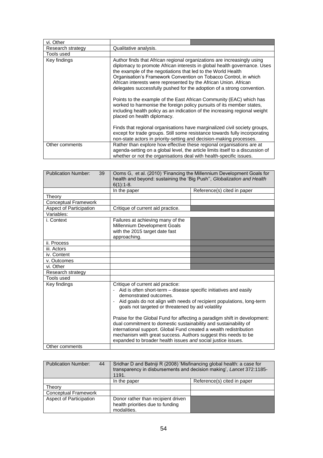| vi. Other         |                                                                                                                                                                                                                                                                                                                                                                                                                                                                                                                                                                                                                                                                                                                                                                                                                                                               |
|-------------------|---------------------------------------------------------------------------------------------------------------------------------------------------------------------------------------------------------------------------------------------------------------------------------------------------------------------------------------------------------------------------------------------------------------------------------------------------------------------------------------------------------------------------------------------------------------------------------------------------------------------------------------------------------------------------------------------------------------------------------------------------------------------------------------------------------------------------------------------------------------|
| Research strategy | Qualitative analysis.                                                                                                                                                                                                                                                                                                                                                                                                                                                                                                                                                                                                                                                                                                                                                                                                                                         |
| Tools used        |                                                                                                                                                                                                                                                                                                                                                                                                                                                                                                                                                                                                                                                                                                                                                                                                                                                               |
| Key findings      | Author finds that African regional organizations are increasingly using<br>diplomacy to promote African interests in global health governance. Uses<br>the example of the negotiations that led to the World Health<br>Organisation's Framework Convention on Tobacco Control, in which<br>African interests were represented by the African Union. African<br>delegates successfully pushed for the adoption of a strong convention.<br>Points to the example of the East African Community (EAC) which has<br>worked to harmonise the foreign policy pursuits of its member states,<br>including health policy as an indication of the increasing regional weight<br>placed on health diplomacy.<br>Finds that regional organisations have marginalized civil society groups,<br>except for trade groups. Still some resistance towards fully incorporating |
|                   | non-state actors in priority-setting and decision-making processes.                                                                                                                                                                                                                                                                                                                                                                                                                                                                                                                                                                                                                                                                                                                                                                                           |
| Other comments    | Rather than explore how effective these regional organisations are at<br>agenda-setting on a global level, the article limits itself to a discussion of<br>whether or not the organisations deal with health-specific issues.                                                                                                                                                                                                                                                                                                                                                                                                                                                                                                                                                                                                                                 |

| <b>Publication Number:</b><br>39 | Ooms G, et al. (2010) 'Financing the Millennium Development Goals for<br>health and beyond: sustaining the 'Big Push", Globalization and Health<br>$6(1):1-8.$                                                                                                                                                                                                                                                                                                                                                                                                                                                           |                             |
|----------------------------------|--------------------------------------------------------------------------------------------------------------------------------------------------------------------------------------------------------------------------------------------------------------------------------------------------------------------------------------------------------------------------------------------------------------------------------------------------------------------------------------------------------------------------------------------------------------------------------------------------------------------------|-----------------------------|
|                                  | In the paper                                                                                                                                                                                                                                                                                                                                                                                                                                                                                                                                                                                                             | Reference(s) cited in paper |
| Theory                           |                                                                                                                                                                                                                                                                                                                                                                                                                                                                                                                                                                                                                          |                             |
| <b>Conceptual Framework</b>      |                                                                                                                                                                                                                                                                                                                                                                                                                                                                                                                                                                                                                          |                             |
| Aspect of Participation          | Critique of current aid practice.                                                                                                                                                                                                                                                                                                                                                                                                                                                                                                                                                                                        |                             |
| Variables:                       |                                                                                                                                                                                                                                                                                                                                                                                                                                                                                                                                                                                                                          |                             |
| i. Context                       | Failures at achieving many of the<br>Millennium Development Goals<br>with the 2015 target date fast<br>approaching.                                                                                                                                                                                                                                                                                                                                                                                                                                                                                                      |                             |
| ii. Process                      |                                                                                                                                                                                                                                                                                                                                                                                                                                                                                                                                                                                                                          |                             |
| iii. Actors                      |                                                                                                                                                                                                                                                                                                                                                                                                                                                                                                                                                                                                                          |                             |
| iv. Content                      |                                                                                                                                                                                                                                                                                                                                                                                                                                                                                                                                                                                                                          |                             |
| v. Outcomes                      |                                                                                                                                                                                                                                                                                                                                                                                                                                                                                                                                                                                                                          |                             |
| vi. Other                        |                                                                                                                                                                                                                                                                                                                                                                                                                                                                                                                                                                                                                          |                             |
| Research strategy                |                                                                                                                                                                                                                                                                                                                                                                                                                                                                                                                                                                                                                          |                             |
| Tools used                       |                                                                                                                                                                                                                                                                                                                                                                                                                                                                                                                                                                                                                          |                             |
| Key findings                     | Critique of current aid practice:<br>Aid is often short-term – disease specific initiatives and easily<br>demonstrated outcomes.<br>Aid goals do not align with needs of recipient populations, long-term<br>goals not targeted or threatened by aid volatility<br>Praise for the Global Fund for affecting a paradigm shift in development:<br>dual commitment to domestic sustainability and sustainability of<br>international support. Global Fund created a wealth redistribution<br>mechanism with great success. Authors suggest this needs to be<br>expanded to broader health issues and social justice issues. |                             |
| Other comments                   |                                                                                                                                                                                                                                                                                                                                                                                                                                                                                                                                                                                                                          |                             |

| <b>Publication Number:</b><br>44 | Sridhar D and Batniji R (2008) 'Misfinancing global health: a case for<br>transparency in disbursements and decision making', Lancet 372:1185-<br>1191. |                             |
|----------------------------------|---------------------------------------------------------------------------------------------------------------------------------------------------------|-----------------------------|
|                                  | In the paper                                                                                                                                            | Reference(s) cited in paper |
| Theory                           |                                                                                                                                                         |                             |
| <b>Conceptual Framework</b>      |                                                                                                                                                         |                             |
| Aspect of Participation          | Donor rather than recipient driven<br>health priorities due to funding<br>modalities.                                                                   |                             |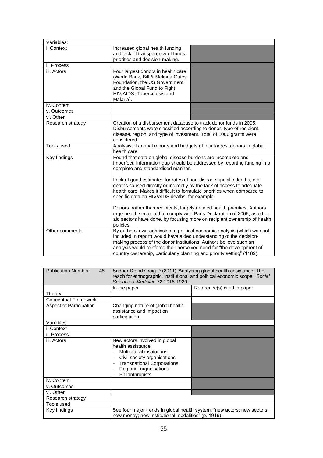| Variables:        |                                                                                                                                                                                                                                                                                                                                                                                                                                                                |                                                                                                                                                                                                                                     |
|-------------------|----------------------------------------------------------------------------------------------------------------------------------------------------------------------------------------------------------------------------------------------------------------------------------------------------------------------------------------------------------------------------------------------------------------------------------------------------------------|-------------------------------------------------------------------------------------------------------------------------------------------------------------------------------------------------------------------------------------|
| i. Context        | Increased global health funding<br>and lack of transparency of funds,<br>priorities and decision-making.                                                                                                                                                                                                                                                                                                                                                       |                                                                                                                                                                                                                                     |
| ii. Process       |                                                                                                                                                                                                                                                                                                                                                                                                                                                                |                                                                                                                                                                                                                                     |
| iii. Actors       | Four largest donors in health care<br>(World Bank, Bill & Melinda Gates<br>Foundation, the US Government<br>and the Global Fund to Fight<br>HIV/AIDS, Tuberculosis and<br>Malaria).                                                                                                                                                                                                                                                                            |                                                                                                                                                                                                                                     |
| iv. Content       |                                                                                                                                                                                                                                                                                                                                                                                                                                                                |                                                                                                                                                                                                                                     |
| v. Outcomes       |                                                                                                                                                                                                                                                                                                                                                                                                                                                                |                                                                                                                                                                                                                                     |
| vi. Other         |                                                                                                                                                                                                                                                                                                                                                                                                                                                                |                                                                                                                                                                                                                                     |
| Research strategy | Creation of a disbursement database to track donor funds in 2005.<br>Disbursements were classified according to donor, type of recipient,<br>disease, region, and type of investment. Total of 1006 grants were<br>considered.                                                                                                                                                                                                                                 |                                                                                                                                                                                                                                     |
| Tools used        | Analysis of annual reports and budgets of four largest donors in global<br>health care.                                                                                                                                                                                                                                                                                                                                                                        |                                                                                                                                                                                                                                     |
| Key findings      | Found that data on global disease burdens are incomplete and<br>imperfect. Information gap should be addressed by reporting funding in a<br>complete and standardised manner.<br>Lack of good estimates for rates of non-disease-specific deaths, e.g.<br>deaths caused directly or indirectly by the lack of access to adequate<br>health care. Makes it difficult to formulate priorities when compared to<br>specific data on HIV/AIDS deaths, for example. |                                                                                                                                                                                                                                     |
|                   | policies.                                                                                                                                                                                                                                                                                                                                                                                                                                                      | Donors, rather than recipients, largely defined health priorities. Authors<br>urge health sector aid to comply with Paris Declaration of 2005, as other<br>aid sectors have done, by focusing more on recipient ownership of health |
| Other comments    | included in report) would have aided understanding of the decision-<br>making process of the donor institutions. Authors believe such an<br>analysis would reinforce their perceived need for "the development of<br>country ownership, particularly planning and priority setting" (1189).                                                                                                                                                                    | By authors' own admission, a political economic analysis (which was not                                                                                                                                                             |

| <b>Publication Number:</b><br>45 | Sridhar D and Craig D (2011) 'Analysing global health assistance: The<br>reach for ethnographic, institutional and political economic scope', Social<br>Science & Medicine 72:1915-1920.                 |                             |
|----------------------------------|----------------------------------------------------------------------------------------------------------------------------------------------------------------------------------------------------------|-----------------------------|
|                                  | In the paper                                                                                                                                                                                             | Reference(s) cited in paper |
| Theory                           |                                                                                                                                                                                                          |                             |
| <b>Conceptual Framework</b>      |                                                                                                                                                                                                          |                             |
| Aspect of Participation          | Changing nature of global health<br>assistance and impact on<br>participation.                                                                                                                           |                             |
| Variables:                       |                                                                                                                                                                                                          |                             |
| i. Context                       |                                                                                                                                                                                                          |                             |
| ii. Process                      |                                                                                                                                                                                                          |                             |
| iii. Actors                      | New actors involved in global<br>health assistance:<br><b>Multilateral institutions</b><br>Civil society organisations<br><b>Transnational Corporations</b><br>Regional organisations<br>Philanthropists |                             |
| iv. Content                      |                                                                                                                                                                                                          |                             |
| v. Outcomes                      |                                                                                                                                                                                                          |                             |
| vi. Other                        |                                                                                                                                                                                                          |                             |
| Research strategy                |                                                                                                                                                                                                          |                             |
| Tools used                       |                                                                                                                                                                                                          |                             |
| Key findings                     | See four major trends in global health system: "new actors; new sectors;<br>new money; new institutional modalities" (p. 1916).                                                                          |                             |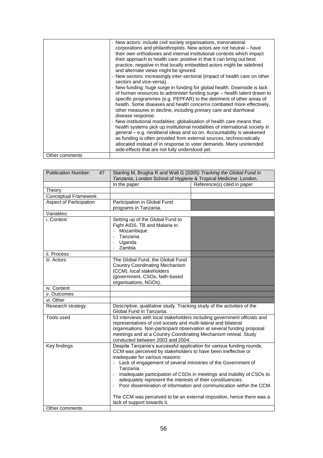| Other comments | - New actors: include civil society organisations, transnational<br>corporations and philanthropists. New actors are not neutral – have<br>their own orthodoxies and internal institutional contexts which impact<br>their approach to health care: positive in that it can bring out best<br>practice, negative in that locally embedded actors might be sidelined<br>and alternate views might be ignored.<br>- New sectors: increasingly inter-sectorial (impact of health care on other<br>sectors and vice-versa).<br>- New funding: huge surge in funding for global health. Downside is lack<br>of human resources to administer funding surge - health talent drawn to<br>specific programmes (e.g. PEPFAR) to the detriment of other areas of<br>health. Some diseases and health concerns combated more effectively,<br>other measures in decline, including primary care and diarrhoeal<br>disease response.<br>- New institutional modalities: globalisation of health care means that<br>health systems pick up institutional modalities of international society in<br>general - e.g. neoliberal ideas and so on. Accountability is weakened<br>as funding is often provided from external sources, technocratically<br>allocated instead of in response to voter demands. Many unintended<br>side-effects that are not fully understood yet. |
|----------------|-------------------------------------------------------------------------------------------------------------------------------------------------------------------------------------------------------------------------------------------------------------------------------------------------------------------------------------------------------------------------------------------------------------------------------------------------------------------------------------------------------------------------------------------------------------------------------------------------------------------------------------------------------------------------------------------------------------------------------------------------------------------------------------------------------------------------------------------------------------------------------------------------------------------------------------------------------------------------------------------------------------------------------------------------------------------------------------------------------------------------------------------------------------------------------------------------------------------------------------------------------------------------------------------------------------------------------------------------------------|
|                |                                                                                                                                                                                                                                                                                                                                                                                                                                                                                                                                                                                                                                                                                                                                                                                                                                                                                                                                                                                                                                                                                                                                                                                                                                                                                                                                                             |

| <b>Publication Number:</b><br>47                                                      | Starling M, Brugha R and Walt G (2005) Tracking the Global Fund in                               |                             |
|---------------------------------------------------------------------------------------|--------------------------------------------------------------------------------------------------|-----------------------------|
|                                                                                       | Tanzania, London School of Hygiene & Tropical Medicine: London.                                  |                             |
|                                                                                       | In the paper                                                                                     | Reference(s) cited in paper |
| Theory                                                                                |                                                                                                  |                             |
| <b>Conceptual Framework</b>                                                           |                                                                                                  |                             |
| Aspect of Participation                                                               | Participation in Global Fund                                                                     |                             |
|                                                                                       | programs in Tanzania.                                                                            |                             |
| Variables:                                                                            |                                                                                                  |                             |
| i. Context                                                                            | Setting up of the Global Fund to                                                                 |                             |
|                                                                                       | Fight AIDS, TB and Malaria in:                                                                   |                             |
|                                                                                       | Mozambique                                                                                       |                             |
|                                                                                       | Tanzania                                                                                         |                             |
|                                                                                       | Uganda                                                                                           |                             |
|                                                                                       | Zambia                                                                                           |                             |
| ii. Process                                                                           |                                                                                                  |                             |
| iii. Actors                                                                           | The Global Fund, the Global Fund                                                                 |                             |
|                                                                                       | <b>Country Coordinating Mechanism</b><br>(CCM), local stakeholders                               |                             |
|                                                                                       | (government, CSOs, faith-based                                                                   |                             |
|                                                                                       | organisations, NGOs).                                                                            |                             |
| iv. Content                                                                           |                                                                                                  |                             |
| v. Outcomes                                                                           |                                                                                                  |                             |
| vi. Other                                                                             |                                                                                                  |                             |
| Research strategy                                                                     | Descriptive, qualitative study. Tracking study of the activities of the                          |                             |
|                                                                                       | Global Fund in Tanzania.                                                                         |                             |
| Tools used                                                                            | 53 interviews with local stakeholders including government officials and                         |                             |
|                                                                                       | representatives of civil society and multi-lateral and bilateral                                 |                             |
|                                                                                       | organisations. Non-participant observation at several funding proposal                           |                             |
|                                                                                       | meetings and at a Country Coordinating Mechanism retreat. Study                                  |                             |
|                                                                                       | conducted between 2003 and 2004.                                                                 |                             |
| Key findings<br>Despite Tanzania's successful application for various funding rounds, |                                                                                                  |                             |
|                                                                                       | CCM was perceived by stakeholders to have been ineffective or<br>inadequate for various reasons: |                             |
|                                                                                       |                                                                                                  |                             |
|                                                                                       | Lack of engagement of several ministries of the Government of                                    |                             |
|                                                                                       | Tanzania                                                                                         |                             |
|                                                                                       | Inadequate participation of CSOs in meetings and inability of CSOs to                            |                             |
|                                                                                       | adequately represent the interests of their constituencies.                                      |                             |
|                                                                                       | Poor dissemination of information and communication within the CCM.                              |                             |
|                                                                                       | The CCM was perceived to be an external imposition, hence there was a                            |                             |
|                                                                                       | lack of support towards it.                                                                      |                             |
| Other comments                                                                        |                                                                                                  |                             |